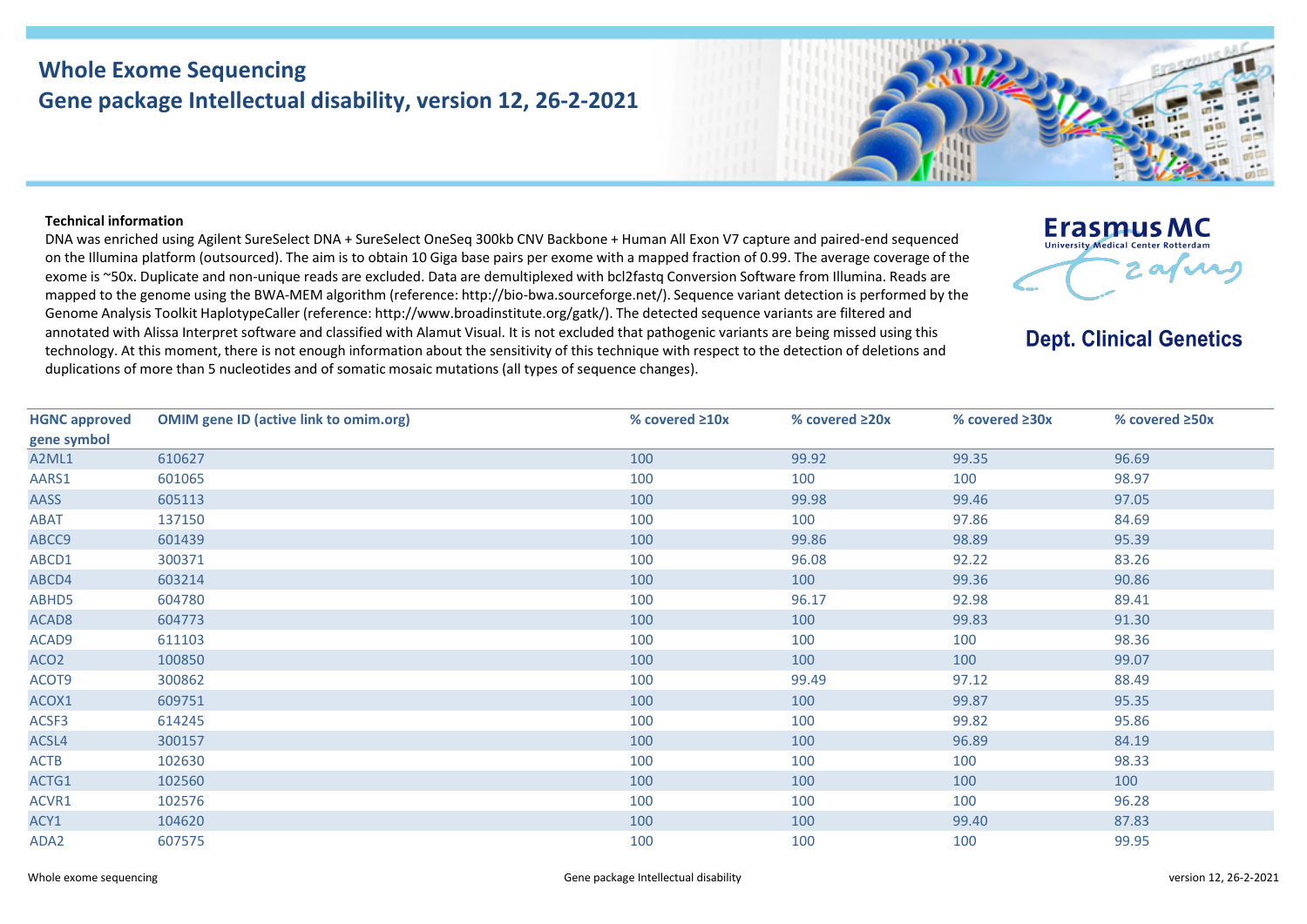## **Whole Exome Sequencing Gene package Intellectual disability, version 12, 26-2-2021**

## **Technical information**

DNA was enriched using Agilent SureSelect DNA + SureSelect OneSeq 300kb CNV Backbone + Human All Exon V7 capture and paired-end sequenced on the Illumina platform (outsourced). The aim is to obtain 10 Giga base pairs per exome with a mapped fraction of 0.99. The average coverage of the exome is ~50x. Duplicate and non-unique reads are excluded. Data are demultiplexed with bcl2fastq Conversion Software from Illumina. Reads are mapped to the genome using the BWA-MEM algorithm (reference: http://bio-bwa.sourceforge.net/). Sequence variant detection is performed by the Genome Analysis Toolkit HaplotypeCaller (reference: http://www.broadinstitute.org/gatk/). The detected sequence variants are filtered and annotated with Alissa Interpret software and classified with Alamut Visual. It is not excluded that pathogenic variants are being missed using this technology. At this moment, there is not enough information about the sensitivity of this technique with respect to the detection of deletions and duplications of more than 5 nucleotides and of somatic mosaic mutations (all types of sequence changes).



**Dept. Clinical Genetics** 

| <b>HGNC approved</b> | <b>OMIM gene ID (active link to omim.org)</b> | % covered $\geq 10x$ | % covered $\geq 20x$ | % covered $\geq 30x$ | % covered $\geq$ 50x |
|----------------------|-----------------------------------------------|----------------------|----------------------|----------------------|----------------------|
| gene symbol          |                                               |                      |                      |                      |                      |
| A2ML1                | 610627                                        | 100                  | 99.92                | 99.35                | 96.69                |
| AARS1                | 601065                                        | 100                  | 100                  | 100                  | 98.97                |
| <b>AASS</b>          | 605113                                        | 100                  | 99.98                | 99.46                | 97.05                |
| <b>ABAT</b>          | 137150                                        | 100                  | 100                  | 97.86                | 84.69                |
| ABCC9                | 601439                                        | 100                  | 99.86                | 98.89                | 95.39                |
| ABCD1                | 300371                                        | 100                  | 96.08                | 92.22                | 83.26                |
| ABCD4                | 603214                                        | 100                  | 100                  | 99.36                | 90.86                |
| ABHD5                | 604780                                        | 100                  | 96.17                | 92.98                | 89.41                |
| ACAD <sub>8</sub>    | 604773                                        | 100                  | 100                  | 99.83                | 91.30                |
| ACAD9                | 611103                                        | 100                  | 100                  | 100                  | 98.36                |
| ACO <sub>2</sub>     | 100850                                        | 100                  | 100                  | 100                  | 99.07                |
| ACOT9                | 300862                                        | 100                  | 99.49                | 97.12                | 88.49                |
| ACOX1                | 609751                                        | 100                  | 100                  | 99.87                | 95.35                |
| ACSF3                | 614245                                        | 100                  | 100                  | 99.82                | 95.86                |
| ACSL4                | 300157                                        | 100                  | 100                  | 96.89                | 84.19                |
| <b>ACTB</b>          | 102630                                        | 100                  | 100                  | 100                  | 98.33                |
| ACTG1                | 102560                                        | 100                  | 100                  | 100                  | 100                  |
| ACVR1                | 102576                                        | 100                  | 100                  | 100                  | 96.28                |
| ACY1                 | 104620                                        | 100                  | 100                  | 99.40                | 87.83                |
| ADA2                 | 607575                                        | 100                  | 100                  | 100                  | 99.95                |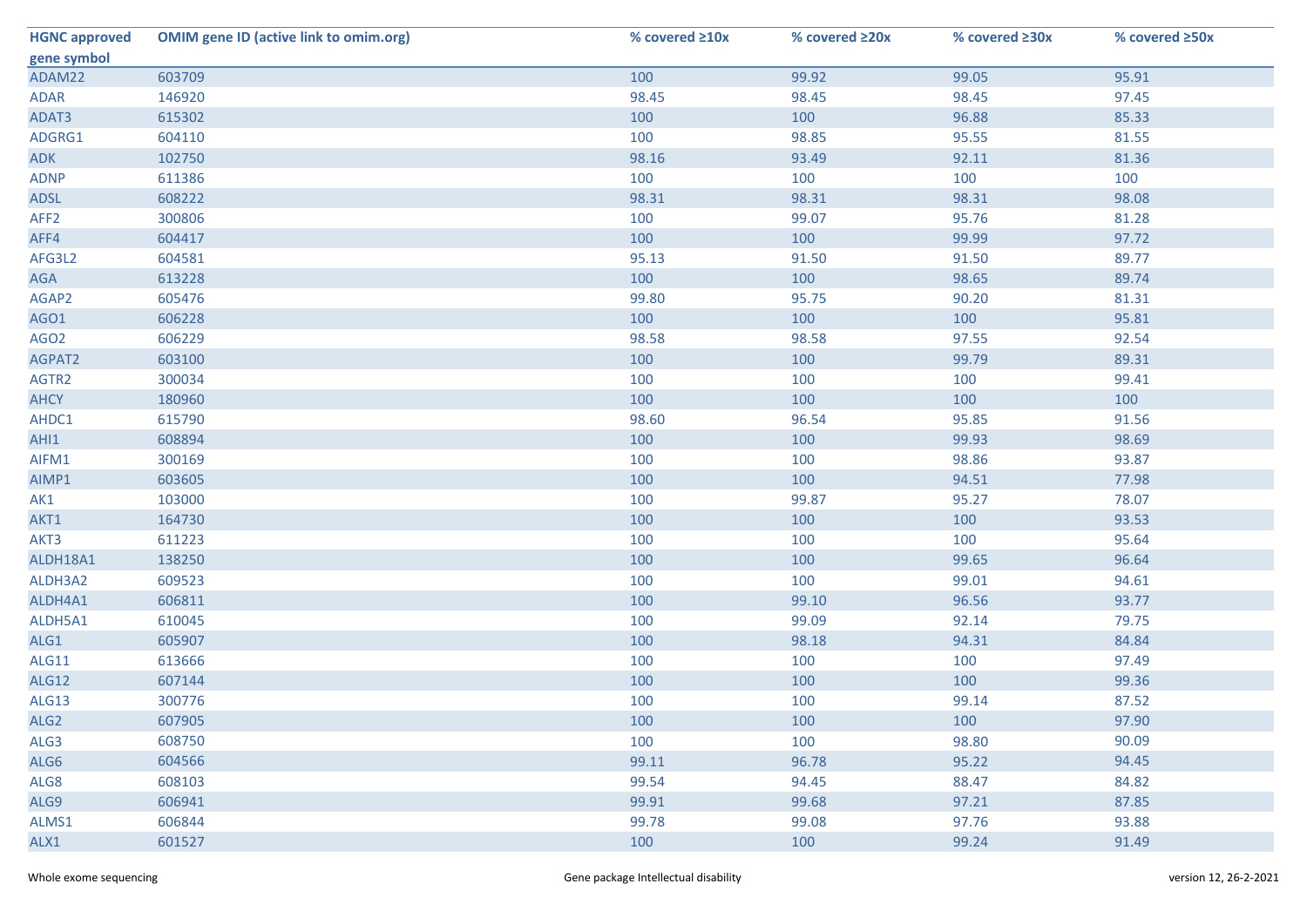| <b>HGNC approved</b> | <b>OMIM gene ID (active link to omim.org)</b> | % covered ≥10x | % covered ≥20x | % covered ≥30x | % covered ≥50x |
|----------------------|-----------------------------------------------|----------------|----------------|----------------|----------------|
| gene symbol          |                                               |                |                |                |                |
| ADAM22               | 603709                                        | 100            | 99.92          | 99.05          | 95.91          |
| <b>ADAR</b>          | 146920                                        | 98.45          | 98.45          | 98.45          | 97.45          |
| ADAT3                | 615302                                        | 100            | 100            | 96.88          | 85.33          |
| ADGRG1               | 604110                                        | 100            | 98.85          | 95.55          | 81.55          |
| <b>ADK</b>           | 102750                                        | 98.16          | 93.49          | 92.11          | 81.36          |
| <b>ADNP</b>          | 611386                                        | 100            | 100            | 100            | 100            |
| ADSL                 | 608222                                        | 98.31          | 98.31          | 98.31          | 98.08          |
| AFF <sub>2</sub>     | 300806                                        | 100            | 99.07          | 95.76          | 81.28          |
| AFF4                 | 604417                                        | 100            | 100            | 99.99          | 97.72          |
| AFG3L2               | 604581                                        | 95.13          | 91.50          | 91.50          | 89.77          |
| AGA                  | 613228                                        | 100            | 100            | 98.65          | 89.74          |
| AGAP2                | 605476                                        | 99.80          | 95.75          | 90.20          | 81.31          |
| AGO1                 | 606228                                        | 100            | 100            | 100            | 95.81          |
| AGO <sub>2</sub>     | 606229                                        | 98.58          | 98.58          | 97.55          | 92.54          |
| AGPAT2               | 603100                                        | 100            | 100            | 99.79          | 89.31          |
| AGTR2                | 300034                                        | 100            | 100            | 100            | 99.41          |
| <b>AHCY</b>          | 180960                                        | 100            | 100            | 100            | 100            |
| AHDC1                | 615790                                        | 98.60          | 96.54          | 95.85          | 91.56          |
| AHI1                 | 608894                                        | 100            | 100            | 99.93          | 98.69          |
| AIFM1                | 300169                                        | 100            | 100            | 98.86          | 93.87          |
| AIMP1                | 603605                                        | 100            | 100            | 94.51          | 77.98          |
| AK1                  | 103000                                        | 100            | 99.87          | 95.27          | 78.07          |
| AKT1                 | 164730                                        | 100            | 100            | 100            | 93.53          |
| AKT3                 | 611223                                        | 100            | 100            | 100            | 95.64          |
| ALDH18A1             | 138250                                        | 100            | 100            | 99.65          | 96.64          |
| ALDH3A2              | 609523                                        | 100            | 100            | 99.01          | 94.61          |
| ALDH4A1              | 606811                                        | 100            | 99.10          | 96.56          | 93.77          |
| ALDH5A1              | 610045                                        | 100            | 99.09          | 92.14          | 79.75          |
| ALG1                 | 605907                                        | 100            | 98.18          | 94.31          | 84.84          |
| ALG11                | 613666                                        | 100            | 100            | 100            | 97.49          |
| <b>ALG12</b>         | 607144                                        | 100            | 100            | 100            | 99.36          |
| ALG13                | 300776                                        | 100            | 100            | 99.14          | 87.52          |
| ALG <sub>2</sub>     | 607905                                        | 100            | 100            | 100            | 97.90          |
| ALG3                 | 608750                                        | 100            | 100            | 98.80          | 90.09          |
| ALG6                 | 604566                                        | 99.11          | 96.78          | 95.22          | 94.45          |
| ALG8                 | 608103                                        | 99.54          | 94.45          | 88.47          | 84.82          |
| ALG9                 | 606941                                        | 99.91          | 99.68          | 97.21          | 87.85          |
| ALMS1                | 606844                                        | 99.78          | 99.08          | 97.76          | 93.88          |
| ALX1                 | 601527                                        | 100            | 100            | 99.24          | 91.49          |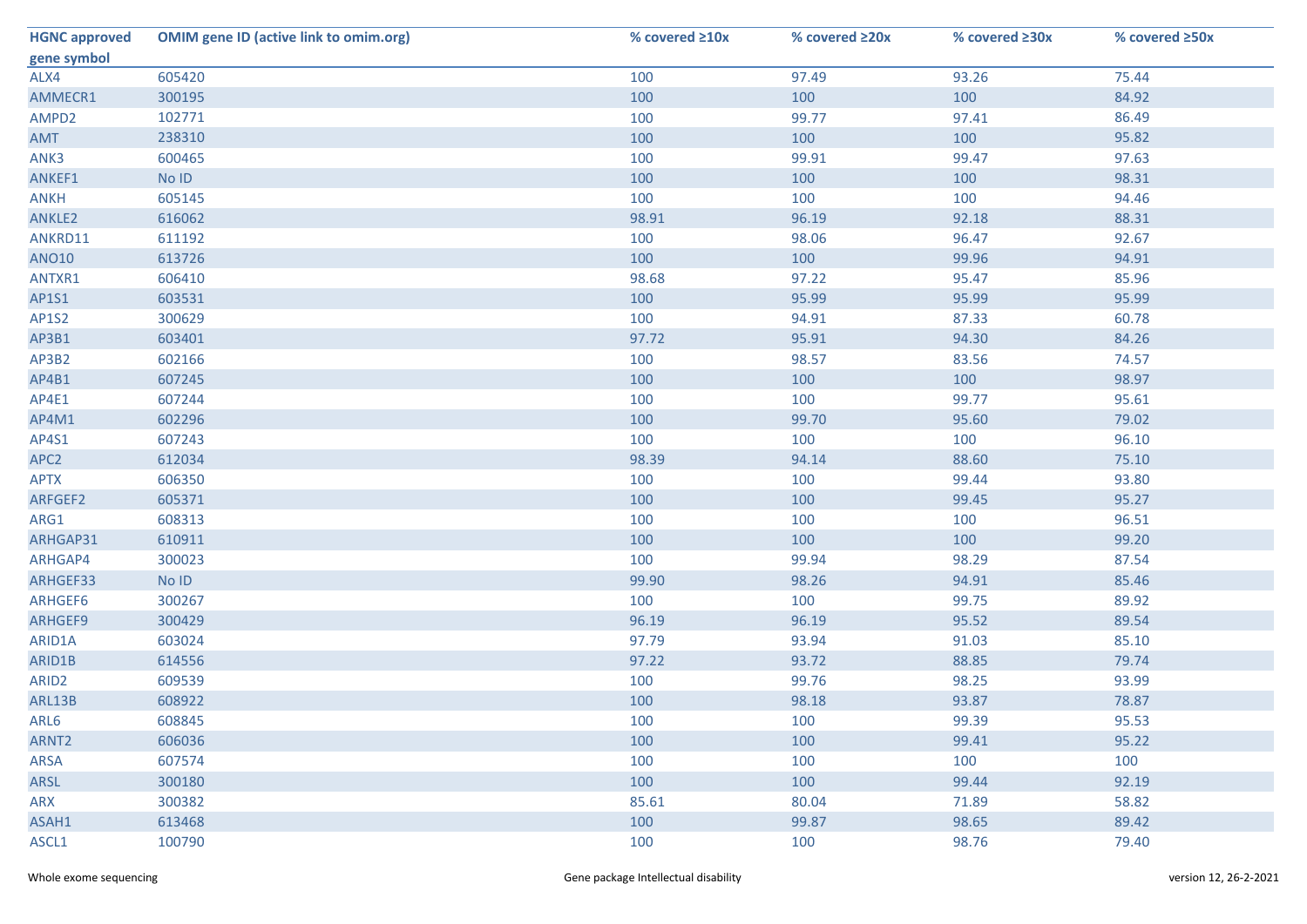| <b>HGNC approved</b> | <b>OMIM gene ID (active link to omim.org)</b> | % covered ≥10x | % covered ≥20x | % covered ≥30x | % covered ≥50x |
|----------------------|-----------------------------------------------|----------------|----------------|----------------|----------------|
| gene symbol          |                                               |                |                |                |                |
| ALX4                 | 605420                                        | 100            | 97.49          | 93.26          | 75.44          |
| AMMECR1              | 300195                                        | 100            | 100            | 100            | 84.92          |
| AMPD2                | 102771                                        | 100            | 99.77          | 97.41          | 86.49          |
| AMT                  | 238310                                        | 100            | 100            | 100            | 95.82          |
| ANK3                 | 600465                                        | 100            | 99.91          | 99.47          | 97.63          |
| ANKEF1               | No ID                                         | 100            | 100            | 100            | 98.31          |
| <b>ANKH</b>          | 605145                                        | 100            | 100            | 100            | 94.46          |
| ANKLE2               | 616062                                        | 98.91          | 96.19          | 92.18          | 88.31          |
| ANKRD11              | 611192                                        | 100            | 98.06          | 96.47          | 92.67          |
| <b>ANO10</b>         | 613726                                        | 100            | 100            | 99.96          | 94.91          |
| ANTXR1               | 606410                                        | 98.68          | 97.22          | 95.47          | 85.96          |
| AP1S1                | 603531                                        | 100            | 95.99          | 95.99          | 95.99          |
| AP1S2                | 300629                                        | 100            | 94.91          | 87.33          | 60.78          |
| AP3B1                | 603401                                        | 97.72          | 95.91          | 94.30          | 84.26          |
| AP3B2                | 602166                                        | 100            | 98.57          | 83.56          | 74.57          |
| AP4B1                | 607245                                        | 100            | 100            | 100            | 98.97          |
| AP4E1                | 607244                                        | 100            | 100            | 99.77          | 95.61          |
| AP4M1                | 602296                                        | 100            | 99.70          | 95.60          | 79.02          |
| AP4S1                | 607243                                        | 100            | 100            | 100            | 96.10          |
| APC <sub>2</sub>     | 612034                                        | 98.39          | 94.14          | 88.60          | 75.10          |
| <b>APTX</b>          | 606350                                        | 100            | 100            | 99.44          | 93.80          |
| ARFGEF2              | 605371                                        | 100            | 100            | 99.45          | 95.27          |
| ARG1                 | 608313                                        | 100            | 100            | 100            | 96.51          |
| ARHGAP31             | 610911                                        | 100            | 100            | 100            | 99.20          |
| ARHGAP4              | 300023                                        | 100            | 99.94          | 98.29          | 87.54          |
| ARHGEF33             | No ID                                         | 99.90          | 98.26          | 94.91          | 85.46          |
| ARHGEF6              | 300267                                        | 100            | 100            | 99.75          | 89.92          |
| ARHGEF9              | 300429                                        | 96.19          | 96.19          | 95.52          | 89.54          |
| ARID1A               | 603024                                        | 97.79          | 93.94          | 91.03          | 85.10          |
| ARID1B               | 614556                                        | 97.22          | 93.72          | 88.85          | 79.74          |
| ARID <sub>2</sub>    | 609539                                        | 100            | 99.76          | 98.25          | 93.99          |
| ARL13B               | 608922                                        | 100            | 98.18          | 93.87          | 78.87          |
| ARL6                 | 608845                                        | 100            | 100            | 99.39          | 95.53          |
| ARNT <sub>2</sub>    | 606036                                        | 100            | 100            | 99.41          | 95.22          |
| ARSA                 | 607574                                        | 100            | 100            | 100            | 100            |
| ARSL                 | 300180                                        | 100            | 100            | 99.44          | 92.19          |
| ARX                  | 300382                                        | 85.61          | 80.04          | 71.89          | 58.82          |
| ASAH1                | 613468                                        | 100            | 99.87          | 98.65          | 89.42          |
| ASCL1                | 100790                                        | 100            | 100            | 98.76          | 79.40          |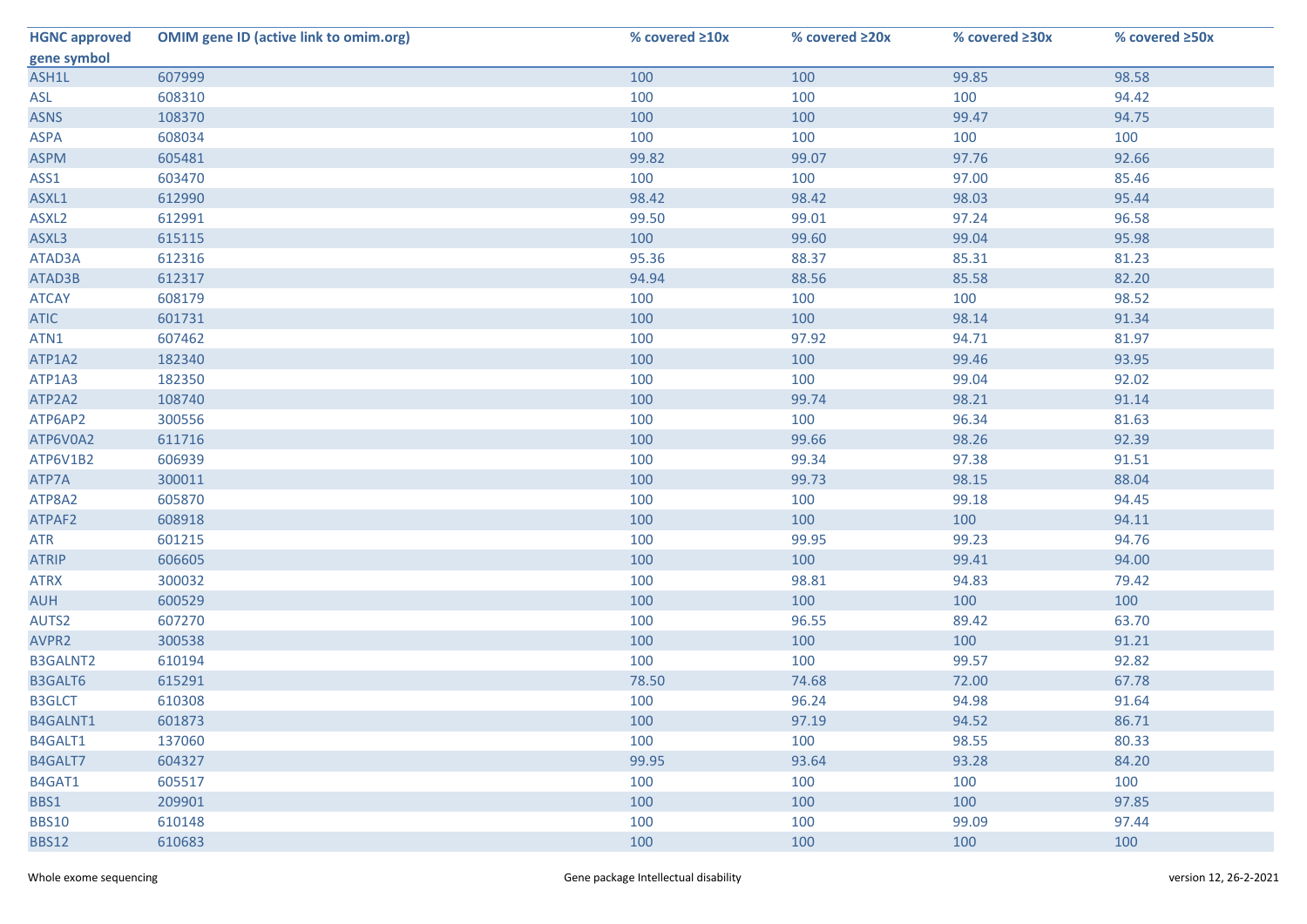| <b>HGNC approved</b> | <b>OMIM gene ID (active link to omim.org)</b> | % covered ≥10x | % covered ≥20x | % covered ≥30x | % covered ≥50x |
|----------------------|-----------------------------------------------|----------------|----------------|----------------|----------------|
| gene symbol          |                                               |                |                |                |                |
| ASH1L                | 607999                                        | 100            | 100            | 99.85          | 98.58          |
| ASL                  | 608310                                        | 100            | 100            | 100            | 94.42          |
| <b>ASNS</b>          | 108370                                        | 100            | 100            | 99.47          | 94.75          |
| <b>ASPA</b>          | 608034                                        | 100            | 100            | 100            | 100            |
| <b>ASPM</b>          | 605481                                        | 99.82          | 99.07          | 97.76          | 92.66          |
| ASS1                 | 603470                                        | 100            | 100            | 97.00          | 85.46          |
| ASXL1                | 612990                                        | 98.42          | 98.42          | 98.03          | 95.44          |
| ASXL <sub>2</sub>    | 612991                                        | 99.50          | 99.01          | 97.24          | 96.58          |
| ASXL3                | 615115                                        | 100            | 99.60          | 99.04          | 95.98          |
| ATAD3A               | 612316                                        | 95.36          | 88.37          | 85.31          | 81.23          |
| ATAD3B               | 612317                                        | 94.94          | 88.56          | 85.58          | 82.20          |
| <b>ATCAY</b>         | 608179                                        | 100            | 100            | 100            | 98.52          |
| <b>ATIC</b>          | 601731                                        | 100            | 100            | 98.14          | 91.34          |
| ATN1                 | 607462                                        | 100            | 97.92          | 94.71          | 81.97          |
| ATP1A2               | 182340                                        | 100            | 100            | 99.46          | 93.95          |
| ATP1A3               | 182350                                        | 100            | 100            | 99.04          | 92.02          |
| ATP2A2               | 108740                                        | 100            | 99.74          | 98.21          | 91.14          |
| ATP6AP2              | 300556                                        | 100            | 100            | 96.34          | 81.63          |
| ATP6V0A2             | 611716                                        | 100            | 99.66          | 98.26          | 92.39          |
| ATP6V1B2             | 606939                                        | 100            | 99.34          | 97.38          | 91.51          |
| ATP7A                | 300011                                        | 100            | 99.73          | 98.15          | 88.04          |
| ATP8A2               | 605870                                        | 100            | 100            | 99.18          | 94.45          |
| ATPAF2               | 608918                                        | 100            | 100            | 100            | 94.11          |
| <b>ATR</b>           | 601215                                        | 100            | 99.95          | 99.23          | 94.76          |
| <b>ATRIP</b>         | 606605                                        | 100            | 100            | 99.41          | 94.00          |
| <b>ATRX</b>          | 300032                                        | 100            | 98.81          | 94.83          | 79.42          |
| <b>AUH</b>           | 600529                                        | 100            | 100            | 100            | 100            |
| AUTS2                | 607270                                        | 100            | 96.55          | 89.42          | 63.70          |
| AVPR2                | 300538                                        | 100            | 100            | 100            | 91.21          |
| B3GALNT2             | 610194                                        | 100            | 100            | 99.57          | 92.82          |
| B3GALT6              | 615291                                        | 78.50          | 74.68          | 72.00          | 67.78          |
| <b>B3GLCT</b>        | 610308                                        | 100            | 96.24          | 94.98          | 91.64          |
| B4GALNT1             | 601873                                        | 100            | 97.19          | 94.52          | 86.71          |
| B4GALT1              | 137060                                        | 100            | 100            | 98.55          | 80.33          |
| B4GALT7              | 604327                                        | 99.95          | 93.64          | 93.28          | 84.20          |
| B4GAT1               | 605517                                        | 100            | 100            | 100            | 100            |
| BBS1                 | 209901                                        | 100            | 100            | 100            | 97.85          |
| <b>BBS10</b>         | 610148                                        | 100            | 100            | 99.09          | 97.44          |
| <b>BBS12</b>         | 610683                                        | 100            | 100            | 100            | 100            |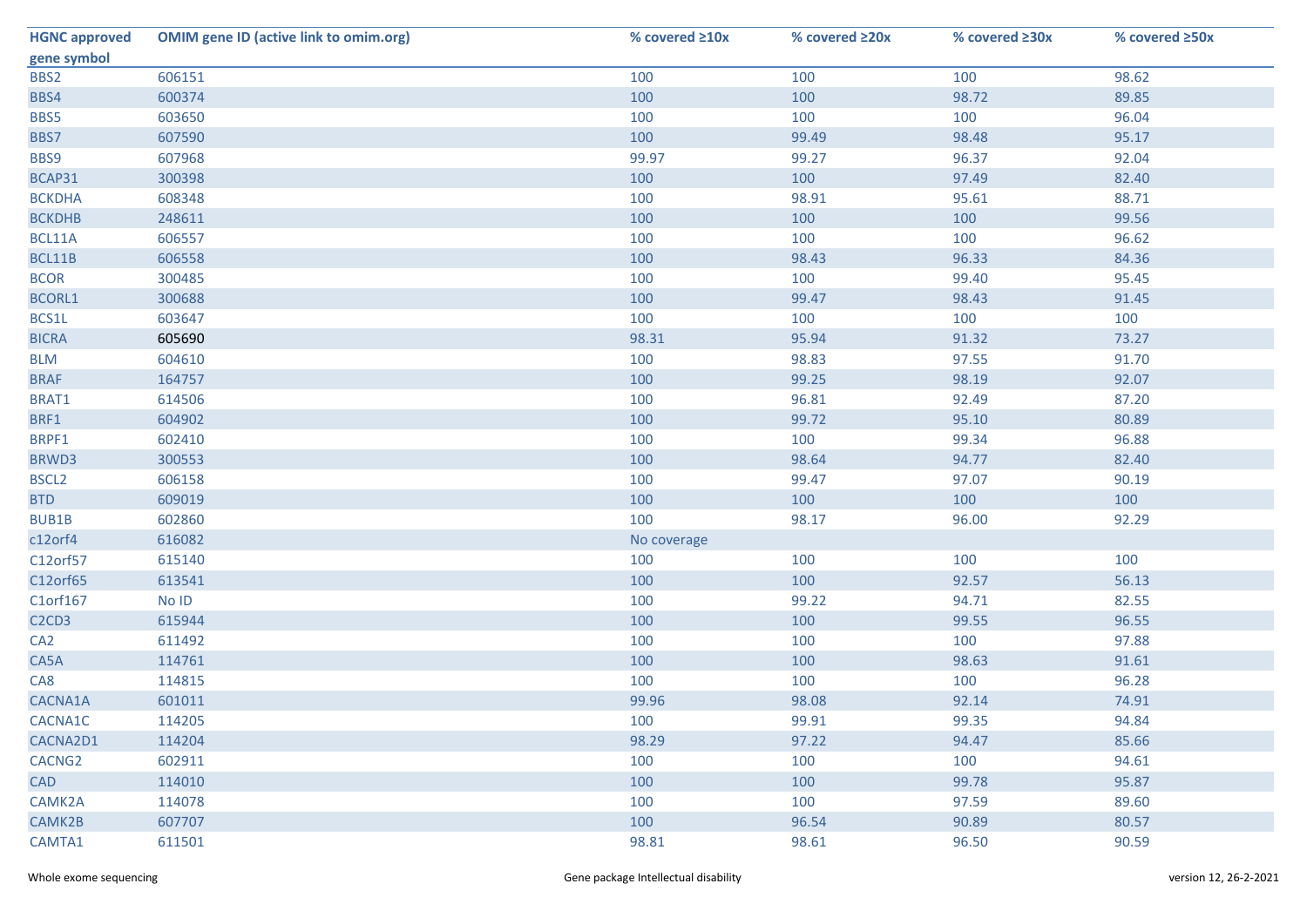| <b>HGNC approved</b>                       | <b>OMIM gene ID (active link to omim.org)</b> | % covered $\geq 10x$ | % covered ≥20x | % covered ≥30x | % covered ≥50x |
|--------------------------------------------|-----------------------------------------------|----------------------|----------------|----------------|----------------|
| gene symbol                                |                                               |                      |                |                |                |
| BBS2                                       | 606151                                        | 100                  | 100            | 100            | 98.62          |
| BBS4                                       | 600374                                        | 100                  | 100            | 98.72          | 89.85          |
| BBS5                                       | 603650                                        | 100                  | 100            | 100            | 96.04          |
| BBS7                                       | 607590                                        | 100                  | 99.49          | 98.48          | 95.17          |
| BBS9                                       | 607968                                        | 99.97                | 99.27          | 96.37          | 92.04          |
| BCAP31                                     | 300398                                        | 100                  | 100            | 97.49          | 82.40          |
| <b>BCKDHA</b>                              | 608348                                        | 100                  | 98.91          | 95.61          | 88.71          |
| <b>BCKDHB</b>                              | 248611                                        | 100                  | 100            | 100            | 99.56          |
| BCL11A                                     | 606557                                        | 100                  | 100            | 100            | 96.62          |
| BCL11B                                     | 606558                                        | 100                  | 98.43          | 96.33          | 84.36          |
| <b>BCOR</b>                                | 300485                                        | 100                  | 100            | 99.40          | 95.45          |
| <b>BCORL1</b>                              | 300688                                        | 100                  | 99.47          | 98.43          | 91.45          |
| BCS1L                                      | 603647                                        | 100                  | 100            | 100            | 100            |
| <b>BICRA</b>                               | 605690                                        | 98.31                | 95.94          | 91.32          | 73.27          |
| <b>BLM</b>                                 | 604610                                        | 100                  | 98.83          | 97.55          | 91.70          |
| <b>BRAF</b>                                | 164757                                        | 100                  | 99.25          | 98.19          | 92.07          |
| BRAT1                                      | 614506                                        | 100                  | 96.81          | 92.49          | 87.20          |
| BRF1                                       | 604902                                        | 100                  | 99.72          | 95.10          | 80.89          |
| BRPF1                                      | 602410                                        | 100                  | 100            | 99.34          | 96.88          |
| BRWD3                                      | 300553                                        | 100                  | 98.64          | 94.77          | 82.40          |
| BSCL <sub>2</sub>                          | 606158                                        | 100                  | 99.47          | 97.07          | 90.19          |
| <b>BTD</b>                                 | 609019                                        | 100                  | 100            | 100            | 100            |
| BUB1B                                      | 602860                                        | 100                  | 98.17          | 96.00          | 92.29          |
| c12orf4                                    | 616082                                        | No coverage          |                |                |                |
| C12orf57                                   | 615140                                        | 100                  | 100            | 100            | 100            |
| C12orf65                                   | 613541                                        | 100                  | 100            | 92.57          | 56.13          |
| C1orf167                                   | No ID                                         | 100                  | 99.22          | 94.71          | 82.55          |
| C <sub>2</sub> C <sub>D</sub> <sub>3</sub> | 615944                                        | 100                  | 100            | 99.55          | 96.55          |
| CA <sub>2</sub>                            | 611492                                        | 100                  | 100            | 100            | 97.88          |
| CA5A                                       | 114761                                        | 100                  | 100            | 98.63          | 91.61          |
| CA8                                        | 114815                                        | 100                  | 100            | 100            | 96.28          |
| CACNA1A                                    | 601011                                        | 99.96                | 98.08          | 92.14          | 74.91          |
| CACNA1C                                    | 114205                                        | 100                  | 99.91          | 99.35          | 94.84          |
| CACNA2D1                                   | 114204                                        | 98.29                | 97.22          | 94.47          | 85.66          |
| CACNG2                                     | 602911                                        | 100                  | 100            | 100            | 94.61          |
| <b>CAD</b>                                 | 114010                                        | 100                  | 100            | 99.78          | 95.87          |
| CAMK2A                                     | 114078                                        | 100                  | 100            | 97.59          | 89.60          |
| CAMK2B                                     | 607707                                        | 100                  | 96.54          | 90.89          | 80.57          |
| CAMTA1                                     | 611501                                        | 98.81                | 98.61          | 96.50          | 90.59          |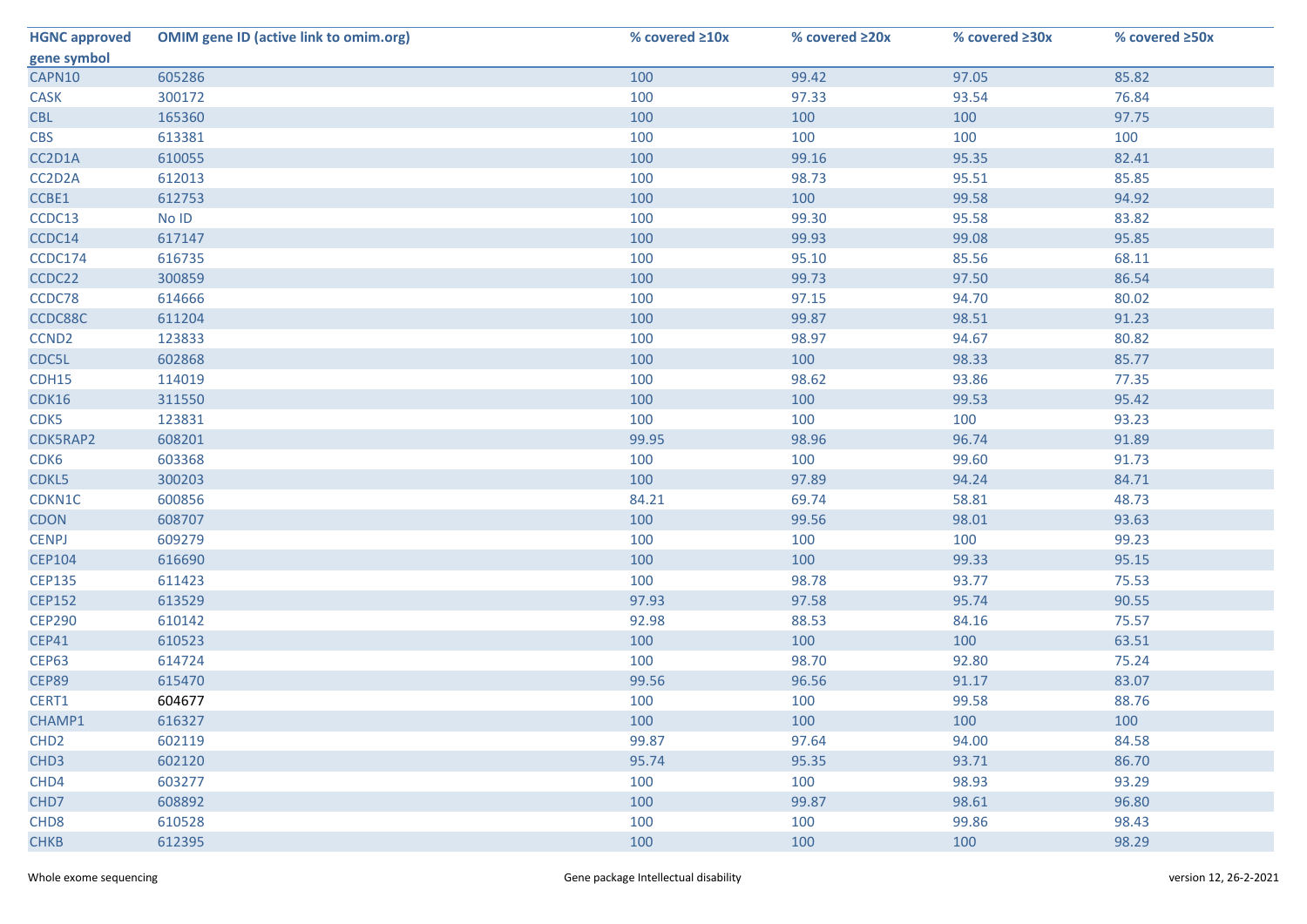| <b>HGNC approved</b> | <b>OMIM gene ID (active link to omim.org)</b> | % covered ≥10x | % covered ≥20x | % covered ≥30x | % covered ≥50x |
|----------------------|-----------------------------------------------|----------------|----------------|----------------|----------------|
| gene symbol          |                                               |                |                |                |                |
| CAPN10               | 605286                                        | 100            | 99.42          | 97.05          | 85.82          |
| CASK                 | 300172                                        | 100            | 97.33          | 93.54          | 76.84          |
| <b>CBL</b>           | 165360                                        | 100            | 100            | 100            | 97.75          |
| <b>CBS</b>           | 613381                                        | 100            | 100            | 100            | 100            |
| CC2D1A               | 610055                                        | 100            | 99.16          | 95.35          | 82.41          |
| CC2D2A               | 612013                                        | 100            | 98.73          | 95.51          | 85.85          |
| CCBE1                | 612753                                        | 100            | 100            | 99.58          | 94.92          |
| CCDC13               | No ID                                         | 100            | 99.30          | 95.58          | 83.82          |
| CCDC14               | 617147                                        | 100            | 99.93          | 99.08          | 95.85          |
| CCDC174              | 616735                                        | 100            | 95.10          | 85.56          | 68.11          |
| CCDC22               | 300859                                        | 100            | 99.73          | 97.50          | 86.54          |
| CCDC78               | 614666                                        | 100            | 97.15          | 94.70          | 80.02          |
| CCDC88C              | 611204                                        | 100            | 99.87          | 98.51          | 91.23          |
| CCND <sub>2</sub>    | 123833                                        | 100            | 98.97          | 94.67          | 80.82          |
| CDC5L                | 602868                                        | 100            | 100            | 98.33          | 85.77          |
| CDH15                | 114019                                        | 100            | 98.62          | 93.86          | 77.35          |
| CDK16                | 311550                                        | 100            | 100            | 99.53          | 95.42          |
| CDK5                 | 123831                                        | 100            | 100            | 100            | 93.23          |
| CDK5RAP2             | 608201                                        | 99.95          | 98.96          | 96.74          | 91.89          |
| CDK6                 | 603368                                        | 100            | 100            | 99.60          | 91.73          |
| CDKL5                | 300203                                        | 100            | 97.89          | 94.24          | 84.71          |
| CDKN1C               | 600856                                        | 84.21          | 69.74          | 58.81          | 48.73          |
| <b>CDON</b>          | 608707                                        | 100            | 99.56          | 98.01          | 93.63          |
| <b>CENPJ</b>         | 609279                                        | 100            | 100            | 100            | 99.23          |
| <b>CEP104</b>        | 616690                                        | 100            | 100            | 99.33          | 95.15          |
| <b>CEP135</b>        | 611423                                        | 100            | 98.78          | 93.77          | 75.53          |
| <b>CEP152</b>        | 613529                                        | 97.93          | 97.58          | 95.74          | 90.55          |
| <b>CEP290</b>        | 610142                                        | 92.98          | 88.53          | 84.16          | 75.57          |
| <b>CEP41</b>         | 610523                                        | 100            | 100            | 100            | 63.51          |
| <b>CEP63</b>         | 614724                                        | 100            | 98.70          | 92.80          | 75.24          |
| CEP89                | 615470                                        | 99.56          | 96.56          | 91.17          | 83.07          |
| CERT1                | 604677                                        | 100            | 100            | 99.58          | 88.76          |
| CHAMP1               | 616327                                        | 100            | 100            | 100            | 100            |
| CHD <sub>2</sub>     | 602119                                        | 99.87          | 97.64          | 94.00          | 84.58          |
| CHD <sub>3</sub>     | 602120                                        | 95.74          | 95.35          | 93.71          | 86.70          |
| CHD4                 | 603277                                        | 100            | 100            | 98.93          | 93.29          |
| CHD7                 | 608892                                        | 100            | 99.87          | 98.61          | 96.80          |
| CHD <sub>8</sub>     | 610528                                        | 100            | 100            | 99.86          | 98.43          |
| <b>CHKB</b>          | 612395                                        | 100            | 100            | 100            | 98.29          |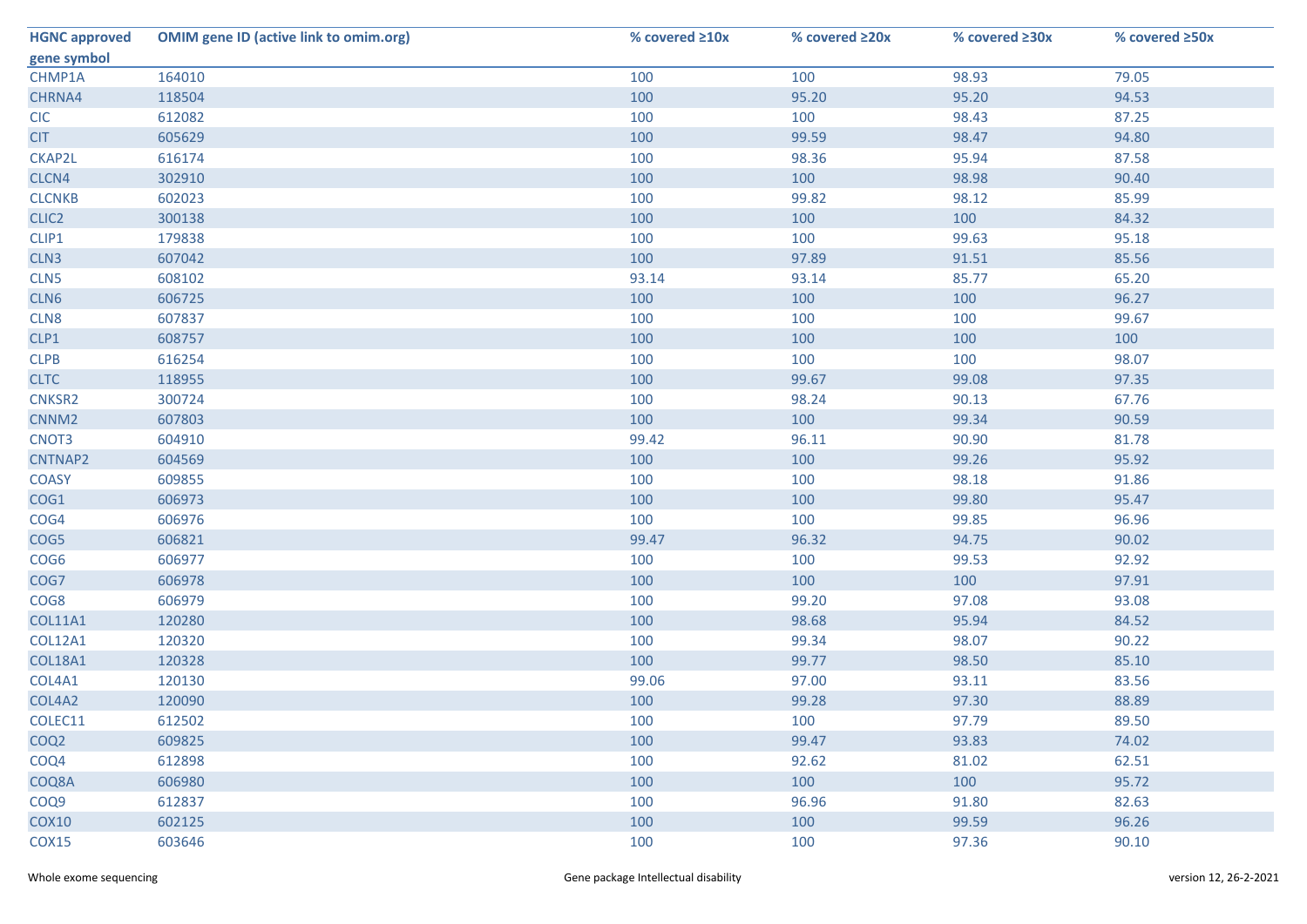| <b>HGNC approved</b> | <b>OMIM gene ID (active link to omim.org)</b> | % covered ≥10x | % covered ≥20x | % covered ≥30x | % covered ≥50x |
|----------------------|-----------------------------------------------|----------------|----------------|----------------|----------------|
| gene symbol          |                                               |                |                |                |                |
| CHMP1A               | 164010                                        | 100            | 100            | 98.93          | 79.05          |
| CHRNA4               | 118504                                        | 100            | 95.20          | 95.20          | 94.53          |
| <b>CIC</b>           | 612082                                        | 100            | 100            | 98.43          | 87.25          |
| <b>CIT</b>           | 605629                                        | 100            | 99.59          | 98.47          | 94.80          |
| CKAP2L               | 616174                                        | 100            | 98.36          | 95.94          | 87.58          |
| CLCN4                | 302910                                        | 100            | 100            | 98.98          | 90.40          |
| <b>CLCNKB</b>        | 602023                                        | 100            | 99.82          | 98.12          | 85.99          |
| CLIC <sub>2</sub>    | 300138                                        | 100            | 100            | 100            | 84.32          |
| CLIP1                | 179838                                        | 100            | 100            | 99.63          | 95.18          |
| CLN3                 | 607042                                        | 100            | 97.89          | 91.51          | 85.56          |
| CLN5                 | 608102                                        | 93.14          | 93.14          | 85.77          | 65.20          |
| CLN6                 | 606725                                        | 100            | 100            | 100            | 96.27          |
| CLN8                 | 607837                                        | 100            | 100            | 100            | 99.67          |
| CLP1                 | 608757                                        | 100            | 100            | 100            | 100            |
| CLPB                 | 616254                                        | 100            | 100            | 100            | 98.07          |
| <b>CLTC</b>          | 118955                                        | 100            | 99.67          | 99.08          | 97.35          |
| CNKSR2               | 300724                                        | 100            | 98.24          | 90.13          | 67.76          |
| CNNM <sub>2</sub>    | 607803                                        | 100            | 100            | 99.34          | 90.59          |
| CNOT3                | 604910                                        | 99.42          | 96.11          | 90.90          | 81.78          |
| CNTNAP2              | 604569                                        | 100            | 100            | 99.26          | 95.92          |
| <b>COASY</b>         | 609855                                        | 100            | 100            | 98.18          | 91.86          |
| COG1                 | 606973                                        | 100            | 100            | 99.80          | 95.47          |
| COG4                 | 606976                                        | 100            | 100            | 99.85          | 96.96          |
| COG5                 | 606821                                        | 99.47          | 96.32          | 94.75          | 90.02          |
| COG <sub>6</sub>     | 606977                                        | 100            | 100            | 99.53          | 92.92          |
| COG7                 | 606978                                        | 100            | 100            | 100            | 97.91          |
| COG8                 | 606979                                        | 100            | 99.20          | 97.08          | 93.08          |
| <b>COL11A1</b>       | 120280                                        | 100            | 98.68          | 95.94          | 84.52          |
| <b>COL12A1</b>       | 120320                                        | 100            | 99.34          | 98.07          | 90.22          |
| <b>COL18A1</b>       | 120328                                        | 100            | 99.77          | 98.50          | 85.10          |
| COL4A1               | 120130                                        | 99.06          | 97.00          | 93.11          | 83.56          |
| COL4A2               | 120090                                        | 100            | 99.28          | 97.30          | 88.89          |
| COLEC11              | 612502                                        | 100            | 100            | 97.79          | 89.50          |
| COQ <sub>2</sub>     | 609825                                        | 100            | 99.47          | 93.83          | 74.02          |
| COQ4                 | 612898                                        | 100            | 92.62          | 81.02          | 62.51          |
| COQ8A                | 606980                                        | 100            | 100            | 100            | 95.72          |
| COQ9                 | 612837                                        | 100            | 96.96          | 91.80          | 82.63          |
| <b>COX10</b>         | 602125                                        | 100            | 100            | 99.59          | 96.26          |
| <b>COX15</b>         | 603646                                        | 100            | 100            | 97.36          | 90.10          |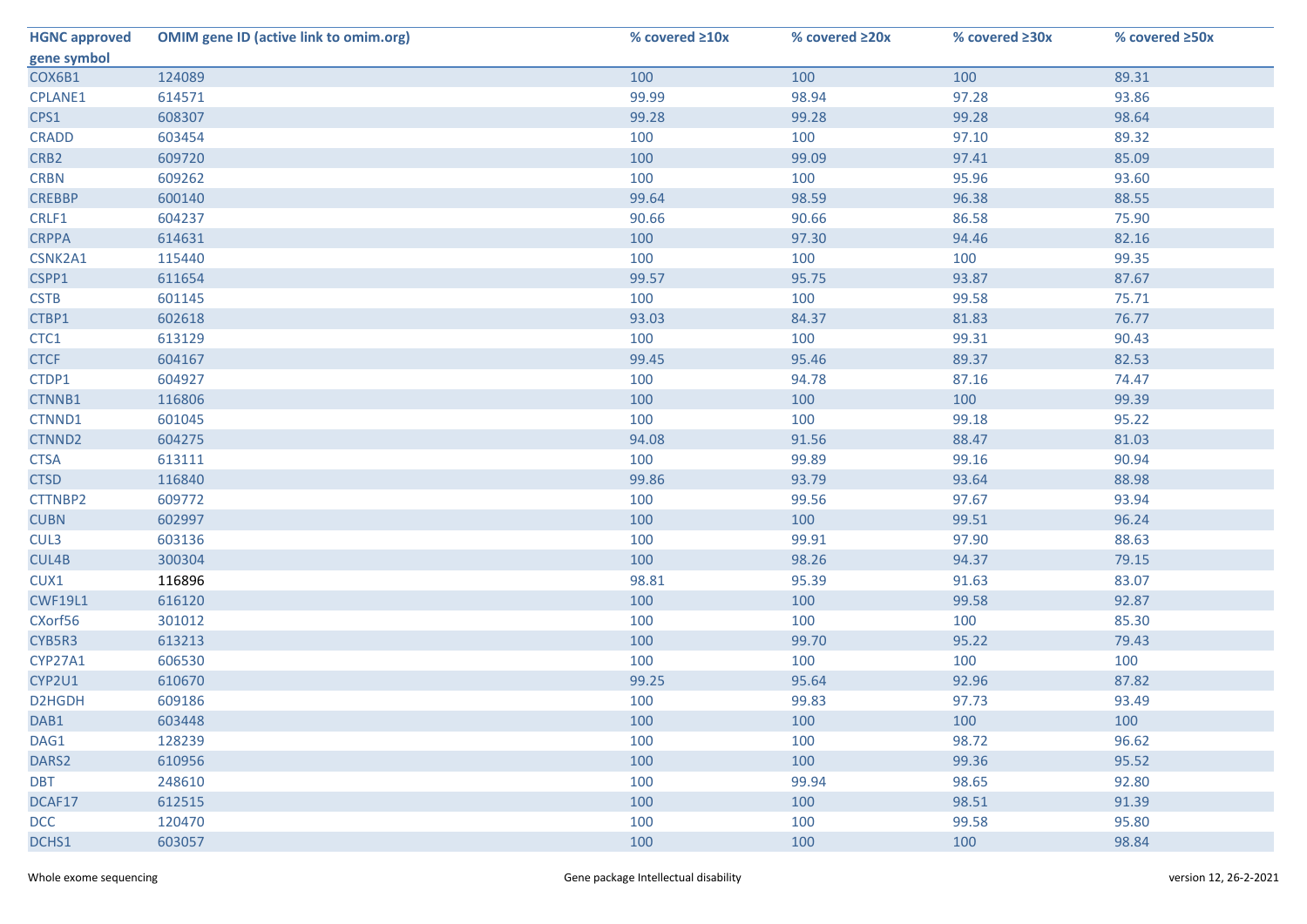| <b>HGNC approved</b> | <b>OMIM gene ID (active link to omim.org)</b> | % covered ≥10x | % covered ≥20x | % covered ≥30x | % covered ≥50x |
|----------------------|-----------------------------------------------|----------------|----------------|----------------|----------------|
| gene symbol          |                                               |                |                |                |                |
| COX6B1               | 124089                                        | 100            | 100            | 100            | 89.31          |
| <b>CPLANE1</b>       | 614571                                        | 99.99          | 98.94          | 97.28          | 93.86          |
| CPS1                 | 608307                                        | 99.28          | 99.28          | 99.28          | 98.64          |
| <b>CRADD</b>         | 603454                                        | 100            | 100            | 97.10          | 89.32          |
| CRB <sub>2</sub>     | 609720                                        | 100            | 99.09          | 97.41          | 85.09          |
| <b>CRBN</b>          | 609262                                        | 100            | 100            | 95.96          | 93.60          |
| <b>CREBBP</b>        | 600140                                        | 99.64          | 98.59          | 96.38          | 88.55          |
| CRLF1                | 604237                                        | 90.66          | 90.66          | 86.58          | 75.90          |
| <b>CRPPA</b>         | 614631                                        | 100            | 97.30          | 94.46          | 82.16          |
| CSNK2A1              | 115440                                        | 100            | 100            | 100            | 99.35          |
| CSPP1                | 611654                                        | 99.57          | 95.75          | 93.87          | 87.67          |
| <b>CSTB</b>          | 601145                                        | 100            | 100            | 99.58          | 75.71          |
| CTBP1                | 602618                                        | 93.03          | 84.37          | 81.83          | 76.77          |
| CTC1                 | 613129                                        | 100            | 100            | 99.31          | 90.43          |
| <b>CTCF</b>          | 604167                                        | 99.45          | 95.46          | 89.37          | 82.53          |
| CTDP1                | 604927                                        | 100            | 94.78          | 87.16          | 74.47          |
| CTNNB1               | 116806                                        | 100            | 100            | 100            | 99.39          |
| CTNND1               | 601045                                        | 100            | 100            | 99.18          | 95.22          |
| CTNND2               | 604275                                        | 94.08          | 91.56          | 88.47          | 81.03          |
| <b>CTSA</b>          | 613111                                        | 100            | 99.89          | 99.16          | 90.94          |
| <b>CTSD</b>          | 116840                                        | 99.86          | 93.79          | 93.64          | 88.98          |
| CTTNBP2              | 609772                                        | 100            | 99.56          | 97.67          | 93.94          |
| <b>CUBN</b>          | 602997                                        | 100            | 100            | 99.51          | 96.24          |
| CUL3                 | 603136                                        | 100            | 99.91          | 97.90          | 88.63          |
| CUL4B                | 300304                                        | 100            | 98.26          | 94.37          | 79.15          |
| CUX1                 | 116896                                        | 98.81          | 95.39          | 91.63          | 83.07          |
| <b>CWF19L1</b>       | 616120                                        | 100            | 100            | 99.58          | 92.87          |
| CXorf56              | 301012                                        | 100            | 100            | 100            | 85.30          |
| CYB5R3               | 613213                                        | 100            | 99.70          | 95.22          | 79.43          |
| CYP27A1              | 606530                                        | 100            | 100            | 100            | 100            |
| CYP2U1               | 610670                                        | 99.25          | 95.64          | 92.96          | 87.82          |
| D2HGDH               | 609186                                        | 100            | 99.83          | 97.73          | 93.49          |
| DAB1                 | 603448                                        | 100            | 100            | 100            | 100            |
| DAG1                 | 128239                                        | 100            | 100            | 98.72          | 96.62          |
| DARS2                | 610956                                        | 100            | 100            | 99.36          | 95.52          |
| <b>DBT</b>           | 248610                                        | 100            | 99.94          | 98.65          | 92.80          |
| DCAF17               | 612515                                        | 100            | 100            | 98.51          | 91.39          |
| <b>DCC</b>           | 120470                                        | 100            | 100            | 99.58          | 95.80          |
| DCHS1                | 603057                                        | 100            | 100            | 100            | 98.84          |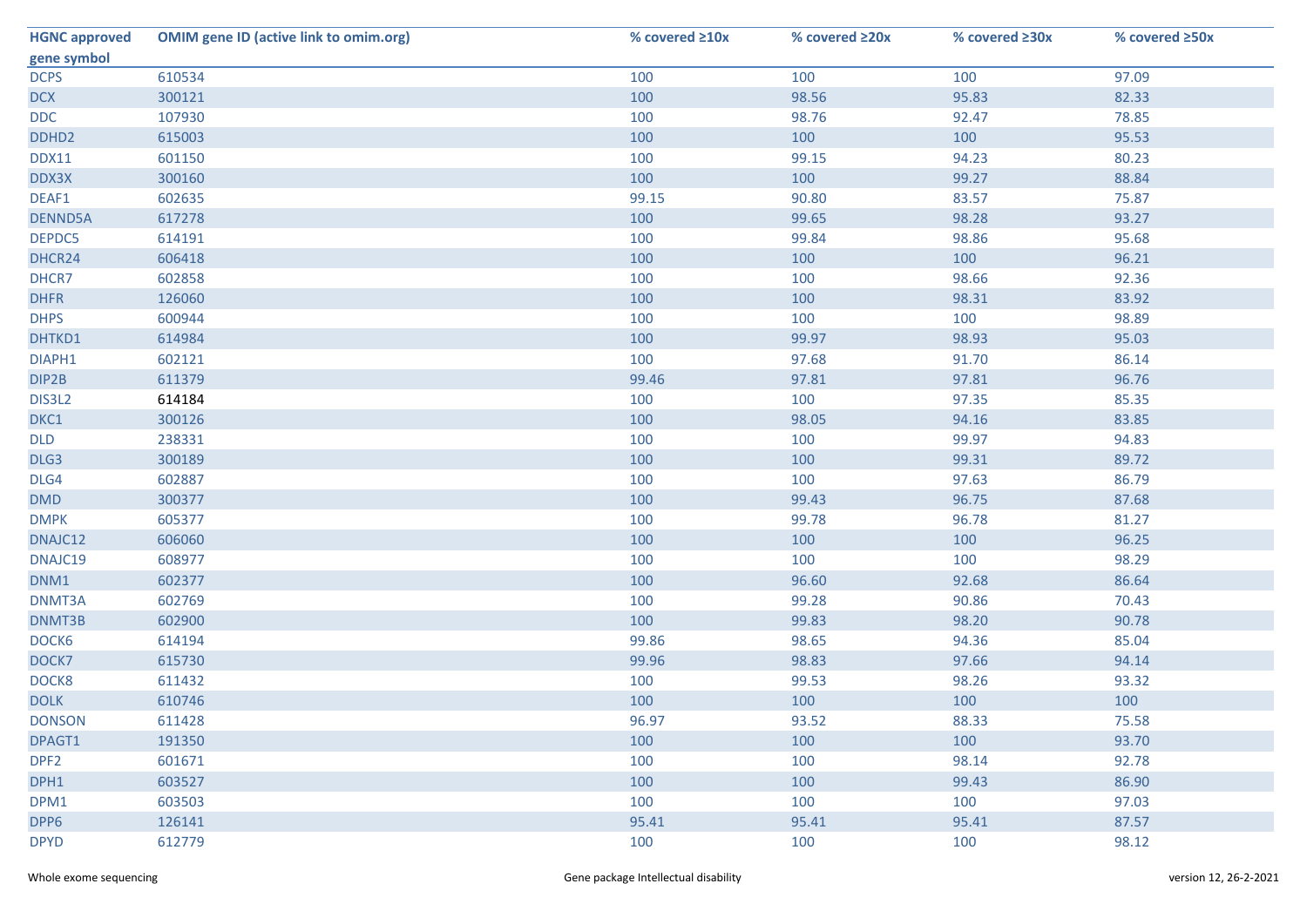| <b>HGNC approved</b> | <b>OMIM gene ID (active link to omim.org)</b> | % covered ≥10x | % covered ≥20x | % covered ≥30x | % covered ≥50x |
|----------------------|-----------------------------------------------|----------------|----------------|----------------|----------------|
| gene symbol          |                                               |                |                |                |                |
| <b>DCPS</b>          | 610534                                        | 100            | 100            | 100            | 97.09          |
| <b>DCX</b>           | 300121                                        | 100            | 98.56          | 95.83          | 82.33          |
| <b>DDC</b>           | 107930                                        | 100            | 98.76          | 92.47          | 78.85          |
| DDHD <sub>2</sub>    | 615003                                        | 100            | 100            | 100            | 95.53          |
| <b>DDX11</b>         | 601150                                        | 100            | 99.15          | 94.23          | 80.23          |
| DDX3X                | 300160                                        | 100            | 100            | 99.27          | 88.84          |
| DEAF1                | 602635                                        | 99.15          | 90.80          | 83.57          | 75.87          |
| <b>DENND5A</b>       | 617278                                        | 100            | 99.65          | 98.28          | 93.27          |
| DEPDC5               | 614191                                        | 100            | 99.84          | 98.86          | 95.68          |
| DHCR24               | 606418                                        | 100            | 100            | 100            | 96.21          |
| DHCR7                | 602858                                        | 100            | 100            | 98.66          | 92.36          |
| <b>DHFR</b>          | 126060                                        | 100            | 100            | 98.31          | 83.92          |
| <b>DHPS</b>          | 600944                                        | 100            | 100            | 100            | 98.89          |
| DHTKD1               | 614984                                        | 100            | 99.97          | 98.93          | 95.03          |
| DIAPH1               | 602121                                        | 100            | 97.68          | 91.70          | 86.14          |
| DIP2B                | 611379                                        | 99.46          | 97.81          | 97.81          | 96.76          |
| DIS3L2               | 614184                                        | 100            | 100            | 97.35          | 85.35          |
| DKC1                 | 300126                                        | 100            | 98.05          | 94.16          | 83.85          |
| <b>DLD</b>           | 238331                                        | 100            | 100            | 99.97          | 94.83          |
| DLG3                 | 300189                                        | 100            | 100            | 99.31          | 89.72          |
| DLG4                 | 602887                                        | 100            | 100            | 97.63          | 86.79          |
| <b>DMD</b>           | 300377                                        | 100            | 99.43          | 96.75          | 87.68          |
| <b>DMPK</b>          | 605377                                        | 100            | 99.78          | 96.78          | 81.27          |
| DNAJC12              | 606060                                        | 100            | 100            | 100            | 96.25          |
| DNAJC19              | 608977                                        | 100            | 100            | 100            | 98.29          |
| DNM1                 | 602377                                        | 100            | 96.60          | 92.68          | 86.64          |
| DNMT3A               | 602769                                        | 100            | 99.28          | 90.86          | 70.43          |
| DNMT3B               | 602900                                        | 100            | 99.83          | 98.20          | 90.78          |
| DOCK6                | 614194                                        | 99.86          | 98.65          | 94.36          | 85.04          |
| DOCK7                | 615730                                        | 99.96          | 98.83          | 97.66          | 94.14          |
| DOCK8                | 611432                                        | 100            | 99.53          | 98.26          | 93.32          |
| <b>DOLK</b>          | 610746                                        | 100            | 100            | 100            | 100            |
| <b>DONSON</b>        | 611428                                        | 96.97          | 93.52          | 88.33          | 75.58          |
| DPAGT1               | 191350                                        | 100            | 100            | 100            | 93.70          |
| DPF <sub>2</sub>     | 601671                                        | 100            | 100            | 98.14          | 92.78          |
| DPH1                 | 603527                                        | 100            | 100            | 99.43          | 86.90          |
| DPM1                 | 603503                                        | 100            | 100            | 100            | 97.03          |
| DPP6                 | 126141                                        | 95.41          | 95.41          | 95.41          | 87.57          |
| <b>DPYD</b>          | 612779                                        | 100            | 100            | 100            | 98.12          |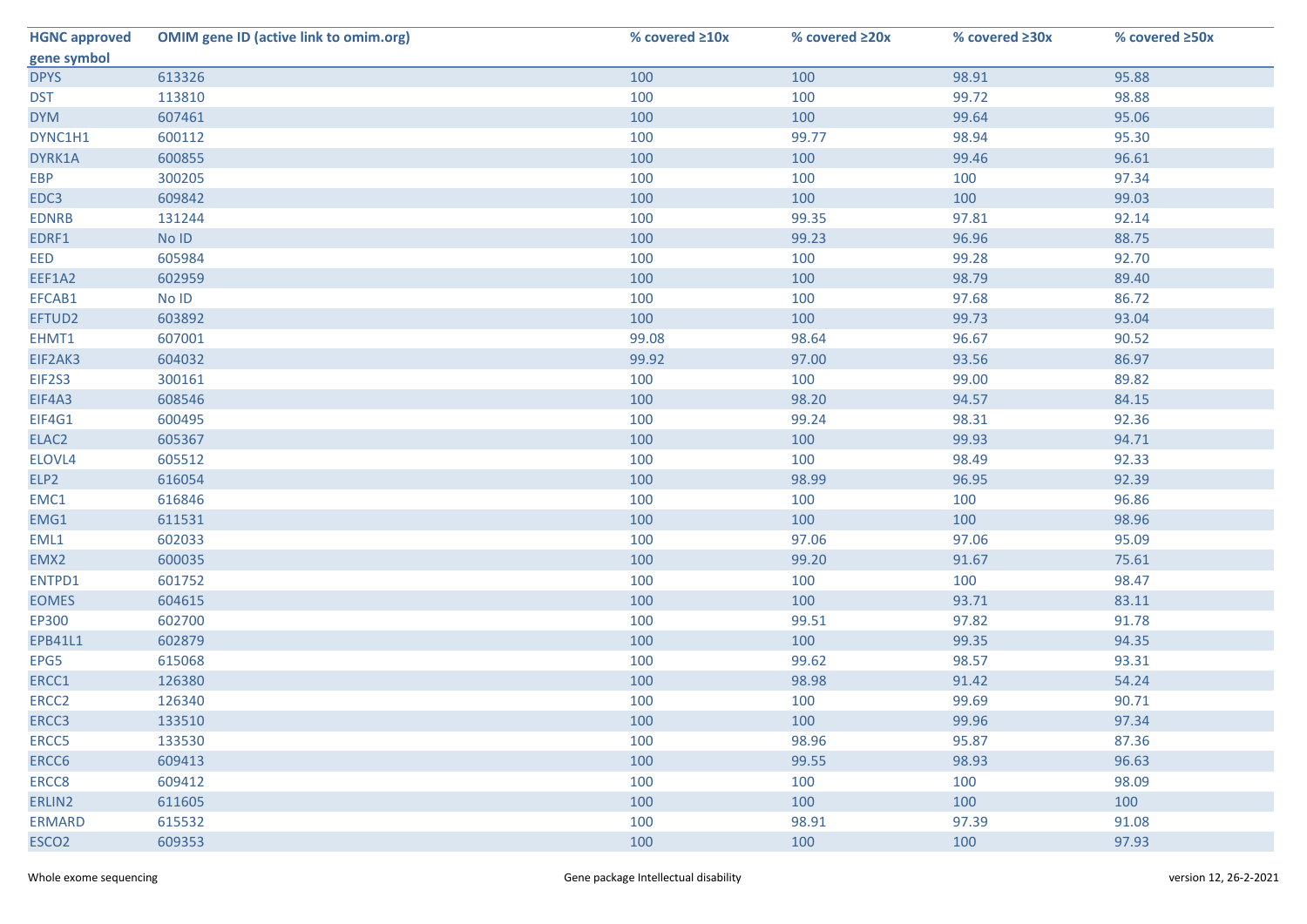| <b>HGNC approved</b> | <b>OMIM gene ID (active link to omim.org)</b> | % covered ≥10x | % covered ≥20x | % covered ≥30x | % covered ≥50x |
|----------------------|-----------------------------------------------|----------------|----------------|----------------|----------------|
| gene symbol          |                                               |                |                |                |                |
| <b>DPYS</b>          | 613326                                        | 100            | 100            | 98.91          | 95.88          |
| <b>DST</b>           | 113810                                        | 100            | 100            | 99.72          | 98.88          |
| <b>DYM</b>           | 607461                                        | 100            | 100            | 99.64          | 95.06          |
| DYNC1H1              | 600112                                        | 100            | 99.77          | 98.94          | 95.30          |
| DYRK1A               | 600855                                        | 100            | 100            | 99.46          | 96.61          |
| <b>EBP</b>           | 300205                                        | 100            | 100            | 100            | 97.34          |
| EDC3                 | 609842                                        | 100            | 100            | 100            | 99.03          |
| <b>EDNRB</b>         | 131244                                        | 100            | 99.35          | 97.81          | 92.14          |
| EDRF1                | No ID                                         | 100            | 99.23          | 96.96          | 88.75          |
| EED                  | 605984                                        | 100            | 100            | 99.28          | 92.70          |
| EEF1A2               | 602959                                        | 100            | 100            | 98.79          | 89.40          |
| EFCAB1               | No ID                                         | 100            | 100            | 97.68          | 86.72          |
| EFTUD2               | 603892                                        | 100            | 100            | 99.73          | 93.04          |
| EHMT1                | 607001                                        | 99.08          | 98.64          | 96.67          | 90.52          |
| EIF2AK3              | 604032                                        | 99.92          | 97.00          | 93.56          | 86.97          |
| EIF2S3               | 300161                                        | 100            | 100            | 99.00          | 89.82          |
| EIF4A3               | 608546                                        | 100            | 98.20          | 94.57          | 84.15          |
| EIF4G1               | 600495                                        | 100            | 99.24          | 98.31          | 92.36          |
| ELAC2                | 605367                                        | 100            | 100            | 99.93          | 94.71          |
| ELOVL4               | 605512                                        | 100            | 100            | 98.49          | 92.33          |
| ELP2                 | 616054                                        | 100            | 98.99          | 96.95          | 92.39          |
| EMC1                 | 616846                                        | 100            | 100            | 100            | 96.86          |
| EMG1                 | 611531                                        | 100            | 100            | 100            | 98.96          |
| EML1                 | 602033                                        | 100            | 97.06          | 97.06          | 95.09          |
| EMX2                 | 600035                                        | 100            | 99.20          | 91.67          | 75.61          |
| ENTPD1               | 601752                                        | 100            | 100            | 100            | 98.47          |
| <b>EOMES</b>         | 604615                                        | 100            | 100            | 93.71          | 83.11          |
| EP300                | 602700                                        | 100            | 99.51          | 97.82          | 91.78          |
| EPB41L1              | 602879                                        | 100            | 100            | 99.35          | 94.35          |
| EPG5                 | 615068                                        | 100            | 99.62          | 98.57          | 93.31          |
| ERCC1                | 126380                                        | 100            | 98.98          | 91.42          | 54.24          |
| ERCC <sub>2</sub>    | 126340                                        | 100            | 100            | 99.69          | 90.71          |
| ERCC3                | 133510                                        | 100            | 100            | 99.96          | 97.34          |
| ERCC5                | 133530                                        | 100            | 98.96          | 95.87          | 87.36          |
| ERCC6                | 609413                                        | 100            | 99.55          | 98.93          | 96.63          |
| ERCC8                | 609412                                        | 100            | 100            | 100            | 98.09          |
| ERLIN2               | 611605                                        | 100            | 100            | 100            | 100            |
| <b>ERMARD</b>        | 615532                                        | 100            | 98.91          | 97.39          | 91.08          |
| ESCO <sub>2</sub>    | 609353                                        | 100            | 100            | 100            | 97.93          |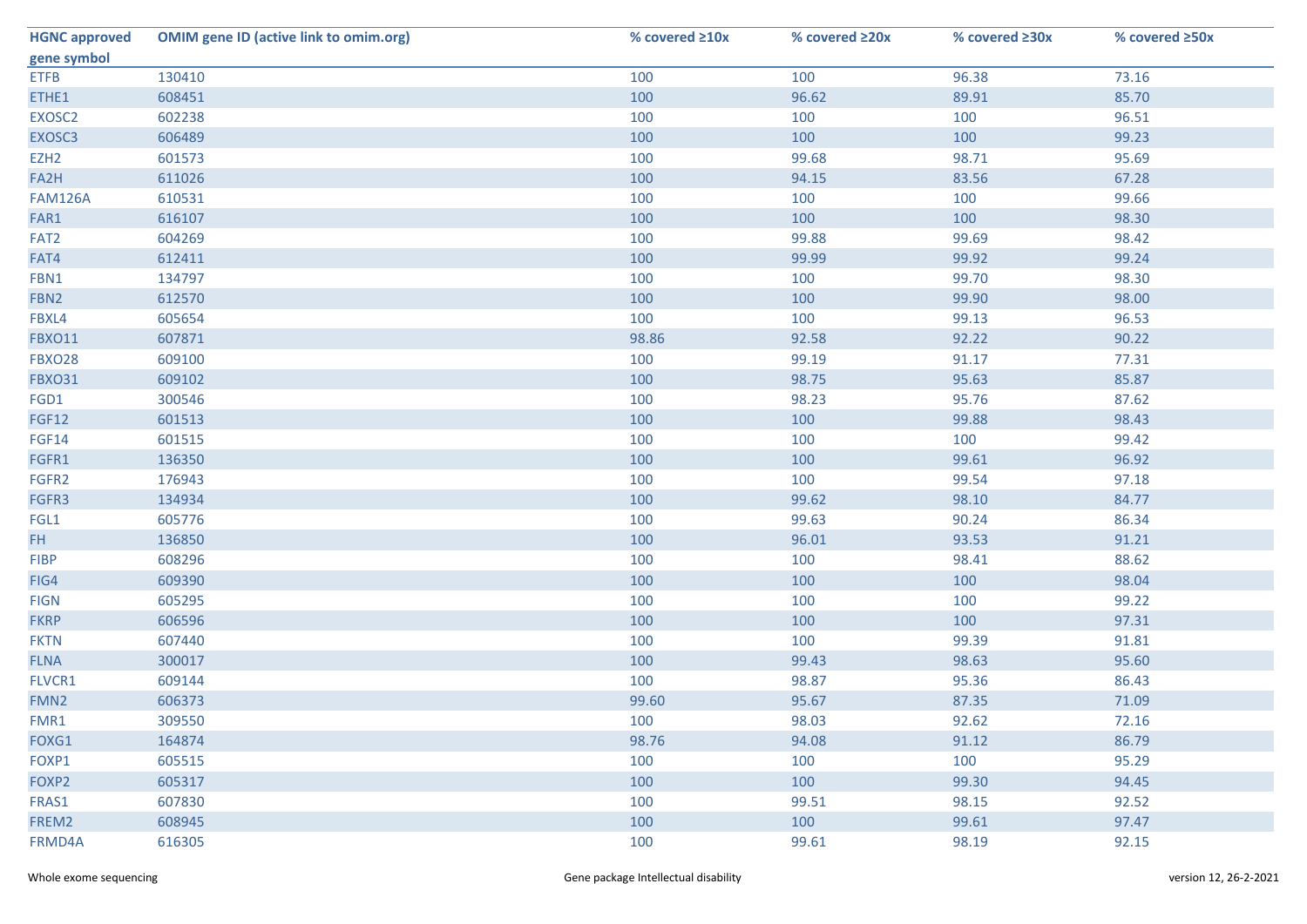| <b>HGNC approved</b> | <b>OMIM gene ID (active link to omim.org)</b> | % covered ≥10x | % covered ≥20x | % covered ≥30x | % covered ≥50x |
|----------------------|-----------------------------------------------|----------------|----------------|----------------|----------------|
| gene symbol          |                                               |                |                |                |                |
| <b>ETFB</b>          | 130410                                        | 100            | 100            | 96.38          | 73.16          |
| ETHE1                | 608451                                        | 100            | 96.62          | 89.91          | 85.70          |
| EXOSC2               | 602238                                        | 100            | 100            | 100            | 96.51          |
| EXOSC3               | 606489                                        | 100            | 100            | 100            | 99.23          |
| EZH <sub>2</sub>     | 601573                                        | 100            | 99.68          | 98.71          | 95.69          |
| FA2H                 | 611026                                        | 100            | 94.15          | 83.56          | 67.28          |
| <b>FAM126A</b>       | 610531                                        | 100            | 100            | 100            | 99.66          |
| FAR1                 | 616107                                        | 100            | 100            | 100            | 98.30          |
| FAT <sub>2</sub>     | 604269                                        | 100            | 99.88          | 99.69          | 98.42          |
| FAT4                 | 612411                                        | 100            | 99.99          | 99.92          | 99.24          |
| FBN1                 | 134797                                        | 100            | 100            | 99.70          | 98.30          |
| FBN <sub>2</sub>     | 612570                                        | 100            | 100            | 99.90          | 98.00          |
| FBXL4                | 605654                                        | 100            | 100            | 99.13          | 96.53          |
| <b>FBXO11</b>        | 607871                                        | 98.86          | 92.58          | 92.22          | 90.22          |
| <b>FBXO28</b>        | 609100                                        | 100            | 99.19          | 91.17          | 77.31          |
| <b>FBXO31</b>        | 609102                                        | 100            | 98.75          | 95.63          | 85.87          |
| FGD1                 | 300546                                        | 100            | 98.23          | 95.76          | 87.62          |
| <b>FGF12</b>         | 601513                                        | 100            | 100            | 99.88          | 98.43          |
| FGF14                | 601515                                        | 100            | 100            | 100            | 99.42          |
| FGFR1                | 136350                                        | 100            | 100            | 99.61          | 96.92          |
| FGFR2                | 176943                                        | 100            | 100            | 99.54          | 97.18          |
| FGFR3                | 134934                                        | 100            | 99.62          | 98.10          | 84.77          |
| FGL1                 | 605776                                        | 100            | 99.63          | 90.24          | 86.34          |
| FH.                  | 136850                                        | 100            | 96.01          | 93.53          | 91.21          |
| <b>FIBP</b>          | 608296                                        | 100            | 100            | 98.41          | 88.62          |
| FIG4                 | 609390                                        | 100            | 100            | 100            | 98.04          |
| <b>FIGN</b>          | 605295                                        | 100            | 100            | 100            | 99.22          |
| <b>FKRP</b>          | 606596                                        | 100            | 100            | 100            | 97.31          |
| <b>FKTN</b>          | 607440                                        | 100            | 100            | 99.39          | 91.81          |
| <b>FLNA</b>          | 300017                                        | 100            | 99.43          | 98.63          | 95.60          |
| FLVCR1               | 609144                                        | 100            | 98.87          | 95.36          | 86.43          |
| FMN <sub>2</sub>     | 606373                                        | 99.60          | 95.67          | 87.35          | 71.09          |
| FMR1                 | 309550                                        | 100            | 98.03          | 92.62          | 72.16          |
| FOXG1                | 164874                                        | 98.76          | 94.08          | 91.12          | 86.79          |
| FOXP1                | 605515                                        | 100            | 100            | 100            | 95.29          |
| FOXP2                | 605317                                        | 100            | 100            | 99.30          | 94.45          |
| FRAS1                | 607830                                        | 100            | 99.51          | 98.15          | 92.52          |
| FREM2                | 608945                                        | 100            | 100            | 99.61          | 97.47          |
| FRMD4A               | 616305                                        | 100            | 99.61          | 98.19          | 92.15          |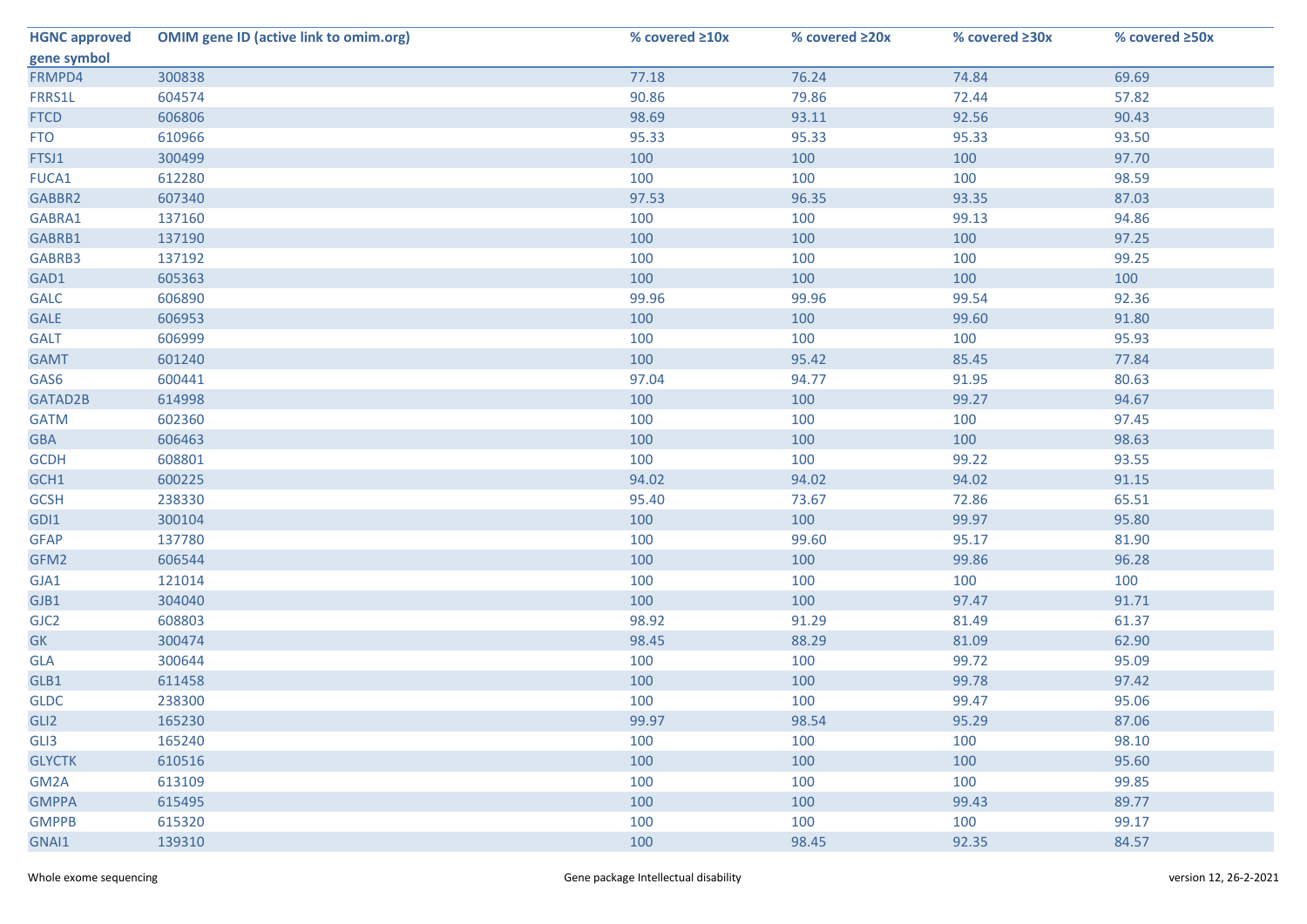| <b>HGNC approved</b> | <b>OMIM gene ID (active link to omim.org)</b> | % covered ≥10x | % covered ≥20x | % covered ≥30x | % covered ≥50x |
|----------------------|-----------------------------------------------|----------------|----------------|----------------|----------------|
| gene symbol          |                                               |                |                |                |                |
| FRMPD4               | 300838                                        | 77.18          | 76.24          | 74.84          | 69.69          |
| FRRS1L               | 604574                                        | 90.86          | 79.86          | 72.44          | 57.82          |
| <b>FTCD</b>          | 606806                                        | 98.69          | 93.11          | 92.56          | 90.43          |
| <b>FTO</b>           | 610966                                        | 95.33          | 95.33          | 95.33          | 93.50          |
| FTSJ1                | 300499                                        | 100            | 100            | 100            | 97.70          |
| FUCA1                | 612280                                        | 100            | 100            | 100            | 98.59          |
| GABBR2               | 607340                                        | 97.53          | 96.35          | 93.35          | 87.03          |
| GABRA1               | 137160                                        | 100            | 100            | 99.13          | 94.86          |
| GABRB1               | 137190                                        | 100            | 100            | 100            | 97.25          |
| GABRB3               | 137192                                        | 100            | 100            | 100            | 99.25          |
| GAD1                 | 605363                                        | 100            | 100            | 100            | 100            |
| <b>GALC</b>          | 606890                                        | 99.96          | 99.96          | 99.54          | 92.36          |
| GALE                 | 606953                                        | 100            | 100            | 99.60          | 91.80          |
| <b>GALT</b>          | 606999                                        | 100            | 100            | 100            | 95.93          |
| <b>GAMT</b>          | 601240                                        | 100            | 95.42          | 85.45          | 77.84          |
| GAS6                 | 600441                                        | 97.04          | 94.77          | 91.95          | 80.63          |
| GATAD2B              | 614998                                        | 100            | 100            | 99.27          | 94.67          |
| <b>GATM</b>          | 602360                                        | 100            | 100            | 100            | 97.45          |
| <b>GBA</b>           | 606463                                        | 100            | 100            | 100            | 98.63          |
| <b>GCDH</b>          | 608801                                        | 100            | 100            | 99.22          | 93.55          |
| GCH1                 | 600225                                        | 94.02          | 94.02          | 94.02          | 91.15          |
| <b>GCSH</b>          | 238330                                        | 95.40          | 73.67          | 72.86          | 65.51          |
| GDI1                 | 300104                                        | 100            | 100            | 99.97          | 95.80          |
| <b>GFAP</b>          | 137780                                        | 100            | 99.60          | 95.17          | 81.90          |
| GFM2                 | 606544                                        | 100            | 100            | 99.86          | 96.28          |
| GJA1                 | 121014                                        | 100            | 100            | 100            | 100            |
| GJB1                 | 304040                                        | 100            | 100            | 97.47          | 91.71          |
| GJC <sub>2</sub>     | 608803                                        | 98.92          | 91.29          | 81.49          | 61.37          |
| GK                   | 300474                                        | 98.45          | 88.29          | 81.09          | 62.90          |
| GLA                  | 300644                                        | 100            | 100            | 99.72          | 95.09          |
| GLB1                 | 611458                                        | 100            | 100            | 99.78          | 97.42          |
| <b>GLDC</b>          | 238300                                        | 100            | 100            | 99.47          | 95.06          |
| GLI <sub>2</sub>     | 165230                                        | 99.97          | 98.54          | 95.29          | 87.06          |
| GLI3                 | 165240                                        | 100            | 100            | 100            | 98.10          |
| <b>GLYCTK</b>        | 610516                                        | 100            | 100            | 100            | 95.60          |
| GM2A                 | 613109                                        | 100            | 100            | 100            | 99.85          |
| <b>GMPPA</b>         | 615495                                        | 100            | 100            | 99.43          | 89.77          |
| <b>GMPPB</b>         | 615320                                        | 100            | 100            | 100            | 99.17          |
| GNAI1                | 139310                                        | 100            | 98.45          | 92.35          | 84.57          |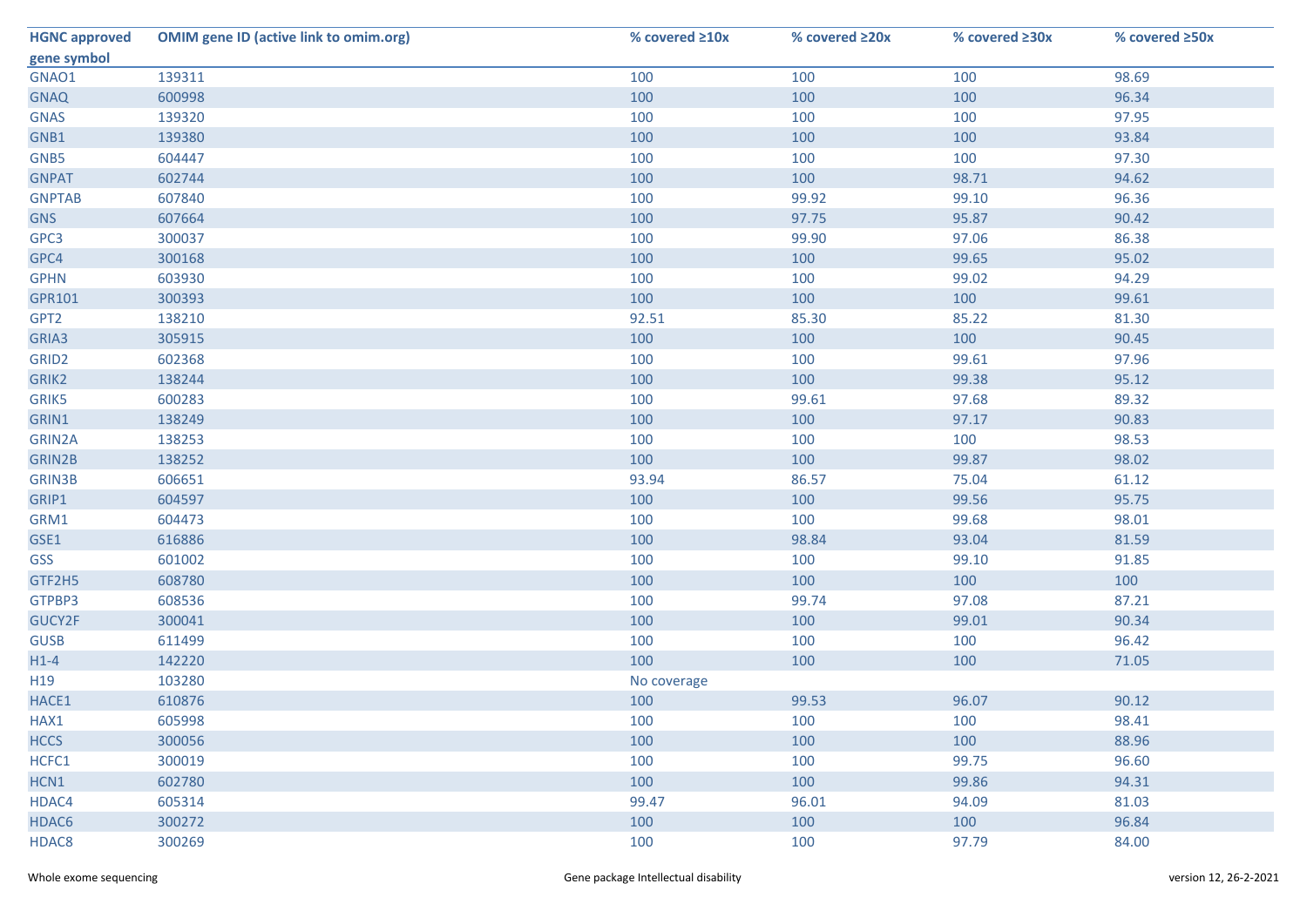| <b>HGNC approved</b> | <b>OMIM gene ID (active link to omim.org)</b> | % covered ≥10x | % covered ≥20x | % covered ≥30x | % covered ≥50x |
|----------------------|-----------------------------------------------|----------------|----------------|----------------|----------------|
| gene symbol          |                                               |                |                |                |                |
| GNAO1                | 139311                                        | 100            | 100            | 100            | 98.69          |
| <b>GNAQ</b>          | 600998                                        | 100            | 100            | 100            | 96.34          |
| <b>GNAS</b>          | 139320                                        | 100            | 100            | 100            | 97.95          |
| GNB1                 | 139380                                        | 100            | 100            | 100            | 93.84          |
| GNB5                 | 604447                                        | 100            | 100            | 100            | 97.30          |
| <b>GNPAT</b>         | 602744                                        | 100            | 100            | 98.71          | 94.62          |
| <b>GNPTAB</b>        | 607840                                        | 100            | 99.92          | 99.10          | 96.36          |
| <b>GNS</b>           | 607664                                        | 100            | 97.75          | 95.87          | 90.42          |
| GPC3                 | 300037                                        | 100            | 99.90          | 97.06          | 86.38          |
| GPC4                 | 300168                                        | 100            | 100            | 99.65          | 95.02          |
| <b>GPHN</b>          | 603930                                        | 100            | 100            | 99.02          | 94.29          |
| GPR101               | 300393                                        | 100            | 100            | 100            | 99.61          |
| GPT <sub>2</sub>     | 138210                                        | 92.51          | 85.30          | 85.22          | 81.30          |
| GRIA3                | 305915                                        | 100            | 100            | 100            | 90.45          |
| GRID <sub>2</sub>    | 602368                                        | 100            | 100            | 99.61          | 97.96          |
| GRIK2                | 138244                                        | 100            | 100            | 99.38          | 95.12          |
| GRIK5                | 600283                                        | 100            | 99.61          | 97.68          | 89.32          |
| GRIN1                | 138249                                        | 100            | 100            | 97.17          | 90.83          |
| GRIN2A               | 138253                                        | 100            | 100            | 100            | 98.53          |
| GRIN2B               | 138252                                        | 100            | 100            | 99.87          | 98.02          |
| <b>GRIN3B</b>        | 606651                                        | 93.94          | 86.57          | 75.04          | 61.12          |
| GRIP1                | 604597                                        | 100            | 100            | 99.56          | 95.75          |
| GRM1                 | 604473                                        | 100            | 100            | 99.68          | 98.01          |
| GSE1                 | 616886                                        | 100            | 98.84          | 93.04          | 81.59          |
| GSS                  | 601002                                        | 100            | 100            | 99.10          | 91.85          |
| GTF2H5               | 608780                                        | 100            | 100            | 100            | 100            |
| GTPBP3               | 608536                                        | 100            | 99.74          | 97.08          | 87.21          |
| GUCY2F               | 300041                                        | 100            | 100            | 99.01          | 90.34          |
| <b>GUSB</b>          | 611499                                        | 100            | 100            | 100            | 96.42          |
| $H1-4$               | 142220                                        | 100            | 100            | 100            | 71.05          |
| H19                  | 103280                                        | No coverage    |                |                |                |
| HACE1                | 610876                                        | 100            | 99.53          | 96.07          | 90.12          |
| HAX1                 | 605998                                        | 100            | 100            | 100            | 98.41          |
| <b>HCCS</b>          | 300056                                        | 100            | 100            | 100            | 88.96          |
| HCFC1                | 300019                                        | 100            | 100            | 99.75          | 96.60          |
| HCN1                 | 602780                                        | 100            | 100            | 99.86          | 94.31          |
| HDAC4                | 605314                                        | 99.47          | 96.01          | 94.09          | 81.03          |
| HDAC6                | 300272                                        | 100            | 100            | 100            | 96.84          |
| HDAC8                | 300269                                        | 100            | 100            | 97.79          | 84.00          |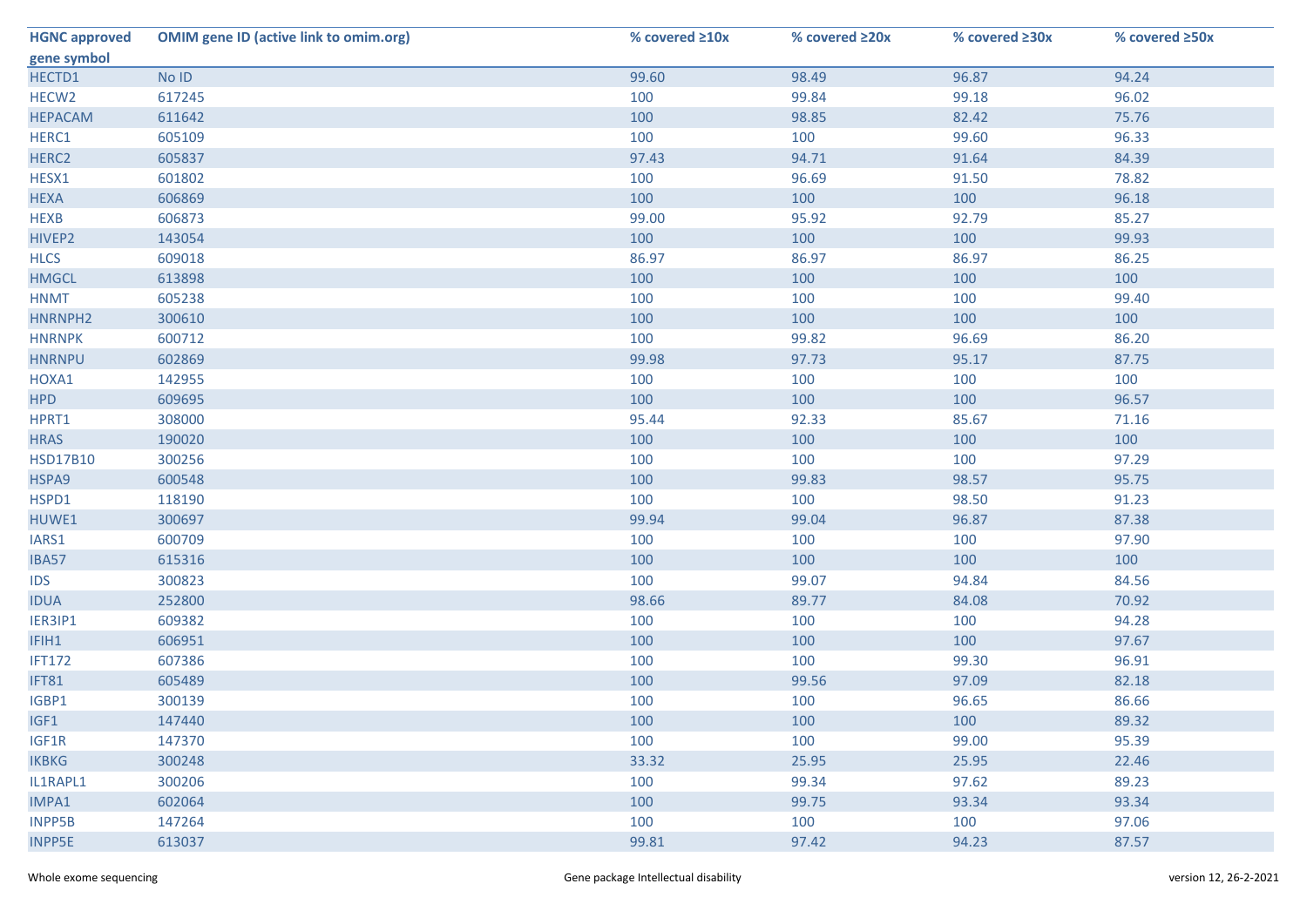| <b>HGNC approved</b> | <b>OMIM gene ID (active link to omim.org)</b> | % covered $\geq 10x$ | % covered ≥20x | % covered ≥30x | % covered ≥50x |
|----------------------|-----------------------------------------------|----------------------|----------------|----------------|----------------|
| gene symbol          |                                               |                      |                |                |                |
| HECTD1               | No ID                                         | 99.60                | 98.49          | 96.87          | 94.24          |
| HECW <sub>2</sub>    | 617245                                        | 100                  | 99.84          | 99.18          | 96.02          |
| <b>HEPACAM</b>       | 611642                                        | 100                  | 98.85          | 82.42          | 75.76          |
| HERC1                | 605109                                        | 100                  | 100            | 99.60          | 96.33          |
| HERC <sub>2</sub>    | 605837                                        | 97.43                | 94.71          | 91.64          | 84.39          |
| HESX1                | 601802                                        | 100                  | 96.69          | 91.50          | 78.82          |
| <b>HEXA</b>          | 606869                                        | 100                  | 100            | 100            | 96.18          |
| <b>HEXB</b>          | 606873                                        | 99.00                | 95.92          | 92.79          | 85.27          |
| HIVEP2               | 143054                                        | 100                  | 100            | 100            | 99.93          |
| <b>HLCS</b>          | 609018                                        | 86.97                | 86.97          | 86.97          | 86.25          |
| <b>HMGCL</b>         | 613898                                        | 100                  | 100            | 100            | 100            |
| <b>HNMT</b>          | 605238                                        | 100                  | 100            | 100            | 99.40          |
| HNRNPH2              | 300610                                        | 100                  | 100            | 100            | 100            |
| <b>HNRNPK</b>        | 600712                                        | 100                  | 99.82          | 96.69          | 86.20          |
| <b>HNRNPU</b>        | 602869                                        | 99.98                | 97.73          | 95.17          | 87.75          |
| HOXA1                | 142955                                        | 100                  | 100            | 100            | 100            |
| <b>HPD</b>           | 609695                                        | 100                  | 100            | 100            | 96.57          |
| HPRT1                | 308000                                        | 95.44                | 92.33          | 85.67          | 71.16          |
| <b>HRAS</b>          | 190020                                        | 100                  | 100            | 100            | 100            |
| <b>HSD17B10</b>      | 300256                                        | 100                  | 100            | 100            | 97.29          |
| HSPA9                | 600548                                        | 100                  | 99.83          | 98.57          | 95.75          |
| HSPD1                | 118190                                        | 100                  | 100            | 98.50          | 91.23          |
| HUWE1                | 300697                                        | 99.94                | 99.04          | 96.87          | 87.38          |
| IARS1                | 600709                                        | 100                  | 100            | 100            | 97.90          |
| IBA57                | 615316                                        | 100                  | 100            | 100            | 100            |
| <b>IDS</b>           | 300823                                        | 100                  | 99.07          | 94.84          | 84.56          |
| <b>IDUA</b>          | 252800                                        | 98.66                | 89.77          | 84.08          | 70.92          |
| IER3IP1              | 609382                                        | 100                  | 100            | 100            | 94.28          |
| IFIH1                | 606951                                        | 100                  | 100            | 100            | 97.67          |
| <b>IFT172</b>        | 607386                                        | 100                  | 100            | 99.30          | 96.91          |
| IFT81                | 605489                                        | 100                  | 99.56          | 97.09          | 82.18          |
| IGBP1                | 300139                                        | 100                  | 100            | 96.65          | 86.66          |
| IGF1                 | 147440                                        | 100                  | 100            | 100            | 89.32          |
| IGF1R                | 147370                                        | 100                  | 100            | 99.00          | 95.39          |
| <b>IKBKG</b>         | 300248                                        | 33.32                | 25.95          | 25.95          | 22.46          |
| IL1RAPL1             | 300206                                        | 100                  | 99.34          | 97.62          | 89.23          |
| IMPA1                | 602064                                        | 100                  | 99.75          | 93.34          | 93.34          |
| <b>INPP5B</b>        | 147264                                        | 100                  | 100            | 100            | 97.06          |
| <b>INPP5E</b>        | 613037                                        | 99.81                | 97.42          | 94.23          | 87.57          |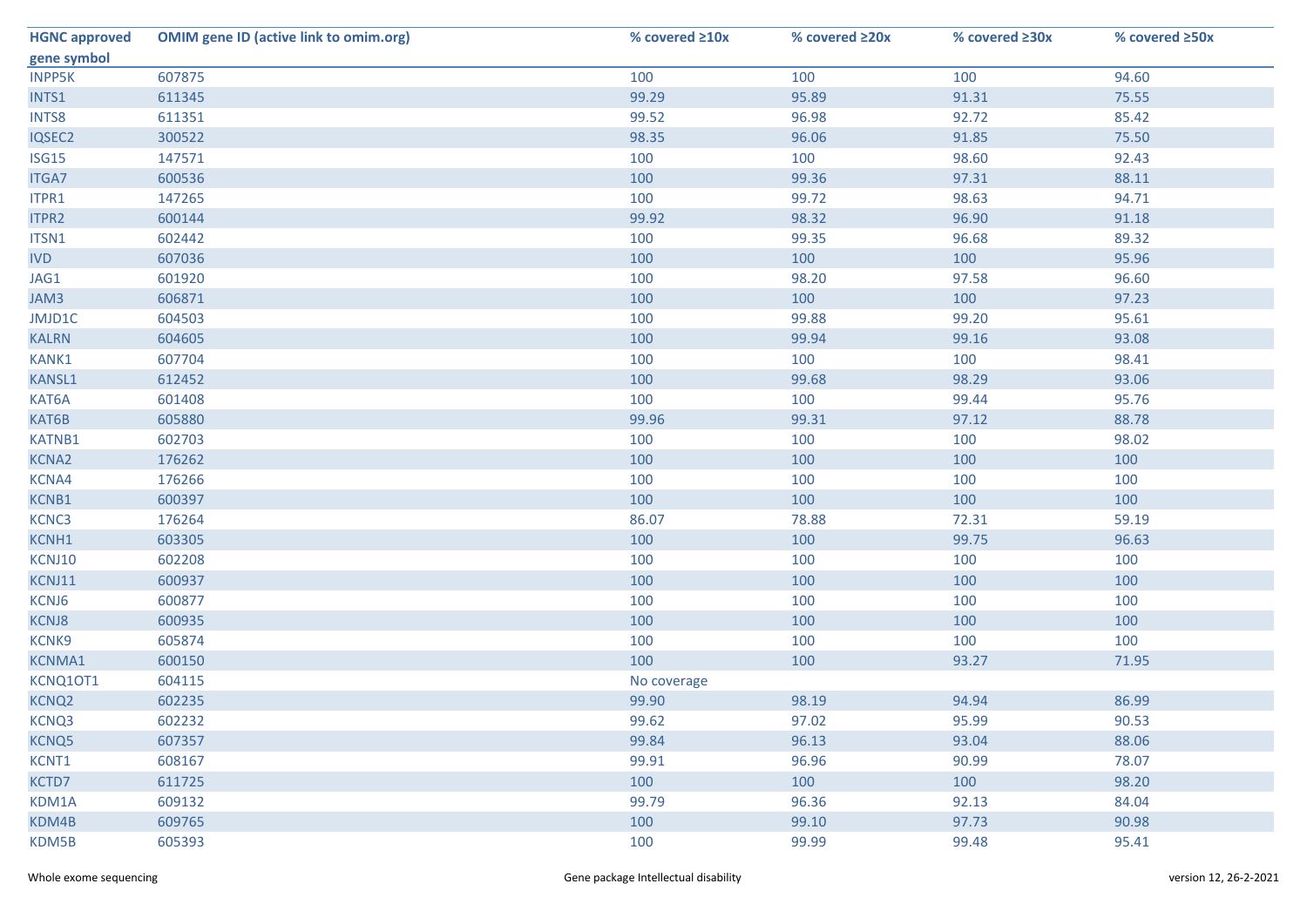| <b>HGNC approved</b> | <b>OMIM gene ID (active link to omim.org)</b> | % covered $\geq 10x$ | % covered ≥20x | % covered ≥30x | % covered ≥50x |
|----------------------|-----------------------------------------------|----------------------|----------------|----------------|----------------|
| gene symbol          |                                               |                      |                |                |                |
| <b>INPP5K</b>        | 607875                                        | 100                  | 100            | 100            | 94.60          |
| INTS1                | 611345                                        | 99.29                | 95.89          | 91.31          | 75.55          |
| INTS8                | 611351                                        | 99.52                | 96.98          | 92.72          | 85.42          |
| IQSEC2               | 300522                                        | 98.35                | 96.06          | 91.85          | 75.50          |
| ISG15                | 147571                                        | 100                  | 100            | 98.60          | 92.43          |
| ITGA7                | 600536                                        | 100                  | 99.36          | 97.31          | 88.11          |
| ITPR1                | 147265                                        | 100                  | 99.72          | 98.63          | 94.71          |
| ITPR2                | 600144                                        | 99.92                | 98.32          | 96.90          | 91.18          |
| ITSN1                | 602442                                        | 100                  | 99.35          | 96.68          | 89.32          |
| <b>IVD</b>           | 607036                                        | 100                  | 100            | 100            | 95.96          |
| JAG1                 | 601920                                        | 100                  | 98.20          | 97.58          | 96.60          |
| JAM3                 | 606871                                        | 100                  | 100            | 100            | 97.23          |
| JMJD1C               | 604503                                        | 100                  | 99.88          | 99.20          | 95.61          |
| <b>KALRN</b>         | 604605                                        | 100                  | 99.94          | 99.16          | 93.08          |
| KANK1                | 607704                                        | 100                  | 100            | 100            | 98.41          |
| <b>KANSL1</b>        | 612452                                        | 100                  | 99.68          | 98.29          | 93.06          |
| KAT6A                | 601408                                        | 100                  | 100            | 99.44          | 95.76          |
| KAT6B                | 605880                                        | 99.96                | 99.31          | 97.12          | 88.78          |
| KATNB1               | 602703                                        | 100                  | 100            | 100            | 98.02          |
| KCNA2                | 176262                                        | 100                  | 100            | 100            | 100            |
| KCNA4                | 176266                                        | 100                  | 100            | 100            | 100            |
| KCNB1                | 600397                                        | 100                  | 100            | 100            | 100            |
| KCNC3                | 176264                                        | 86.07                | 78.88          | 72.31          | 59.19          |
| KCNH1                | 603305                                        | 100                  | 100            | 99.75          | 96.63          |
| KCNJ10               | 602208                                        | 100                  | 100            | 100            | 100            |
| KCNJ11               | 600937                                        | 100                  | 100            | 100            | 100            |
| KCNJ6                | 600877                                        | 100                  | 100            | 100            | 100            |
| <b>KCNJ8</b>         | 600935                                        | 100                  | 100            | 100            | 100            |
| KCNK9                | 605874                                        | 100                  | 100            | 100            | 100            |
| <b>KCNMA1</b>        | 600150                                        | 100                  | 100            | 93.27          | 71.95          |
| KCNQ10T1             | 604115                                        | No coverage          |                |                |                |
| KCNQ <sub>2</sub>    | 602235                                        | 99.90                | 98.19          | 94.94          | 86.99          |
| KCNQ3                | 602232                                        | 99.62                | 97.02          | 95.99          | 90.53          |
| KCNQ5                | 607357                                        | 99.84                | 96.13          | 93.04          | 88.06          |
| KCNT1                | 608167                                        | 99.91                | 96.96          | 90.99          | 78.07          |
| KCTD7                | 611725                                        | 100                  | 100            | 100            | 98.20          |
| KDM1A                | 609132                                        | 99.79                | 96.36          | 92.13          | 84.04          |
| KDM4B                | 609765                                        | 100                  | 99.10          | 97.73          | 90.98          |
| KDM5B                | 605393                                        | 100                  | 99.99          | 99.48          | 95.41          |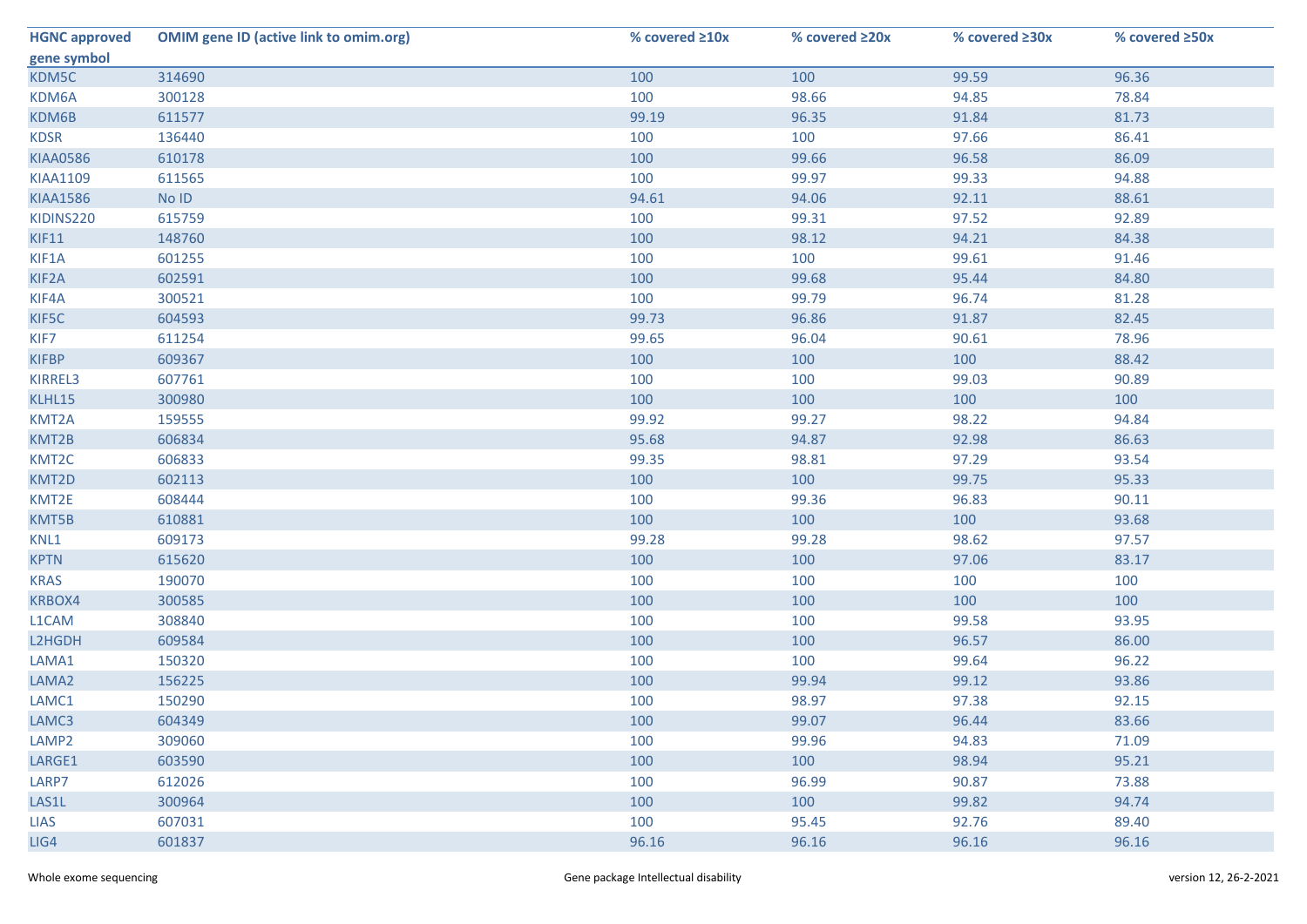| <b>HGNC approved</b> | <b>OMIM gene ID (active link to omim.org)</b> | % covered ≥10x | % covered ≥20x | % covered ≥30x | % covered ≥50x |
|----------------------|-----------------------------------------------|----------------|----------------|----------------|----------------|
| gene symbol          |                                               |                |                |                |                |
| KDM5C                | 314690                                        | 100            | 100            | 99.59          | 96.36          |
| KDM6A                | 300128                                        | 100            | 98.66          | 94.85          | 78.84          |
| KDM6B                | 611577                                        | 99.19          | 96.35          | 91.84          | 81.73          |
| <b>KDSR</b>          | 136440                                        | 100            | 100            | 97.66          | 86.41          |
| <b>KIAA0586</b>      | 610178                                        | 100            | 99.66          | 96.58          | 86.09          |
| <b>KIAA1109</b>      | 611565                                        | 100            | 99.97          | 99.33          | 94.88          |
| <b>KIAA1586</b>      | No ID                                         | 94.61          | 94.06          | 92.11          | 88.61          |
| KIDINS220            | 615759                                        | 100            | 99.31          | 97.52          | 92.89          |
| KIF11                | 148760                                        | 100            | 98.12          | 94.21          | 84.38          |
| KIF1A                | 601255                                        | 100            | 100            | 99.61          | 91.46          |
| KIF2A                | 602591                                        | 100            | 99.68          | 95.44          | 84.80          |
| KIF4A                | 300521                                        | 100            | 99.79          | 96.74          | 81.28          |
| KIF5C                | 604593                                        | 99.73          | 96.86          | 91.87          | 82.45          |
| KIF7                 | 611254                                        | 99.65          | 96.04          | 90.61          | 78.96          |
| <b>KIFBP</b>         | 609367                                        | 100            | 100            | 100            | 88.42          |
| KIRREL3              | 607761                                        | 100            | 100            | 99.03          | 90.89          |
| KLHL15               | 300980                                        | 100            | 100            | 100            | 100            |
| KMT2A                | 159555                                        | 99.92          | 99.27          | 98.22          | 94.84          |
| KMT2B                | 606834                                        | 95.68          | 94.87          | 92.98          | 86.63          |
| KMT2C                | 606833                                        | 99.35          | 98.81          | 97.29          | 93.54          |
| KMT2D                | 602113                                        | 100            | 100            | 99.75          | 95.33          |
| KMT2E                | 608444                                        | 100            | 99.36          | 96.83          | 90.11          |
| KMT5B                | 610881                                        | 100            | 100            | 100            | 93.68          |
| KNL1                 | 609173                                        | 99.28          | 99.28          | 98.62          | 97.57          |
| <b>KPTN</b>          | 615620                                        | 100            | 100            | 97.06          | 83.17          |
| <b>KRAS</b>          | 190070                                        | 100            | 100            | 100            | 100            |
| KRBOX4               | 300585                                        | 100            | 100            | 100            | 100            |
| L1CAM                | 308840                                        | 100            | 100            | 99.58          | 93.95          |
| L2HGDH               | 609584                                        | 100            | 100            | 96.57          | 86.00          |
| LAMA1                | 150320                                        | 100            | 100            | 99.64          | 96.22          |
| LAMA2                | 156225                                        | 100            | 99.94          | 99.12          | 93.86          |
| LAMC1                | 150290                                        | 100            | 98.97          | 97.38          | 92.15          |
| LAMC3                | 604349                                        | 100            | 99.07          | 96.44          | 83.66          |
| LAMP <sub>2</sub>    | 309060                                        | 100            | 99.96          | 94.83          | 71.09          |
| LARGE1               | 603590                                        | 100            | 100            | 98.94          | 95.21          |
| LARP7                | 612026                                        | 100            | 96.99          | 90.87          | 73.88          |
| LAS1L                | 300964                                        | 100            | 100            | 99.82          | 94.74          |
| <b>LIAS</b>          | 607031                                        | 100            | 95.45          | 92.76          | 89.40          |
| LIG4                 | 601837                                        | 96.16          | 96.16          | 96.16          | 96.16          |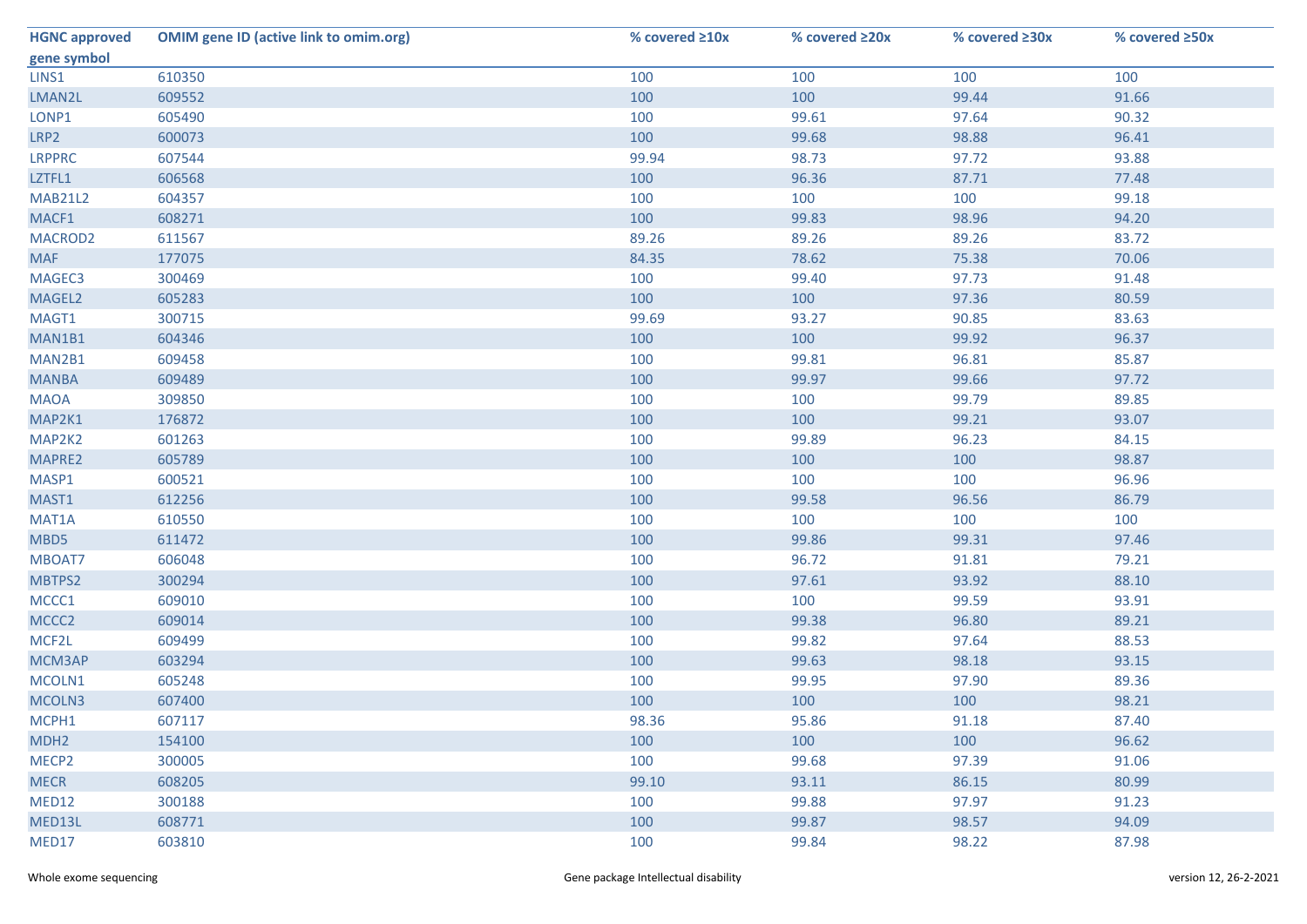| <b>HGNC approved</b> | <b>OMIM gene ID (active link to omim.org)</b> | % covered ≥10x | % covered ≥20x | % covered ≥30x | % covered ≥50x |
|----------------------|-----------------------------------------------|----------------|----------------|----------------|----------------|
| gene symbol          |                                               |                |                |                |                |
| LINS1                | 610350                                        | 100            | 100            | 100            | 100            |
| LMAN2L               | 609552                                        | 100            | 100            | 99.44          | 91.66          |
| LONP1                | 605490                                        | 100            | 99.61          | 97.64          | 90.32          |
| LRP2                 | 600073                                        | 100            | 99.68          | 98.88          | 96.41          |
| <b>LRPPRC</b>        | 607544                                        | 99.94          | 98.73          | 97.72          | 93.88          |
| LZTFL1               | 606568                                        | 100            | 96.36          | 87.71          | 77.48          |
| <b>MAB21L2</b>       | 604357                                        | 100            | 100            | 100            | 99.18          |
| MACF1                | 608271                                        | 100            | 99.83          | 98.96          | 94.20          |
| MACROD2              | 611567                                        | 89.26          | 89.26          | 89.26          | 83.72          |
| <b>MAF</b>           | 177075                                        | 84.35          | 78.62          | 75.38          | 70.06          |
| MAGEC3               | 300469                                        | 100            | 99.40          | 97.73          | 91.48          |
| MAGEL2               | 605283                                        | 100            | 100            | 97.36          | 80.59          |
| MAGT1                | 300715                                        | 99.69          | 93.27          | 90.85          | 83.63          |
| MAN1B1               | 604346                                        | 100            | 100            | 99.92          | 96.37          |
| MAN2B1               | 609458                                        | 100            | 99.81          | 96.81          | 85.87          |
| <b>MANBA</b>         | 609489                                        | 100            | 99.97          | 99.66          | 97.72          |
| <b>MAOA</b>          | 309850                                        | 100            | 100            | 99.79          | 89.85          |
| MAP2K1               | 176872                                        | 100            | 100            | 99.21          | 93.07          |
| MAP2K2               | 601263                                        | 100            | 99.89          | 96.23          | 84.15          |
| MAPRE2               | 605789                                        | 100            | 100            | 100            | 98.87          |
| MASP1                | 600521                                        | 100            | 100            | 100            | 96.96          |
| MAST1                | 612256                                        | 100            | 99.58          | 96.56          | 86.79          |
| MAT1A                | 610550                                        | 100            | 100            | 100            | 100            |
| MBD5                 | 611472                                        | 100            | 99.86          | 99.31          | 97.46          |
| MBOAT7               | 606048                                        | 100            | 96.72          | 91.81          | 79.21          |
| MBTPS2               | 300294                                        | 100            | 97.61          | 93.92          | 88.10          |
| MCCC1                | 609010                                        | 100            | 100            | 99.59          | 93.91          |
| MCCC2                | 609014                                        | 100            | 99.38          | 96.80          | 89.21          |
| MCF2L                | 609499                                        | 100            | 99.82          | 97.64          | 88.53          |
| MCM3AP               | 603294                                        | 100            | 99.63          | 98.18          | 93.15          |
| MCOLN1               | 605248                                        | 100            | 99.95          | 97.90          | 89.36          |
| MCOLN3               | 607400                                        | 100            | 100            | 100            | 98.21          |
| MCPH1                | 607117                                        | 98.36          | 95.86          | 91.18          | 87.40          |
| MDH <sub>2</sub>     | 154100                                        | 100            | 100            | 100            | 96.62          |
| MECP <sub>2</sub>    | 300005                                        | 100            | 99.68          | 97.39          | 91.06          |
| <b>MECR</b>          | 608205                                        | 99.10          | 93.11          | 86.15          | 80.99          |
| MED12                | 300188                                        | 100            | 99.88          | 97.97          | 91.23          |
| MED13L               | 608771                                        | 100            | 99.87          | 98.57          | 94.09          |
| MED17                | 603810                                        | 100            | 99.84          | 98.22          | 87.98          |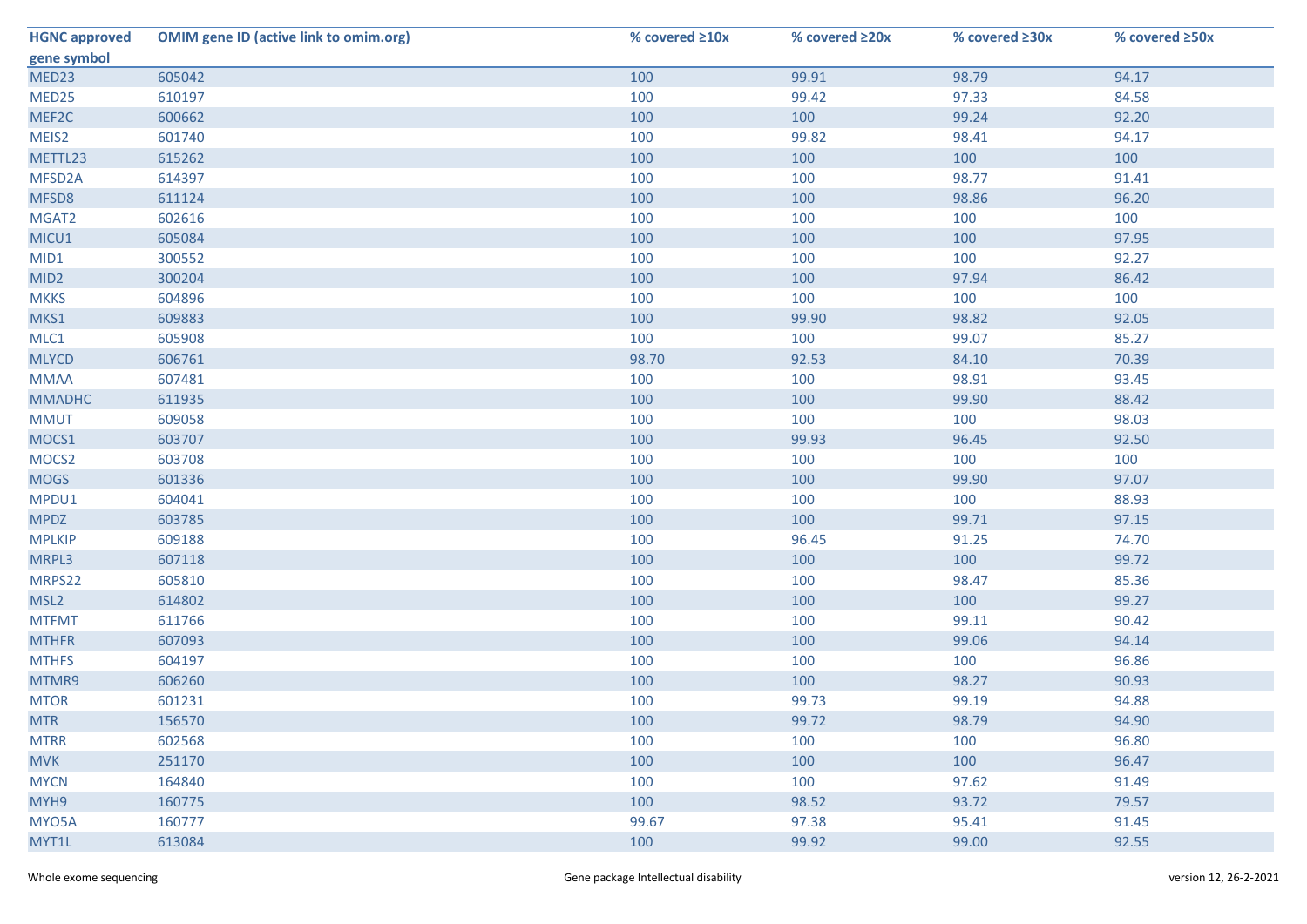| <b>HGNC approved</b> | <b>OMIM gene ID (active link to omim.org)</b> | % covered $\geq 10x$ | % covered ≥20x | % covered ≥30x | % covered ≥50x |
|----------------------|-----------------------------------------------|----------------------|----------------|----------------|----------------|
| gene symbol          |                                               |                      |                |                |                |
| MED23                | 605042                                        | 100                  | 99.91          | 98.79          | 94.17          |
| MED25                | 610197                                        | 100                  | 99.42          | 97.33          | 84.58          |
| MEF2C                | 600662                                        | 100                  | 100            | 99.24          | 92.20          |
| MEIS2                | 601740                                        | 100                  | 99.82          | 98.41          | 94.17          |
| METTL23              | 615262                                        | 100                  | 100            | 100            | 100            |
| MFSD2A               | 614397                                        | 100                  | 100            | 98.77          | 91.41          |
| MFSD8                | 611124                                        | 100                  | 100            | 98.86          | 96.20          |
| MGAT2                | 602616                                        | 100                  | 100            | 100            | 100            |
| MICU1                | 605084                                        | 100                  | 100            | 100            | 97.95          |
| MID1                 | 300552                                        | 100                  | 100            | 100            | 92.27          |
| MID <sub>2</sub>     | 300204                                        | 100                  | 100            | 97.94          | 86.42          |
| <b>MKKS</b>          | 604896                                        | 100                  | 100            | 100            | 100            |
| MKS1                 | 609883                                        | 100                  | 99.90          | 98.82          | 92.05          |
| MLC1                 | 605908                                        | 100                  | 100            | 99.07          | 85.27          |
| <b>MLYCD</b>         | 606761                                        | 98.70                | 92.53          | 84.10          | 70.39          |
| <b>MMAA</b>          | 607481                                        | 100                  | 100            | 98.91          | 93.45          |
| <b>MMADHC</b>        | 611935                                        | 100                  | 100            | 99.90          | 88.42          |
| <b>MMUT</b>          | 609058                                        | 100                  | 100            | 100            | 98.03          |
| MOCS1                | 603707                                        | 100                  | 99.93          | 96.45          | 92.50          |
| MOCS <sub>2</sub>    | 603708                                        | 100                  | 100            | 100            | 100            |
| <b>MOGS</b>          | 601336                                        | 100                  | 100            | 99.90          | 97.07          |
| MPDU1                | 604041                                        | 100                  | 100            | 100            | 88.93          |
| <b>MPDZ</b>          | 603785                                        | 100                  | 100            | 99.71          | 97.15          |
| <b>MPLKIP</b>        | 609188                                        | 100                  | 96.45          | 91.25          | 74.70          |
| MRPL3                | 607118                                        | 100                  | 100            | 100            | 99.72          |
| MRPS22               | 605810                                        | 100                  | 100            | 98.47          | 85.36          |
| MSL <sub>2</sub>     | 614802                                        | 100                  | 100            | 100            | 99.27          |
| <b>MTFMT</b>         | 611766                                        | 100                  | 100            | 99.11          | 90.42          |
| <b>MTHFR</b>         | 607093                                        | 100                  | 100            | 99.06          | 94.14          |
| <b>MTHFS</b>         | 604197                                        | 100                  | 100            | 100            | 96.86          |
| MTMR9                | 606260                                        | 100                  | 100            | 98.27          | 90.93          |
| <b>MTOR</b>          | 601231                                        | 100                  | 99.73          | 99.19          | 94.88          |
| <b>MTR</b>           | 156570                                        | 100                  | 99.72          | 98.79          | 94.90          |
| <b>MTRR</b>          | 602568                                        | 100                  | 100            | 100            | 96.80          |
| <b>MVK</b>           | 251170                                        | 100                  | 100            | 100            | 96.47          |
| <b>MYCN</b>          | 164840                                        | 100                  | 100            | 97.62          | 91.49          |
| MYH9                 | 160775                                        | 100                  | 98.52          | 93.72          | 79.57          |
| MYO5A                | 160777                                        | 99.67                | 97.38          | 95.41          | 91.45          |
| MYT1L                | 613084                                        | 100                  | 99.92          | 99.00          | 92.55          |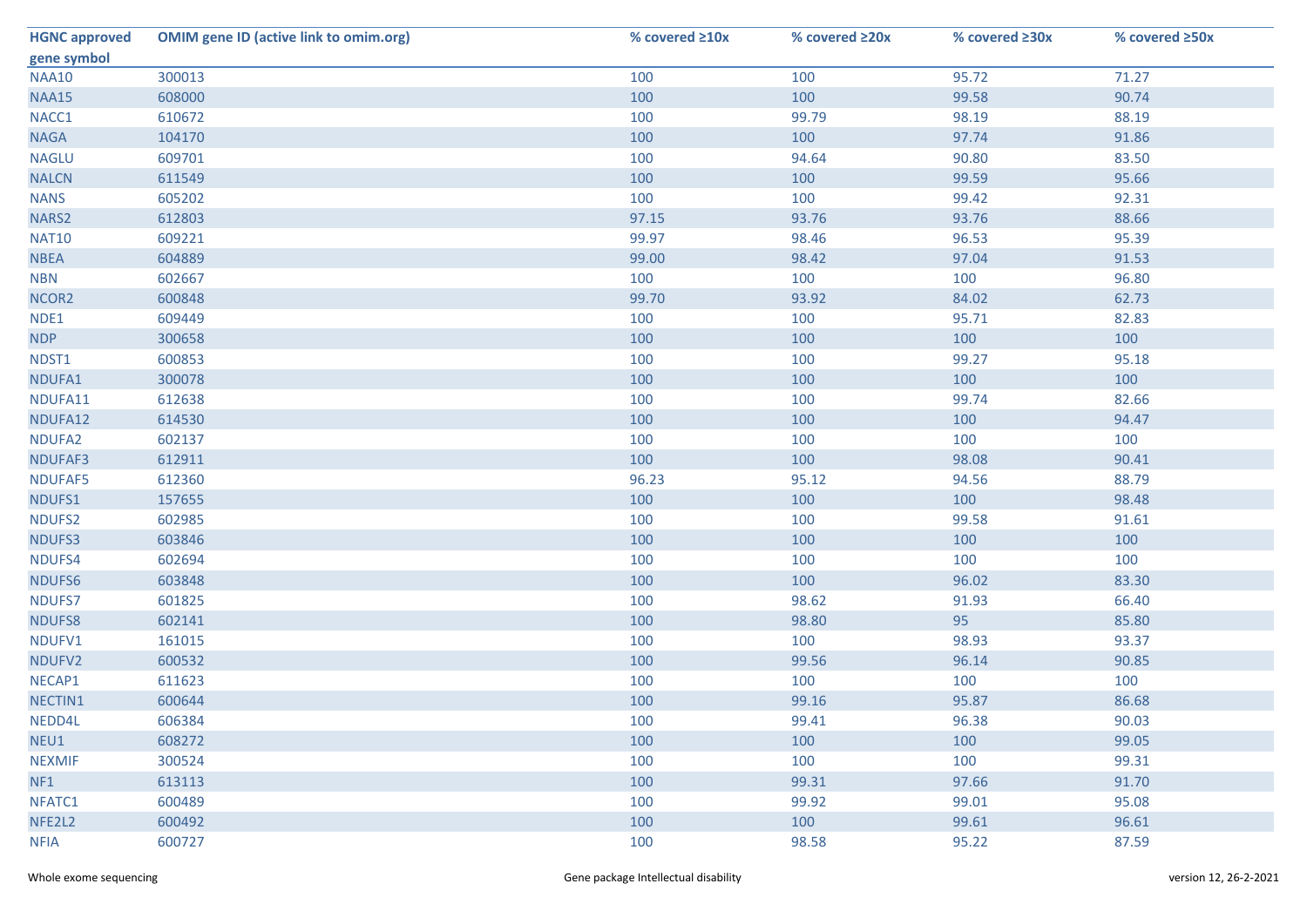| <b>HGNC approved</b> | <b>OMIM gene ID (active link to omim.org)</b> | % covered ≥10x | % covered ≥20x | % covered ≥30x | % covered ≥50x |
|----------------------|-----------------------------------------------|----------------|----------------|----------------|----------------|
| gene symbol          |                                               |                |                |                |                |
| <b>NAA10</b>         | 300013                                        | 100            | 100            | 95.72          | 71.27          |
| <b>NAA15</b>         | 608000                                        | 100            | 100            | 99.58          | 90.74          |
| NACC1                | 610672                                        | 100            | 99.79          | 98.19          | 88.19          |
| <b>NAGA</b>          | 104170                                        | 100            | 100            | 97.74          | 91.86          |
| <b>NAGLU</b>         | 609701                                        | 100            | 94.64          | 90.80          | 83.50          |
| <b>NALCN</b>         | 611549                                        | 100            | 100            | 99.59          | 95.66          |
| <b>NANS</b>          | 605202                                        | 100            | 100            | 99.42          | 92.31          |
| NARS2                | 612803                                        | 97.15          | 93.76          | 93.76          | 88.66          |
| <b>NAT10</b>         | 609221                                        | 99.97          | 98.46          | 96.53          | 95.39          |
| <b>NBEA</b>          | 604889                                        | 99.00          | 98.42          | 97.04          | 91.53          |
| <b>NBN</b>           | 602667                                        | 100            | 100            | 100            | 96.80          |
| NCOR <sub>2</sub>    | 600848                                        | 99.70          | 93.92          | 84.02          | 62.73          |
| NDE1                 | 609449                                        | 100            | 100            | 95.71          | 82.83          |
| <b>NDP</b>           | 300658                                        | 100            | 100            | 100            | 100            |
| NDST1                | 600853                                        | 100            | 100            | 99.27          | 95.18          |
| NDUFA1               | 300078                                        | 100            | 100            | 100            | 100            |
| NDUFA11              | 612638                                        | 100            | 100            | 99.74          | 82.66          |
| NDUFA12              | 614530                                        | 100            | 100            | 100            | 94.47          |
| NDUFA2               | 602137                                        | 100            | 100            | 100            | 100            |
| NDUFAF3              | 612911                                        | 100            | 100            | 98.08          | 90.41          |
| NDUFAF5              | 612360                                        | 96.23          | 95.12          | 94.56          | 88.79          |
| NDUFS1               | 157655                                        | 100            | 100            | 100            | 98.48          |
| NDUFS2               | 602985                                        | 100            | 100            | 99.58          | 91.61          |
| NDUFS3               | 603846                                        | 100            | 100            | 100            | 100            |
| NDUFS4               | 602694                                        | 100            | 100            | 100            | 100            |
| NDUFS6               | 603848                                        | 100            | 100            | 96.02          | 83.30          |
| NDUFS7               | 601825                                        | 100            | 98.62          | 91.93          | 66.40          |
| NDUFS8               | 602141                                        | 100            | 98.80          | 95             | 85.80          |
| NDUFV1               | 161015                                        | 100            | 100            | 98.93          | 93.37          |
| NDUFV2               | 600532                                        | 100            | 99.56          | 96.14          | 90.85          |
| NECAP1               | 611623                                        | 100            | 100            | 100            | 100            |
| NECTIN1              | 600644                                        | 100            | 99.16          | 95.87          | 86.68          |
| NEDD4L               | 606384                                        | 100            | 99.41          | 96.38          | 90.03          |
| NEU1                 | 608272                                        | 100            | 100            | 100            | 99.05          |
| <b>NEXMIF</b>        | 300524                                        | 100            | 100            | 100            | 99.31          |
| NF1                  | 613113                                        | 100            | 99.31          | 97.66          | 91.70          |
| NFATC1               | 600489                                        | 100            | 99.92          | 99.01          | 95.08          |
| NFE2L2               | 600492                                        | 100            | 100            | 99.61          | 96.61          |
| <b>NFIA</b>          | 600727                                        | 100            | 98.58          | 95.22          | 87.59          |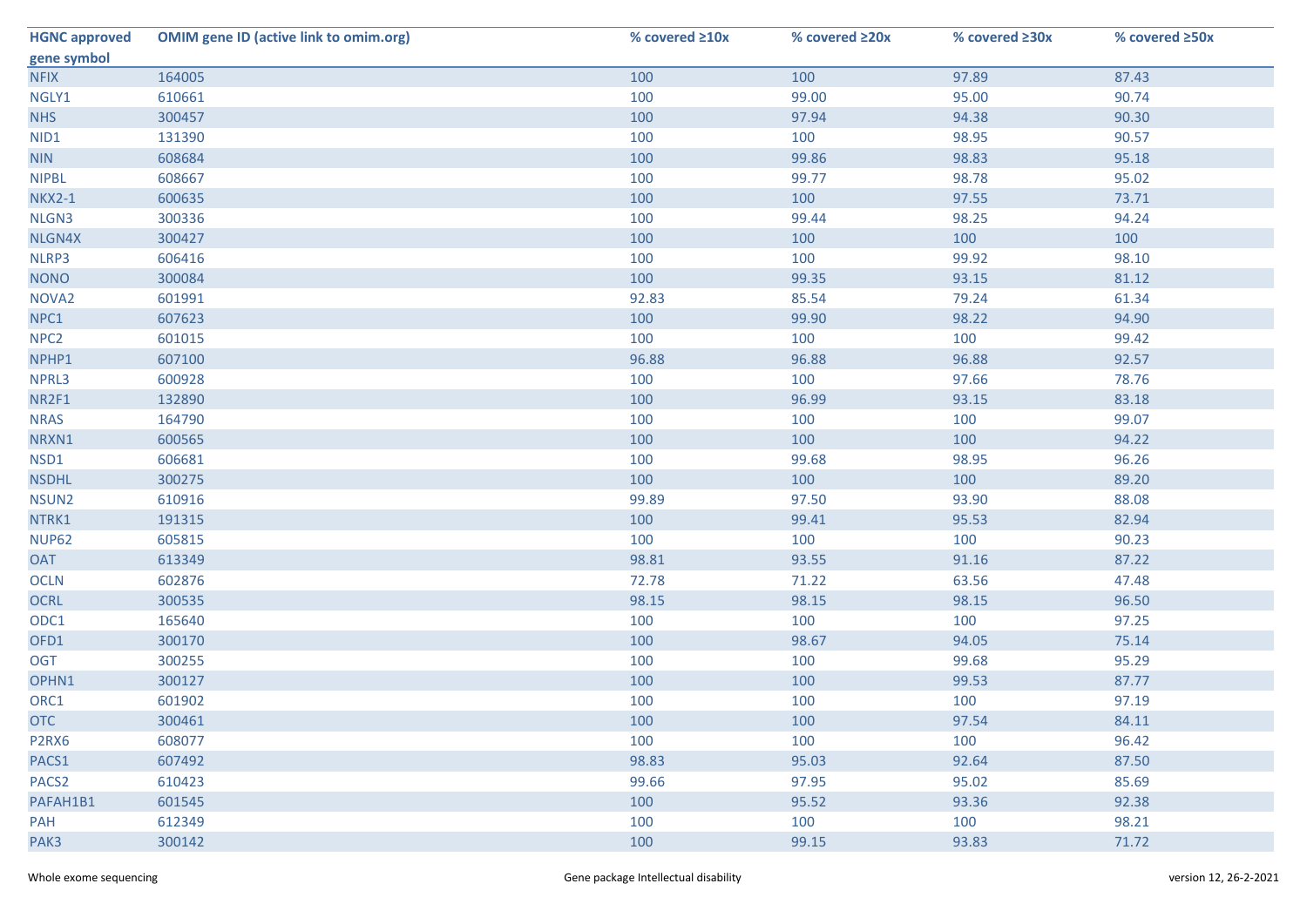| <b>HGNC approved</b> | <b>OMIM gene ID (active link to omim.org)</b> | % covered $\geq 10x$ | % covered ≥20x | % covered ≥30x | % covered ≥50x |
|----------------------|-----------------------------------------------|----------------------|----------------|----------------|----------------|
| gene symbol          |                                               |                      |                |                |                |
| <b>NFIX</b>          | 164005                                        | 100                  | 100            | 97.89          | 87.43          |
| NGLY1                | 610661                                        | 100                  | 99.00          | 95.00          | 90.74          |
| <b>NHS</b>           | 300457                                        | 100                  | 97.94          | 94.38          | 90.30          |
| NID1                 | 131390                                        | 100                  | 100            | 98.95          | 90.57          |
| <b>NIN</b>           | 608684                                        | 100                  | 99.86          | 98.83          | 95.18          |
| <b>NIPBL</b>         | 608667                                        | 100                  | 99.77          | 98.78          | 95.02          |
| <b>NKX2-1</b>        | 600635                                        | 100                  | 100            | 97.55          | 73.71          |
| NLGN3                | 300336                                        | 100                  | 99.44          | 98.25          | 94.24          |
| NLGN4X               | 300427                                        | 100                  | 100            | 100            | 100            |
| NLRP3                | 606416                                        | 100                  | 100            | 99.92          | 98.10          |
| <b>NONO</b>          | 300084                                        | 100                  | 99.35          | 93.15          | 81.12          |
| NOVA <sub>2</sub>    | 601991                                        | 92.83                | 85.54          | 79.24          | 61.34          |
| NPC1                 | 607623                                        | 100                  | 99.90          | 98.22          | 94.90          |
| NPC <sub>2</sub>     | 601015                                        | 100                  | 100            | 100            | 99.42          |
| NPHP1                | 607100                                        | 96.88                | 96.88          | 96.88          | 92.57          |
| NPRL3                | 600928                                        | 100                  | 100            | 97.66          | 78.76          |
| NR2F1                | 132890                                        | 100                  | 96.99          | 93.15          | 83.18          |
| <b>NRAS</b>          | 164790                                        | 100                  | 100            | 100            | 99.07          |
| NRXN1                | 600565                                        | 100                  | 100            | 100            | 94.22          |
| NSD1                 | 606681                                        | 100                  | 99.68          | 98.95          | 96.26          |
| <b>NSDHL</b>         | 300275                                        | 100                  | 100            | 100            | 89.20          |
| NSUN2                | 610916                                        | 99.89                | 97.50          | 93.90          | 88.08          |
| NTRK1                | 191315                                        | 100                  | 99.41          | 95.53          | 82.94          |
| <b>NUP62</b>         | 605815                                        | 100                  | 100            | 100            | 90.23          |
| <b>OAT</b>           | 613349                                        | 98.81                | 93.55          | 91.16          | 87.22          |
| <b>OCLN</b>          | 602876                                        | 72.78                | 71.22          | 63.56          | 47.48          |
| <b>OCRL</b>          | 300535                                        | 98.15                | 98.15          | 98.15          | 96.50          |
| ODC1                 | 165640                                        | 100                  | 100            | 100            | 97.25          |
| OFD1                 | 300170                                        | 100                  | 98.67          | 94.05          | 75.14          |
| <b>OGT</b>           | 300255                                        | 100                  | 100            | 99.68          | 95.29          |
| OPHN1                | 300127                                        | 100                  | 100            | 99.53          | 87.77          |
| ORC1                 | 601902                                        | 100                  | 100            | 100            | 97.19          |
| <b>OTC</b>           | 300461                                        | 100                  | 100            | 97.54          | 84.11          |
| P2RX6                | 608077                                        | 100                  | 100            | 100            | 96.42          |
| PACS1                | 607492                                        | 98.83                | 95.03          | 92.64          | 87.50          |
| PACS <sub>2</sub>    | 610423                                        | 99.66                | 97.95          | 95.02          | 85.69          |
| PAFAH1B1             | 601545                                        | 100                  | 95.52          | 93.36          | 92.38          |
| <b>PAH</b>           | 612349                                        | 100                  | 100            | 100            | 98.21          |
| PAK3                 | 300142                                        | 100                  | 99.15          | 93.83          | 71.72          |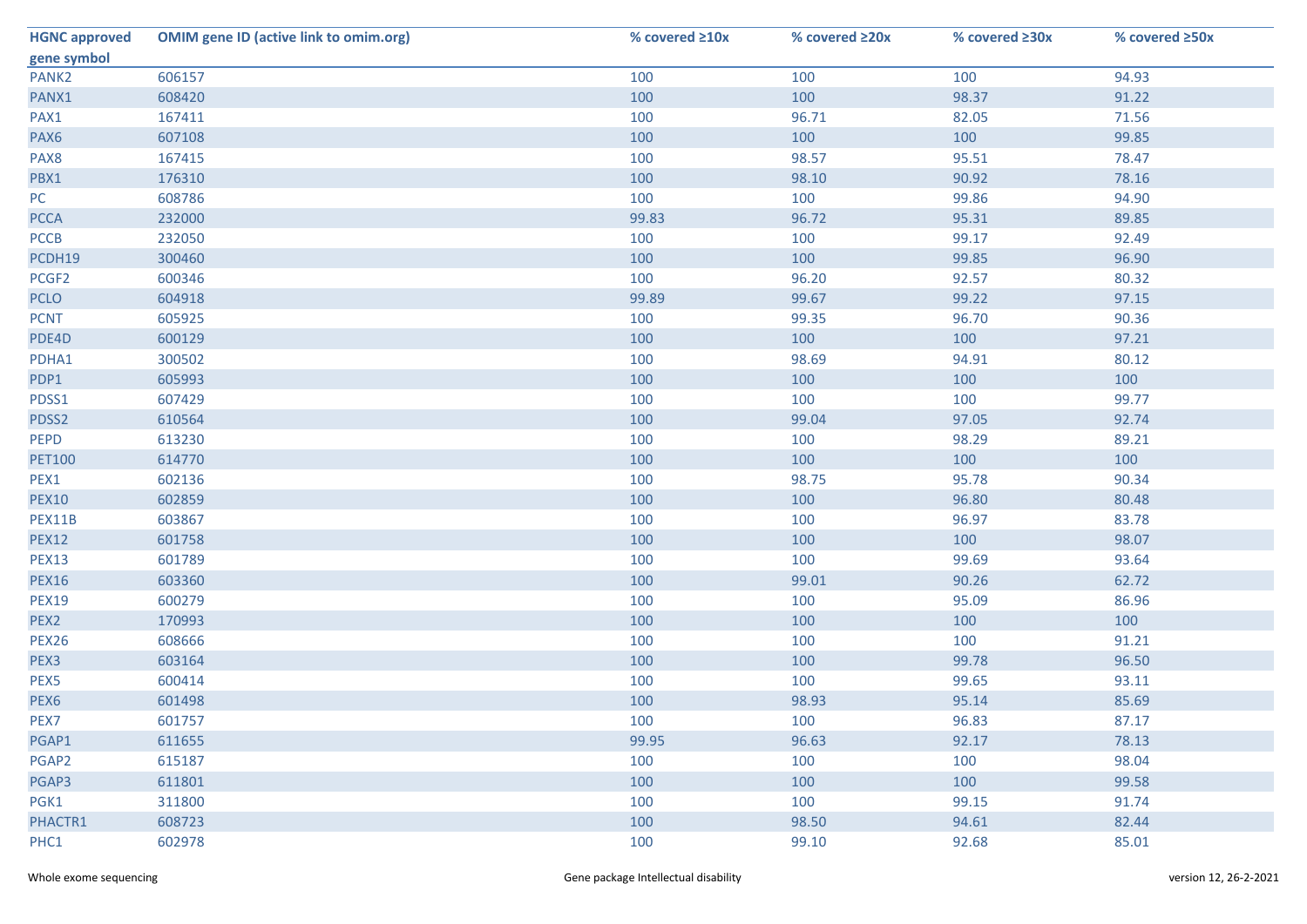| <b>HGNC approved</b> | <b>OMIM gene ID (active link to omim.org)</b> | % covered ≥10x | % covered ≥20x | % covered ≥30x | % covered ≥50x |
|----------------------|-----------------------------------------------|----------------|----------------|----------------|----------------|
| gene symbol          |                                               |                |                |                |                |
| PANK <sub>2</sub>    | 606157                                        | 100            | 100            | 100            | 94.93          |
| PANX1                | 608420                                        | 100            | 100            | 98.37          | 91.22          |
| PAX1                 | 167411                                        | 100            | 96.71          | 82.05          | 71.56          |
| PAX6                 | 607108                                        | 100            | 100            | 100            | 99.85          |
| PAX8                 | 167415                                        | 100            | 98.57          | 95.51          | 78.47          |
| PBX1                 | 176310                                        | 100            | 98.10          | 90.92          | 78.16          |
| PC                   | 608786                                        | 100            | 100            | 99.86          | 94.90          |
| <b>PCCA</b>          | 232000                                        | 99.83          | 96.72          | 95.31          | 89.85          |
| <b>PCCB</b>          | 232050                                        | 100            | 100            | 99.17          | 92.49          |
| PCDH19               | 300460                                        | 100            | 100            | 99.85          | 96.90          |
| PCGF2                | 600346                                        | 100            | 96.20          | 92.57          | 80.32          |
| <b>PCLO</b>          | 604918                                        | 99.89          | 99.67          | 99.22          | 97.15          |
| <b>PCNT</b>          | 605925                                        | 100            | 99.35          | 96.70          | 90.36          |
| PDE4D                | 600129                                        | 100            | 100            | 100            | 97.21          |
| PDHA1                | 300502                                        | 100            | 98.69          | 94.91          | 80.12          |
| PDP1                 | 605993                                        | 100            | 100            | 100            | 100            |
| PDSS1                | 607429                                        | 100            | 100            | 100            | 99.77          |
| PDSS2                | 610564                                        | 100            | 99.04          | 97.05          | 92.74          |
| PEPD                 | 613230                                        | 100            | 100            | 98.29          | 89.21          |
| <b>PET100</b>        | 614770                                        | 100            | 100            | 100            | 100            |
| PEX1                 | 602136                                        | 100            | 98.75          | 95.78          | 90.34          |
| <b>PEX10</b>         | 602859                                        | 100            | 100            | 96.80          | 80.48          |
| PEX11B               | 603867                                        | 100            | 100            | 96.97          | 83.78          |
| <b>PEX12</b>         | 601758                                        | 100            | 100            | 100            | 98.07          |
| <b>PEX13</b>         | 601789                                        | 100            | 100            | 99.69          | 93.64          |
| <b>PEX16</b>         | 603360                                        | 100            | 99.01          | 90.26          | 62.72          |
| <b>PEX19</b>         | 600279                                        | 100            | 100            | 95.09          | 86.96          |
| PEX2                 | 170993                                        | 100            | 100            | 100            | 100            |
| <b>PEX26</b>         | 608666                                        | 100            | 100            | 100            | 91.21          |
| PEX3                 | 603164                                        | 100            | 100            | 99.78          | 96.50          |
| PEX5                 | 600414                                        | 100            | 100            | 99.65          | 93.11          |
| PEX6                 | 601498                                        | 100            | 98.93          | 95.14          | 85.69          |
| PEX7                 | 601757                                        | 100            | 100            | 96.83          | 87.17          |
| PGAP1                | 611655                                        | 99.95          | 96.63          | 92.17          | 78.13          |
| PGAP2                | 615187                                        | 100            | 100            | 100            | 98.04          |
| PGAP3                | 611801                                        | 100            | 100            | 100            | 99.58          |
| PGK1                 | 311800                                        | 100            | 100            | 99.15          | 91.74          |
| PHACTR1              | 608723                                        | 100            | 98.50          | 94.61          | 82.44          |
| PHC1                 | 602978                                        | 100            | 99.10          | 92.68          | 85.01          |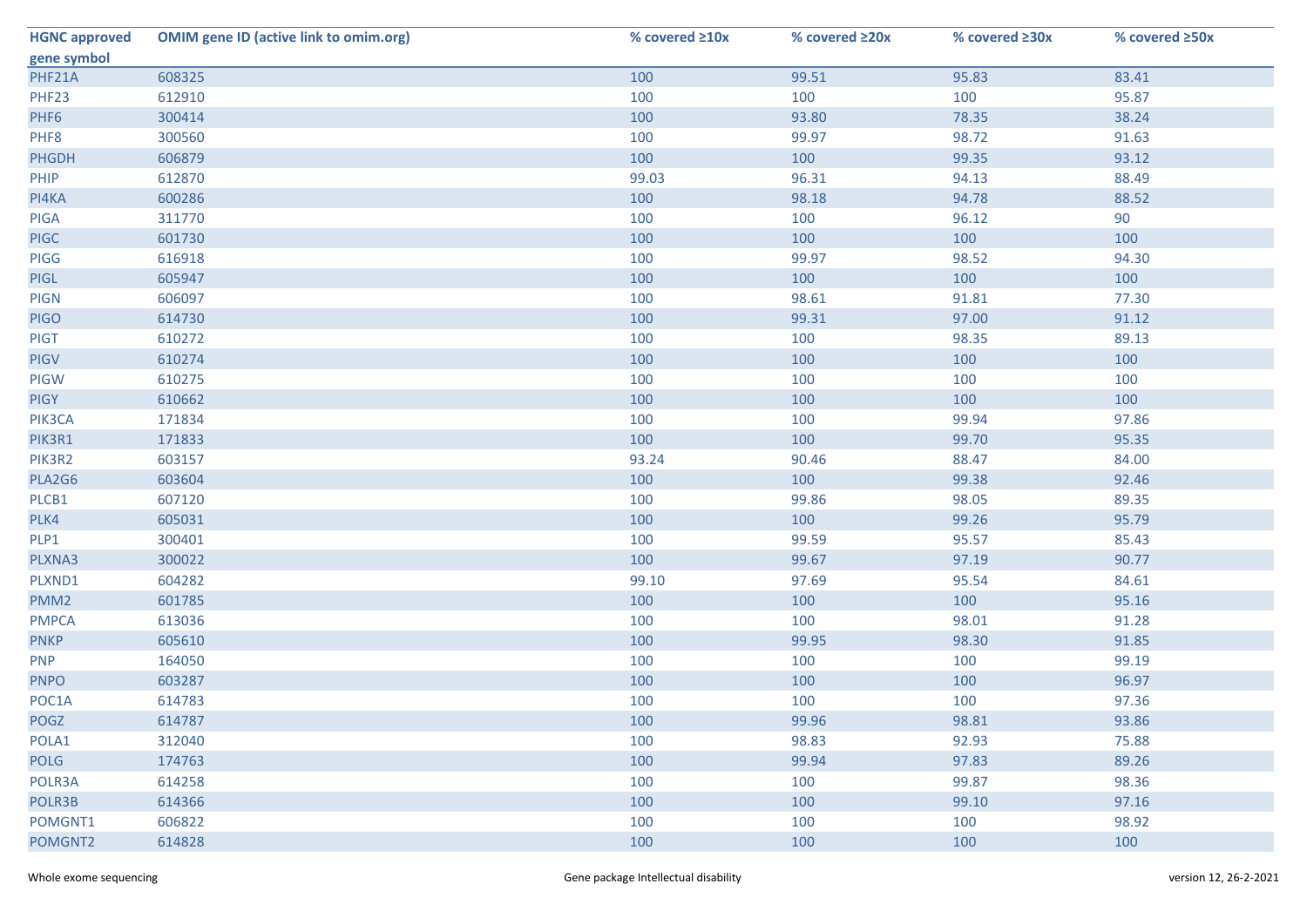| <b>HGNC approved</b> | <b>OMIM gene ID (active link to omim.org)</b> | % covered ≥10x | % covered ≥20x | % covered ≥30x | % covered ≥50x |
|----------------------|-----------------------------------------------|----------------|----------------|----------------|----------------|
| gene symbol          |                                               |                |                |                |                |
| PHF21A               | 608325                                        | 100            | 99.51          | 95.83          | 83.41          |
| PHF23                | 612910                                        | 100            | 100            | 100            | 95.87          |
| PHF6                 | 300414                                        | 100            | 93.80          | 78.35          | 38.24          |
| PHF8                 | 300560                                        | 100            | 99.97          | 98.72          | 91.63          |
| <b>PHGDH</b>         | 606879                                        | 100            | 100            | 99.35          | 93.12          |
| PHIP                 | 612870                                        | 99.03          | 96.31          | 94.13          | 88.49          |
| PI4KA                | 600286                                        | 100            | 98.18          | 94.78          | 88.52          |
| <b>PIGA</b>          | 311770                                        | 100            | 100            | 96.12          | 90             |
| <b>PIGC</b>          | 601730                                        | 100            | 100            | 100            | 100            |
| PIGG                 | 616918                                        | 100            | 99.97          | 98.52          | 94.30          |
| <b>PIGL</b>          | 605947                                        | 100            | 100            | 100            | 100            |
| <b>PIGN</b>          | 606097                                        | 100            | 98.61          | 91.81          | 77.30          |
| <b>PIGO</b>          | 614730                                        | 100            | 99.31          | 97.00          | 91.12          |
| <b>PIGT</b>          | 610272                                        | 100            | 100            | 98.35          | 89.13          |
| <b>PIGV</b>          | 610274                                        | 100            | 100            | 100            | 100            |
| PIGW                 | 610275                                        | 100            | 100            | 100            | 100            |
| <b>PIGY</b>          | 610662                                        | 100            | 100            | 100            | 100            |
| PIK3CA               | 171834                                        | 100            | 100            | 99.94          | 97.86          |
| PIK3R1               | 171833                                        | 100            | 100            | 99.70          | 95.35          |
| PIK3R2               | 603157                                        | 93.24          | 90.46          | 88.47          | 84.00          |
| PLA2G6               | 603604                                        | 100            | 100            | 99.38          | 92.46          |
| PLCB1                | 607120                                        | 100            | 99.86          | 98.05          | 89.35          |
| PLK4                 | 605031                                        | 100            | 100            | 99.26          | 95.79          |
| PLP1                 | 300401                                        | 100            | 99.59          | 95.57          | 85.43          |
| PLXNA3               | 300022                                        | 100            | 99.67          | 97.19          | 90.77          |
| PLXND1               | 604282                                        | 99.10          | 97.69          | 95.54          | 84.61          |
| PMM <sub>2</sub>     | 601785                                        | 100            | 100            | 100            | 95.16          |
| <b>PMPCA</b>         | 613036                                        | 100            | 100            | 98.01          | 91.28          |
| <b>PNKP</b>          | 605610                                        | 100            | 99.95          | 98.30          | 91.85          |
| <b>PNP</b>           | 164050                                        | 100            | 100            | 100            | 99.19          |
| <b>PNPO</b>          | 603287                                        | 100            | 100            | 100            | 96.97          |
| POC1A                | 614783                                        | 100            | 100            | 100            | 97.36          |
| <b>POGZ</b>          | 614787                                        | 100            | 99.96          | 98.81          | 93.86          |
| POLA1                | 312040                                        | 100            | 98.83          | 92.93          | 75.88          |
| <b>POLG</b>          | 174763                                        | 100            | 99.94          | 97.83          | 89.26          |
| POLR3A               | 614258                                        | 100            | 100            | 99.87          | 98.36          |
| POLR3B               | 614366                                        | 100            | 100            | 99.10          | 97.16          |
| POMGNT1              | 606822                                        | 100            | 100            | 100            | 98.92          |
| POMGNT2              | 614828                                        | 100            | 100            | 100            | 100            |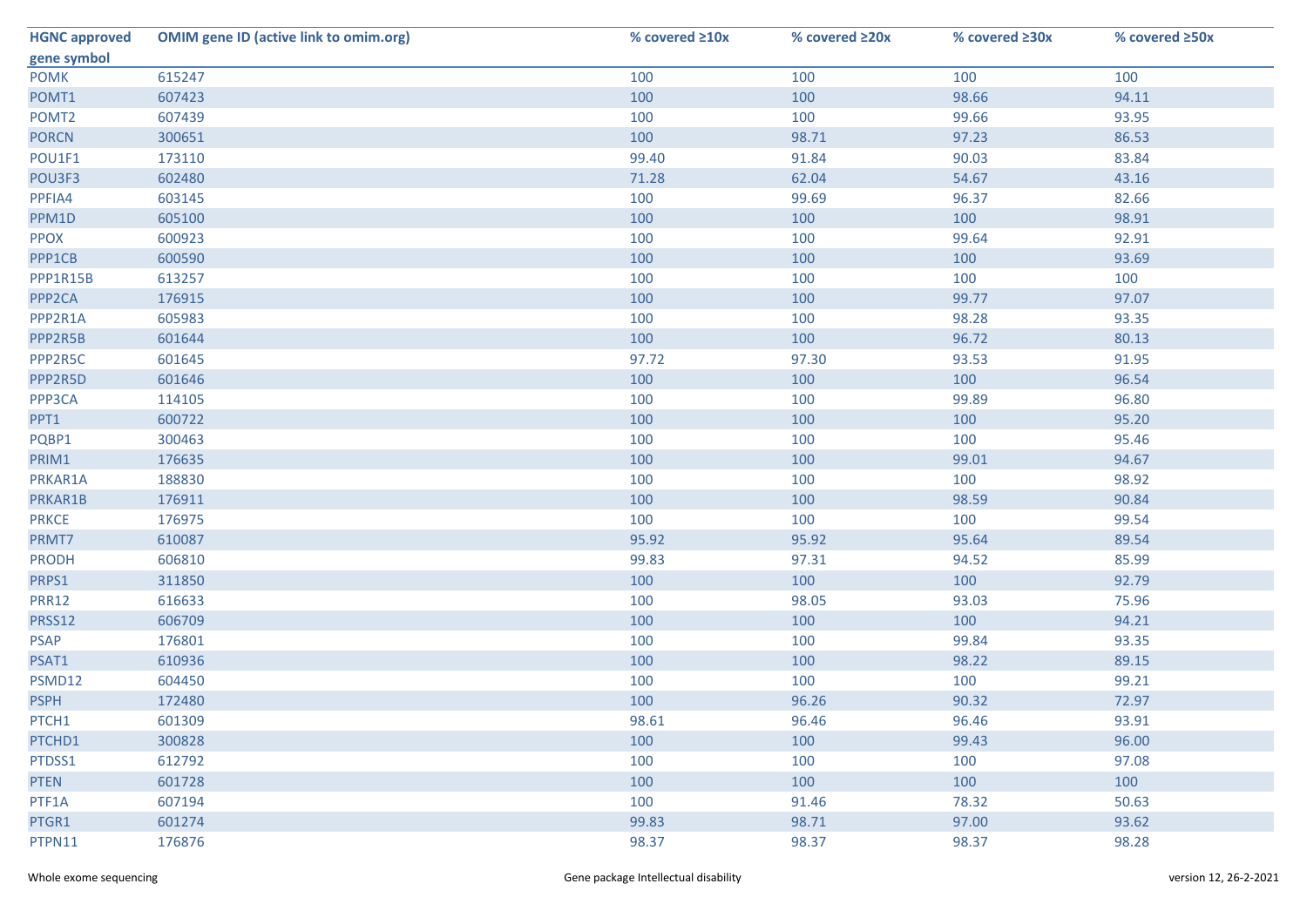| <b>HGNC approved</b> | <b>OMIM gene ID (active link to omim.org)</b> | % covered ≥10x | % covered ≥20x | % covered ≥30x | % covered ≥50x |
|----------------------|-----------------------------------------------|----------------|----------------|----------------|----------------|
| gene symbol          |                                               |                |                |                |                |
| <b>POMK</b>          | 615247                                        | 100            | 100            | 100            | 100            |
| POMT1                | 607423                                        | 100            | 100            | 98.66          | 94.11          |
| POMT <sub>2</sub>    | 607439                                        | 100            | 100            | 99.66          | 93.95          |
| <b>PORCN</b>         | 300651                                        | 100            | 98.71          | 97.23          | 86.53          |
| POU1F1               | 173110                                        | 99.40          | 91.84          | 90.03          | 83.84          |
| POU3F3               | 602480                                        | 71.28          | 62.04          | 54.67          | 43.16          |
| PPFIA4               | 603145                                        | 100            | 99.69          | 96.37          | 82.66          |
| PPM1D                | 605100                                        | 100            | 100            | 100            | 98.91          |
| <b>PPOX</b>          | 600923                                        | 100            | 100            | 99.64          | 92.91          |
| PPP1CB               | 600590                                        | 100            | 100            | 100            | 93.69          |
| PPP1R15B             | 613257                                        | 100            | 100            | 100            | 100            |
| PPP <sub>2</sub> CA  | 176915                                        | 100            | 100            | 99.77          | 97.07          |
| PPP2R1A              | 605983                                        | 100            | 100            | 98.28          | 93.35          |
| PPP2R5B              | 601644                                        | 100            | 100            | 96.72          | 80.13          |
| PPP2R5C              | 601645                                        | 97.72          | 97.30          | 93.53          | 91.95          |
| PPP2R5D              | 601646                                        | 100            | 100            | 100            | 96.54          |
| PPP3CA               | 114105                                        | 100            | 100            | 99.89          | 96.80          |
| PPT1                 | 600722                                        | 100            | 100            | 100            | 95.20          |
| PQBP1                | 300463                                        | 100            | 100            | 100            | 95.46          |
| PRIM1                | 176635                                        | 100            | 100            | 99.01          | 94.67          |
| PRKAR1A              | 188830                                        | 100            | 100            | 100            | 98.92          |
| PRKAR1B              | 176911                                        | 100            | 100            | 98.59          | 90.84          |
| <b>PRKCE</b>         | 176975                                        | 100            | 100            | 100            | 99.54          |
| PRMT7                | 610087                                        | 95.92          | 95.92          | 95.64          | 89.54          |
| <b>PRODH</b>         | 606810                                        | 99.83          | 97.31          | 94.52          | 85.99          |
| PRPS1                | 311850                                        | 100            | 100            | 100            | 92.79          |
| <b>PRR12</b>         | 616633                                        | 100            | 98.05          | 93.03          | 75.96          |
| PRSS12               | 606709                                        | 100            | 100            | 100            | 94.21          |
| <b>PSAP</b>          | 176801                                        | 100            | 100            | 99.84          | 93.35          |
| PSAT1                | 610936                                        | 100            | 100            | 98.22          | 89.15          |
| PSMD12               | 604450                                        | 100            | 100            | 100            | 99.21          |
| <b>PSPH</b>          | 172480                                        | 100            | 96.26          | 90.32          | 72.97          |
| PTCH1                | 601309                                        | 98.61          | 96.46          | 96.46          | 93.91          |
| PTCHD1               | 300828                                        | 100            | 100            | 99.43          | 96.00          |
| PTDSS1               | 612792                                        | 100            | 100            | 100            | 97.08          |
| <b>PTEN</b>          | 601728                                        | 100            | 100            | 100            | 100            |
| PTF1A                | 607194                                        | 100            | 91.46          | 78.32          | 50.63          |
| PTGR1                | 601274                                        | 99.83          | 98.71          | 97.00          | 93.62          |
| PTPN11               | 176876                                        | 98.37          | 98.37          | 98.37          | 98.28          |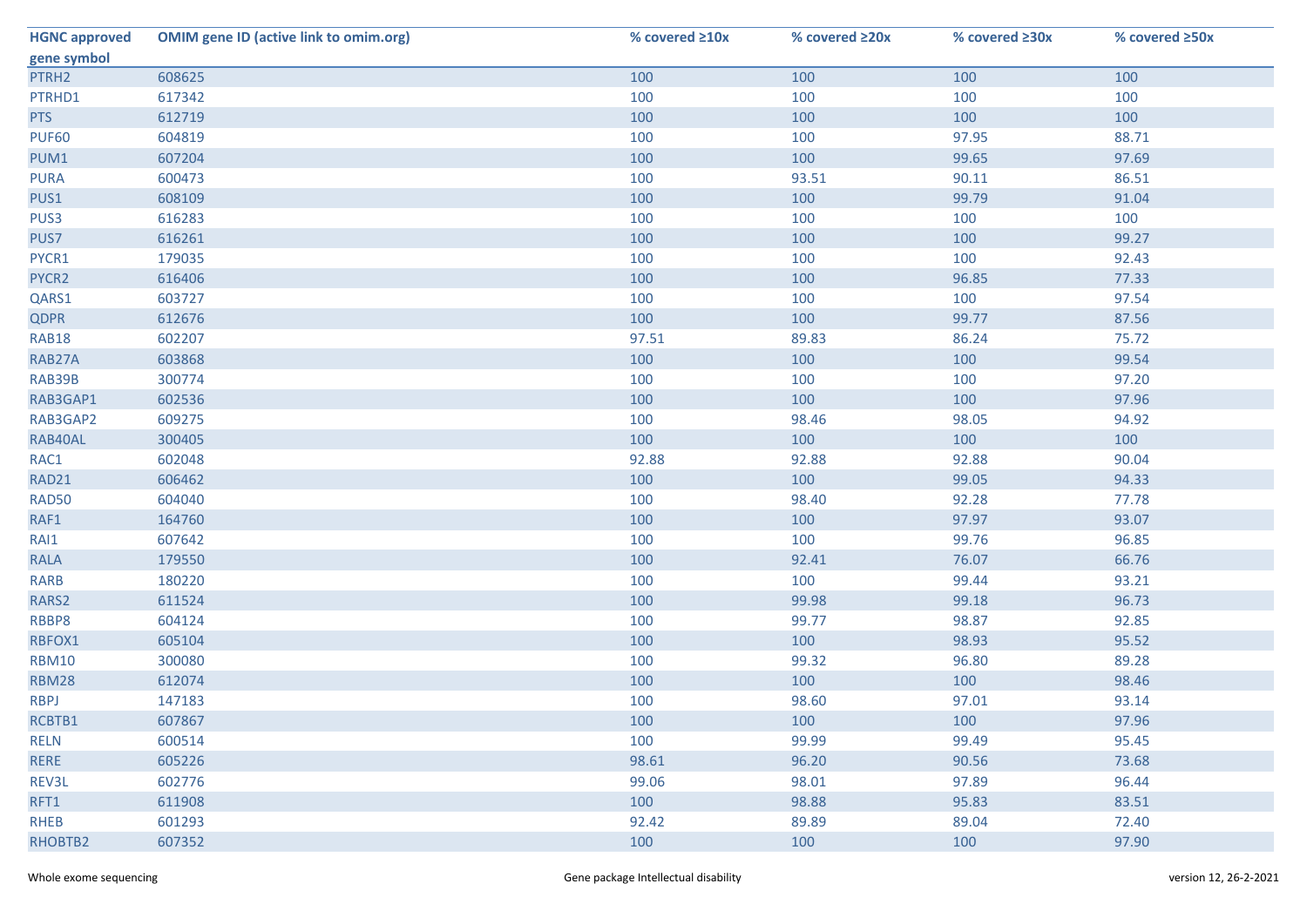| <b>HGNC approved</b> | <b>OMIM gene ID (active link to omim.org)</b> | % covered ≥10x | % covered ≥20x | % covered ≥30x | % covered ≥50x |
|----------------------|-----------------------------------------------|----------------|----------------|----------------|----------------|
| gene symbol          |                                               |                |                |                |                |
| PTRH2                | 608625                                        | 100            | 100            | 100            | 100            |
| PTRHD1               | 617342                                        | 100            | 100            | 100            | 100            |
| <b>PTS</b>           | 612719                                        | 100            | 100            | 100            | 100            |
| <b>PUF60</b>         | 604819                                        | 100            | 100            | 97.95          | 88.71          |
| PUM1                 | 607204                                        | 100            | 100            | 99.65          | 97.69          |
| <b>PURA</b>          | 600473                                        | 100            | 93.51          | 90.11          | 86.51          |
| PUS1                 | 608109                                        | 100            | 100            | 99.79          | 91.04          |
| PUS3                 | 616283                                        | 100            | 100            | 100            | 100            |
| PUS7                 | 616261                                        | 100            | 100            | 100            | 99.27          |
| PYCR1                | 179035                                        | 100            | 100            | 100            | 92.43          |
| PYCR2                | 616406                                        | 100            | 100            | 96.85          | 77.33          |
| QARS1                | 603727                                        | 100            | 100            | 100            | 97.54          |
| <b>QDPR</b>          | 612676                                        | 100            | 100            | 99.77          | 87.56          |
| <b>RAB18</b>         | 602207                                        | 97.51          | 89.83          | 86.24          | 75.72          |
| RAB27A               | 603868                                        | 100            | 100            | 100            | 99.54          |
| RAB39B               | 300774                                        | 100            | 100            | 100            | 97.20          |
| RAB3GAP1             | 602536                                        | 100            | 100            | 100            | 97.96          |
| RAB3GAP2             | 609275                                        | 100            | 98.46          | 98.05          | 94.92          |
| RAB40AL              | 300405                                        | 100            | 100            | 100            | 100            |
| RAC1                 | 602048                                        | 92.88          | 92.88          | 92.88          | 90.04          |
| RAD21                | 606462                                        | 100            | 100            | 99.05          | 94.33          |
| <b>RAD50</b>         | 604040                                        | 100            | 98.40          | 92.28          | 77.78          |
| RAF1                 | 164760                                        | 100            | 100            | 97.97          | 93.07          |
| RAI1                 | 607642                                        | 100            | 100            | 99.76          | 96.85          |
| <b>RALA</b>          | 179550                                        | 100            | 92.41          | 76.07          | 66.76          |
| <b>RARB</b>          | 180220                                        | 100            | 100            | 99.44          | 93.21          |
| RARS2                | 611524                                        | 100            | 99.98          | 99.18          | 96.73          |
| RBBP8                | 604124                                        | 100            | 99.77          | 98.87          | 92.85          |
| RBFOX1               | 605104                                        | 100            | 100            | 98.93          | 95.52          |
| <b>RBM10</b>         | 300080                                        | 100            | 99.32          | 96.80          | 89.28          |
| <b>RBM28</b>         | 612074                                        | 100            | 100            | 100            | 98.46          |
| <b>RBPJ</b>          | 147183                                        | 100            | 98.60          | 97.01          | 93.14          |
| RCBTB1               | 607867                                        | 100            | 100            | 100            | 97.96          |
| <b>RELN</b>          | 600514                                        | 100            | 99.99          | 99.49          | 95.45          |
| <b>RERE</b>          | 605226                                        | 98.61          | 96.20          | 90.56          | 73.68          |
| REV3L                | 602776                                        | 99.06          | 98.01          | 97.89          | 96.44          |
| RFT1                 | 611908                                        | 100            | 98.88          | 95.83          | 83.51          |
| <b>RHEB</b>          | 601293                                        | 92.42          | 89.89          | 89.04          | 72.40          |
| RHOBTB2              | 607352                                        | 100            | 100            | 100            | 97.90          |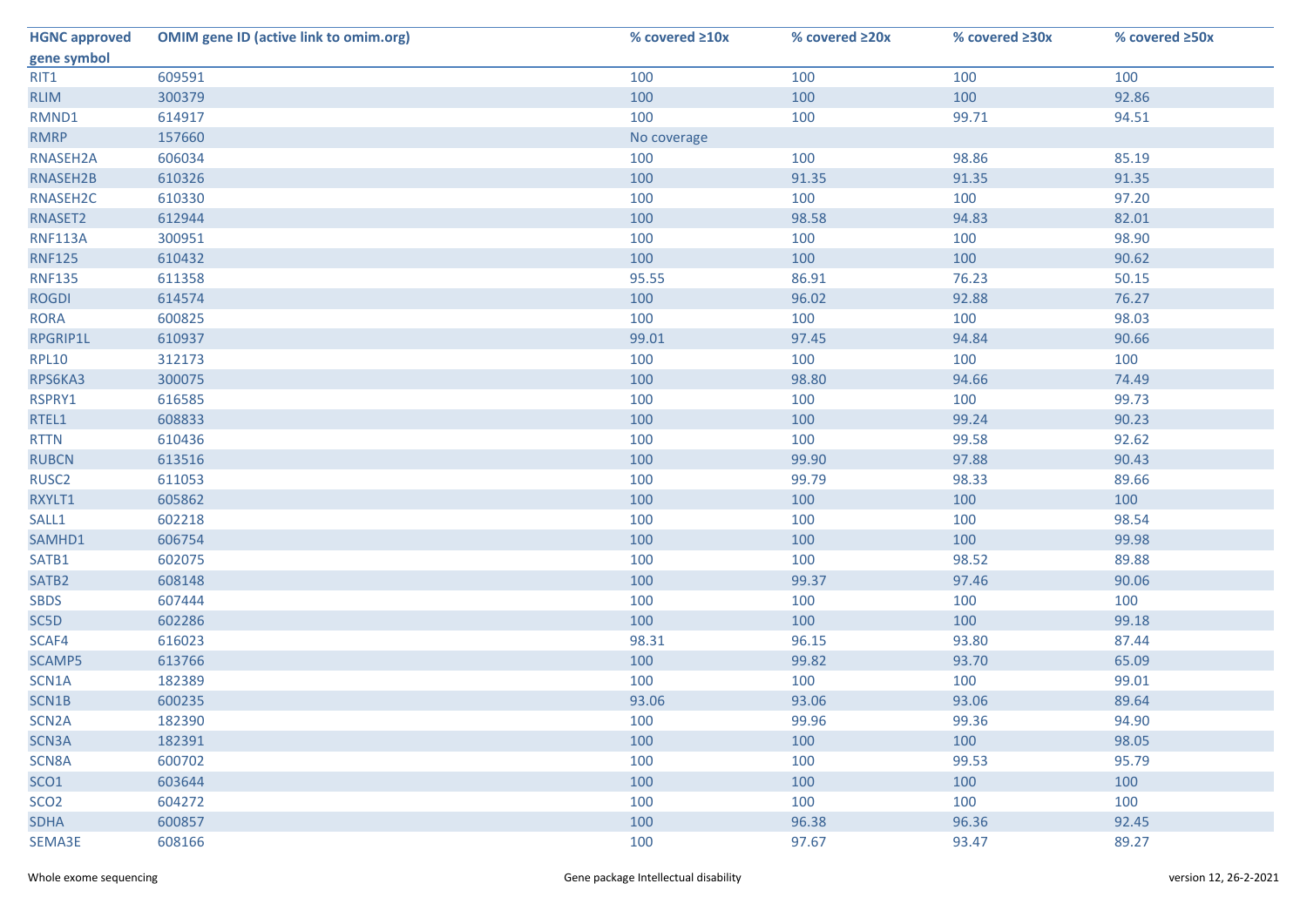| <b>HGNC approved</b> | <b>OMIM gene ID (active link to omim.org)</b> | % covered ≥10x | % covered ≥20x | % covered ≥30x | % covered ≥50x |
|----------------------|-----------------------------------------------|----------------|----------------|----------------|----------------|
| gene symbol          |                                               |                |                |                |                |
| RIT1                 | 609591                                        | 100            | 100            | 100            | 100            |
| <b>RLIM</b>          | 300379                                        | 100            | 100            | 100            | 92.86          |
| RMND1                | 614917                                        | 100            | 100            | 99.71          | 94.51          |
| <b>RMRP</b>          | 157660                                        | No coverage    |                |                |                |
| RNASEH2A             | 606034                                        | 100            | 100            | 98.86          | 85.19          |
| RNASEH2B             | 610326                                        | 100            | 91.35          | 91.35          | 91.35          |
| RNASEH2C             | 610330                                        | 100            | 100            | 100            | 97.20          |
| RNASET2              | 612944                                        | 100            | 98.58          | 94.83          | 82.01          |
| <b>RNF113A</b>       | 300951                                        | 100            | 100            | 100            | 98.90          |
| <b>RNF125</b>        | 610432                                        | 100            | 100            | 100            | 90.62          |
| <b>RNF135</b>        | 611358                                        | 95.55          | 86.91          | 76.23          | 50.15          |
| <b>ROGDI</b>         | 614574                                        | 100            | 96.02          | 92.88          | 76.27          |
| <b>RORA</b>          | 600825                                        | 100            | 100            | 100            | 98.03          |
| RPGRIP1L             | 610937                                        | 99.01          | 97.45          | 94.84          | 90.66          |
| <b>RPL10</b>         | 312173                                        | 100            | 100            | 100            | 100            |
| RPS6KA3              | 300075                                        | 100            | 98.80          | 94.66          | 74.49          |
| RSPRY1               | 616585                                        | 100            | 100            | 100            | 99.73          |
| RTEL1                | 608833                                        | 100            | 100            | 99.24          | 90.23          |
| <b>RTTN</b>          | 610436                                        | 100            | 100            | 99.58          | 92.62          |
| <b>RUBCN</b>         | 613516                                        | 100            | 99.90          | 97.88          | 90.43          |
| RUSC <sub>2</sub>    | 611053                                        | 100            | 99.79          | 98.33          | 89.66          |
| RXYLT1               | 605862                                        | 100            | 100            | 100            | 100            |
| SALL1                | 602218                                        | 100            | 100            | 100            | 98.54          |
| SAMHD1               | 606754                                        | 100            | 100            | 100            | 99.98          |
| SATB1                | 602075                                        | 100            | 100            | 98.52          | 89.88          |
| SATB <sub>2</sub>    | 608148                                        | 100            | 99.37          | 97.46          | 90.06          |
| <b>SBDS</b>          | 607444                                        | 100            | 100            | 100            | 100            |
| SC5D                 | 602286                                        | 100            | 100            | 100            | 99.18          |
| SCAF4                | 616023                                        | 98.31          | 96.15          | 93.80          | 87.44          |
| <b>SCAMP5</b>        | 613766                                        | 100            | 99.82          | 93.70          | 65.09          |
| SCN1A                | 182389                                        | 100            | 100            | 100            | 99.01          |
| SCN1B                | 600235                                        | 93.06          | 93.06          | 93.06          | 89.64          |
| SCN <sub>2</sub> A   | 182390                                        | 100            | 99.96          | 99.36          | 94.90          |
| SCN3A                | 182391                                        | 100            | 100            | 100            | 98.05          |
| SCN8A                | 600702                                        | 100            | 100            | 99.53          | 95.79          |
| SCO <sub>1</sub>     | 603644                                        | 100            | 100            | 100            | 100            |
| SCO <sub>2</sub>     | 604272                                        | 100            | 100            | 100            | 100            |
| <b>SDHA</b>          | 600857                                        | 100            | 96.38          | 96.36          | 92.45          |
| SEMA3E               | 608166                                        | 100            | 97.67          | 93.47          | 89.27          |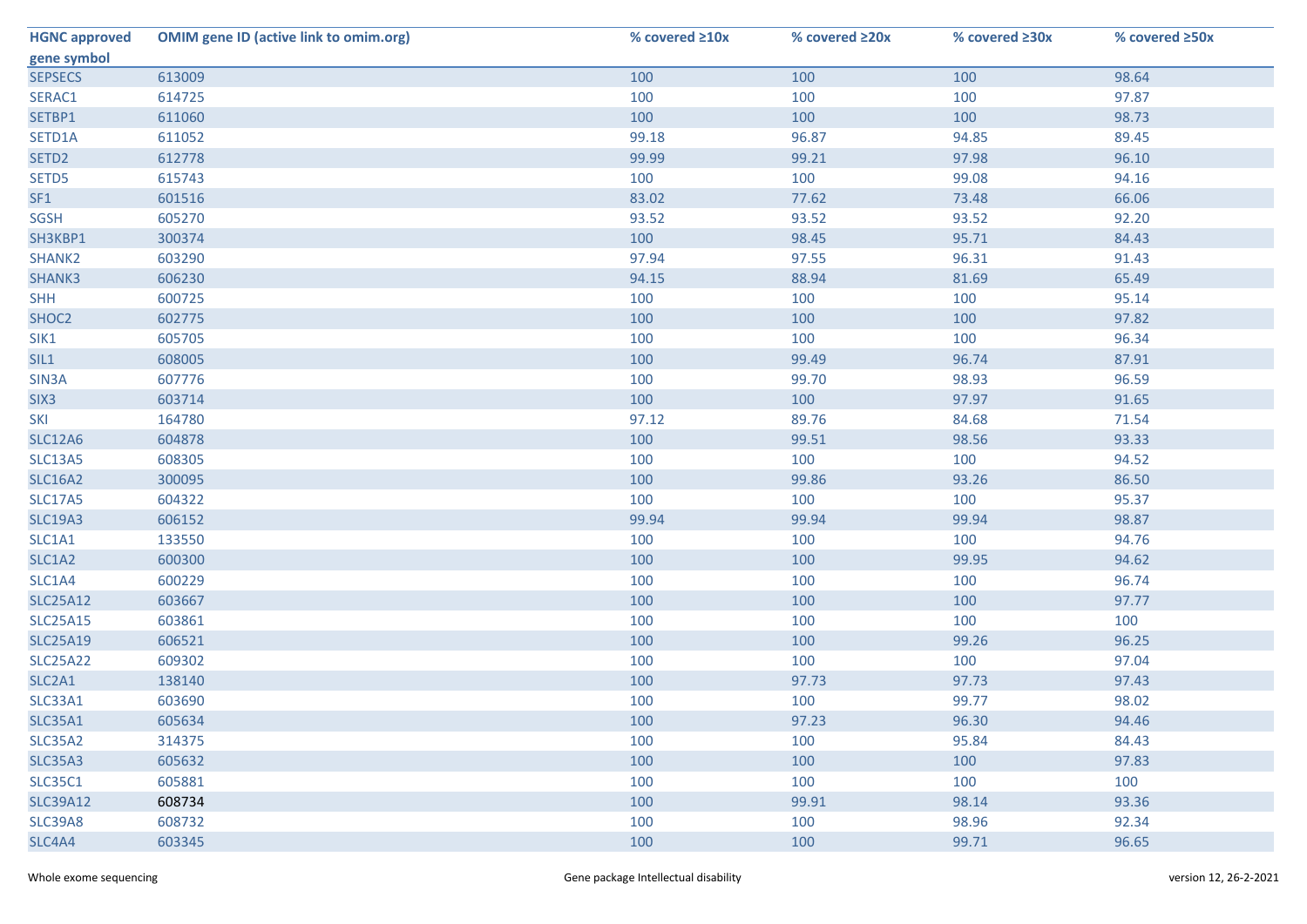| <b>HGNC approved</b> | <b>OMIM gene ID (active link to omim.org)</b> | % covered ≥10x | % covered ≥20x | % covered ≥30x | % covered ≥50x |
|----------------------|-----------------------------------------------|----------------|----------------|----------------|----------------|
| gene symbol          |                                               |                |                |                |                |
| <b>SEPSECS</b>       | 613009                                        | 100            | 100            | 100            | 98.64          |
| SERAC1               | 614725                                        | 100            | 100            | 100            | 97.87          |
| SETBP1               | 611060                                        | 100            | 100            | 100            | 98.73          |
| SETD1A               | 611052                                        | 99.18          | 96.87          | 94.85          | 89.45          |
| SETD <sub>2</sub>    | 612778                                        | 99.99          | 99.21          | 97.98          | 96.10          |
| SETD5                | 615743                                        | 100            | 100            | 99.08          | 94.16          |
| SF1                  | 601516                                        | 83.02          | 77.62          | 73.48          | 66.06          |
| SGSH                 | 605270                                        | 93.52          | 93.52          | 93.52          | 92.20          |
| SH3KBP1              | 300374                                        | 100            | 98.45          | 95.71          | 84.43          |
| SHANK2               | 603290                                        | 97.94          | 97.55          | 96.31          | 91.43          |
| SHANK3               | 606230                                        | 94.15          | 88.94          | 81.69          | 65.49          |
| <b>SHH</b>           | 600725                                        | 100            | 100            | 100            | 95.14          |
| SHOC2                | 602775                                        | 100            | 100            | 100            | 97.82          |
| SIK1                 | 605705                                        | 100            | 100            | 100            | 96.34          |
| SIL1                 | 608005                                        | 100            | 99.49          | 96.74          | 87.91          |
| SIN3A                | 607776                                        | 100            | 99.70          | 98.93          | 96.59          |
| SIX <sub>3</sub>     | 603714                                        | 100            | 100            | 97.97          | 91.65          |
| <b>SKI</b>           | 164780                                        | 97.12          | 89.76          | 84.68          | 71.54          |
| <b>SLC12A6</b>       | 604878                                        | 100            | 99.51          | 98.56          | 93.33          |
| <b>SLC13A5</b>       | 608305                                        | 100            | 100            | 100            | 94.52          |
| <b>SLC16A2</b>       | 300095                                        | 100            | 99.86          | 93.26          | 86.50          |
| <b>SLC17A5</b>       | 604322                                        | 100            | 100            | 100            | 95.37          |
| <b>SLC19A3</b>       | 606152                                        | 99.94          | 99.94          | 99.94          | 98.87          |
| SLC1A1               | 133550                                        | 100            | 100            | 100            | 94.76          |
| SLC1A2               | 600300                                        | 100            | 100            | 99.95          | 94.62          |
| SLC1A4               | 600229                                        | 100            | 100            | 100            | 96.74          |
| <b>SLC25A12</b>      | 603667                                        | 100            | 100            | 100            | 97.77          |
| <b>SLC25A15</b>      | 603861                                        | 100            | 100            | 100            | 100            |
| <b>SLC25A19</b>      | 606521                                        | 100            | 100            | 99.26          | 96.25          |
| <b>SLC25A22</b>      | 609302                                        | 100            | 100            | 100            | 97.04          |
| SLC2A1               | 138140                                        | 100            | 97.73          | 97.73          | 97.43          |
| SLC33A1              | 603690                                        | 100            | 100            | 99.77          | 98.02          |
| <b>SLC35A1</b>       | 605634                                        | 100            | 97.23          | 96.30          | 94.46          |
| SLC35A2              | 314375                                        | 100            | 100            | 95.84          | 84.43          |
| <b>SLC35A3</b>       | 605632                                        | 100            | 100            | 100            | 97.83          |
| <b>SLC35C1</b>       | 605881                                        | 100            | 100            | 100            | 100            |
| <b>SLC39A12</b>      | 608734                                        | 100            | 99.91          | 98.14          | 93.36          |
| <b>SLC39A8</b>       | 608732                                        | 100            | 100            | 98.96          | 92.34          |
| SLC4A4               | 603345                                        | 100            | 100            | 99.71          | 96.65          |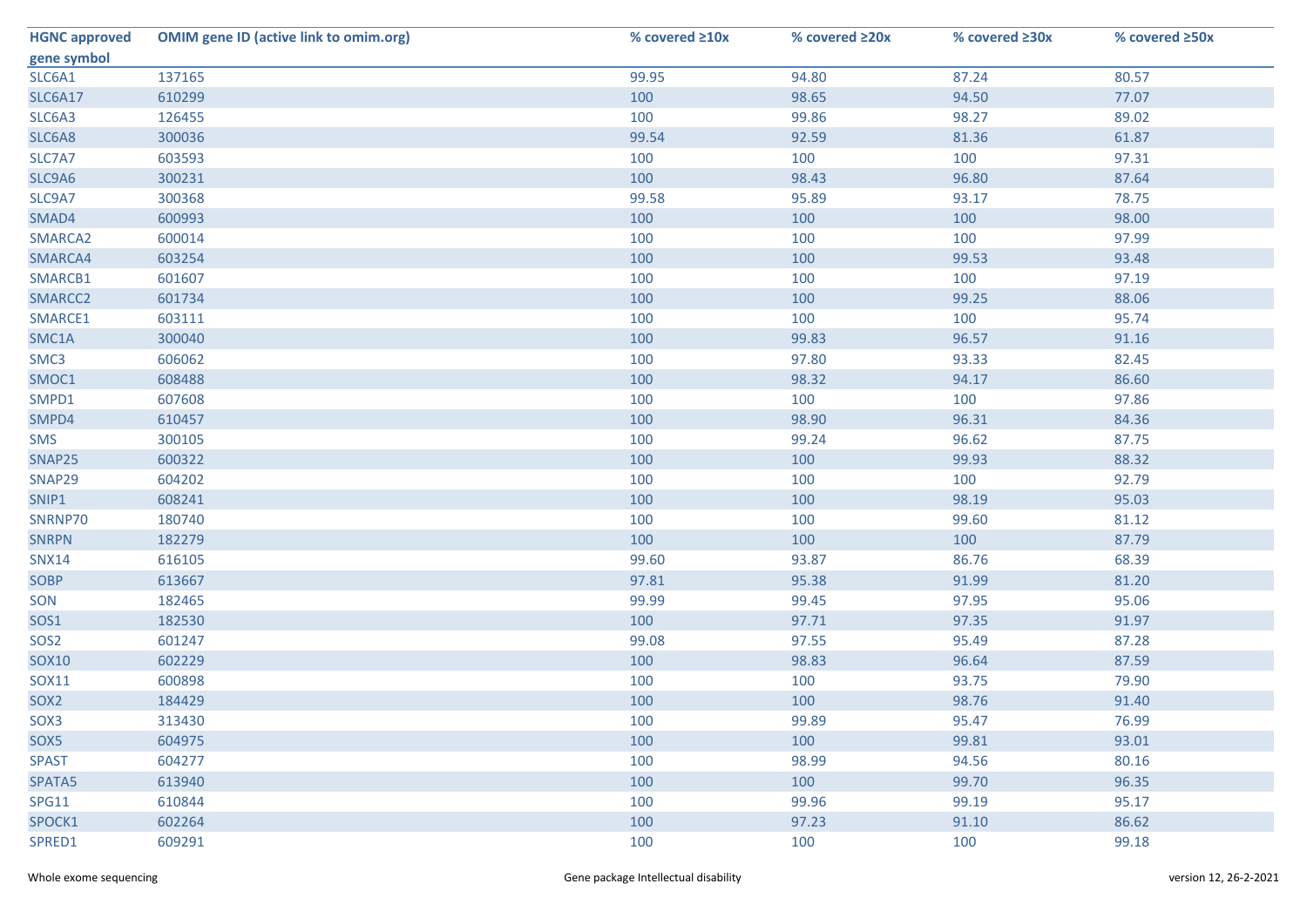| <b>HGNC approved</b> | <b>OMIM gene ID (active link to omim.org)</b> | % covered ≥10x | % covered ≥20x | % covered ≥30x | % covered ≥50x |
|----------------------|-----------------------------------------------|----------------|----------------|----------------|----------------|
| gene symbol          |                                               |                |                |                |                |
| SLC6A1               | 137165                                        | 99.95          | 94.80          | 87.24          | 80.57          |
| <b>SLC6A17</b>       | 610299                                        | 100            | 98.65          | 94.50          | 77.07          |
| SLC6A3               | 126455                                        | 100            | 99.86          | 98.27          | 89.02          |
| SLC6A8               | 300036                                        | 99.54          | 92.59          | 81.36          | 61.87          |
| SLC7A7               | 603593                                        | 100            | 100            | 100            | 97.31          |
| SLC9A6               | 300231                                        | 100            | 98.43          | 96.80          | 87.64          |
| SLC9A7               | 300368                                        | 99.58          | 95.89          | 93.17          | 78.75          |
| SMAD4                | 600993                                        | 100            | 100            | 100            | 98.00          |
| SMARCA2              | 600014                                        | 100            | 100            | 100            | 97.99          |
| SMARCA4              | 603254                                        | 100            | 100            | 99.53          | 93.48          |
| SMARCB1              | 601607                                        | 100            | 100            | 100            | 97.19          |
| SMARCC2              | 601734                                        | 100            | 100            | 99.25          | 88.06          |
| SMARCE1              | 603111                                        | 100            | 100            | 100            | 95.74          |
| SMC1A                | 300040                                        | 100            | 99.83          | 96.57          | 91.16          |
| SMC3                 | 606062                                        | 100            | 97.80          | 93.33          | 82.45          |
| SMOC1                | 608488                                        | 100            | 98.32          | 94.17          | 86.60          |
| SMPD1                | 607608                                        | 100            | 100            | 100            | 97.86          |
| SMPD4                | 610457                                        | 100            | 98.90          | 96.31          | 84.36          |
| <b>SMS</b>           | 300105                                        | 100            | 99.24          | 96.62          | 87.75          |
| SNAP25               | 600322                                        | 100            | 100            | 99.93          | 88.32          |
| SNAP29               | 604202                                        | 100            | 100            | 100            | 92.79          |
| SNIP1                | 608241                                        | 100            | 100            | 98.19          | 95.03          |
| SNRNP70              | 180740                                        | 100            | 100            | 99.60          | 81.12          |
| <b>SNRPN</b>         | 182279                                        | 100            | 100            | 100            | 87.79          |
| <b>SNX14</b>         | 616105                                        | 99.60          | 93.87          | 86.76          | 68.39          |
| SOBP                 | 613667                                        | 97.81          | 95.38          | 91.99          | 81.20          |
| SON                  | 182465                                        | 99.99          | 99.45          | 97.95          | 95.06          |
| SOS1                 | 182530                                        | 100            | 97.71          | 97.35          | 91.97          |
| SOS <sub>2</sub>     | 601247                                        | 99.08          | 97.55          | 95.49          | 87.28          |
| <b>SOX10</b>         | 602229                                        | 100            | 98.83          | 96.64          | 87.59          |
| SOX11                | 600898                                        | 100            | 100            | 93.75          | 79.90          |
| SOX <sub>2</sub>     | 184429                                        | 100            | 100            | 98.76          | 91.40          |
| SOX3                 | 313430                                        | 100            | 99.89          | 95.47          | 76.99          |
| SOX5                 | 604975                                        | 100            | 100            | 99.81          | 93.01          |
| <b>SPAST</b>         | 604277                                        | 100            | 98.99          | 94.56          | 80.16          |
| SPATA5               | 613940                                        | 100            | 100            | 99.70          | 96.35          |
| <b>SPG11</b>         | 610844                                        | 100            | 99.96          | 99.19          | 95.17          |
| SPOCK1               | 602264                                        | 100            | 97.23          | 91.10          | 86.62          |
| SPRED1               | 609291                                        | 100            | 100            | 100            | 99.18          |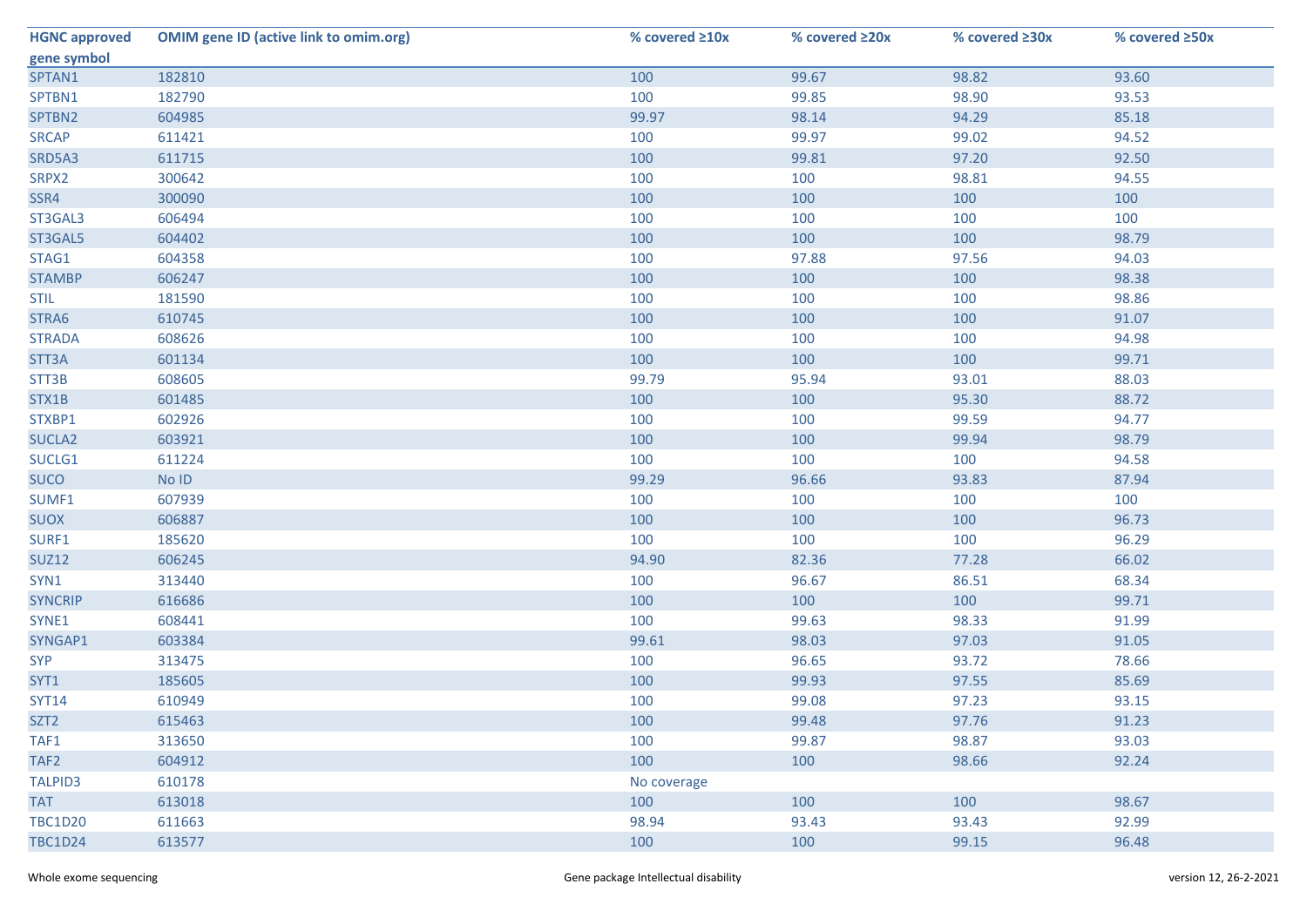| <b>HGNC approved</b> | <b>OMIM gene ID (active link to omim.org)</b> | % covered ≥10x | % covered ≥20x | % covered ≥30x | % covered ≥50x |
|----------------------|-----------------------------------------------|----------------|----------------|----------------|----------------|
| gene symbol          |                                               |                |                |                |                |
| SPTAN1               | 182810                                        | 100            | 99.67          | 98.82          | 93.60          |
| SPTBN1               | 182790                                        | 100            | 99.85          | 98.90          | 93.53          |
| SPTBN2               | 604985                                        | 99.97          | 98.14          | 94.29          | 85.18          |
| <b>SRCAP</b>         | 611421                                        | 100            | 99.97          | 99.02          | 94.52          |
| SRD5A3               | 611715                                        | 100            | 99.81          | 97.20          | 92.50          |
| SRPX2                | 300642                                        | 100            | 100            | 98.81          | 94.55          |
| SSR4                 | 300090                                        | 100            | 100            | 100            | 100            |
| ST3GAL3              | 606494                                        | 100            | 100            | 100            | 100            |
| ST3GAL5              | 604402                                        | 100            | 100            | 100            | 98.79          |
| STAG1                | 604358                                        | 100            | 97.88          | 97.56          | 94.03          |
| <b>STAMBP</b>        | 606247                                        | 100            | 100            | 100            | 98.38          |
| <b>STIL</b>          | 181590                                        | 100            | 100            | 100            | 98.86          |
| STRA6                | 610745                                        | 100            | 100            | 100            | 91.07          |
| <b>STRADA</b>        | 608626                                        | 100            | 100            | 100            | 94.98          |
| STT3A                | 601134                                        | 100            | 100            | 100            | 99.71          |
| STT3B                | 608605                                        | 99.79          | 95.94          | 93.01          | 88.03          |
| STX1B                | 601485                                        | 100            | 100            | 95.30          | 88.72          |
| STXBP1               | 602926                                        | 100            | 100            | 99.59          | 94.77          |
| SUCLA <sub>2</sub>   | 603921                                        | 100            | 100            | 99.94          | 98.79          |
| SUCLG1               | 611224                                        | 100            | 100            | 100            | 94.58          |
| <b>SUCO</b>          | No ID                                         | 99.29          | 96.66          | 93.83          | 87.94          |
| SUMF1                | 607939                                        | 100            | 100            | 100            | 100            |
| <b>SUOX</b>          | 606887                                        | 100            | 100            | 100            | 96.73          |
| SURF1                | 185620                                        | 100            | 100            | 100            | 96.29          |
| <b>SUZ12</b>         | 606245                                        | 94.90          | 82.36          | 77.28          | 66.02          |
| SYN1                 | 313440                                        | 100            | 96.67          | 86.51          | 68.34          |
| <b>SYNCRIP</b>       | 616686                                        | 100            | 100            | 100            | 99.71          |
| SYNE1                | 608441                                        | 100            | 99.63          | 98.33          | 91.99          |
| SYNGAP1              | 603384                                        | 99.61          | 98.03          | 97.03          | 91.05          |
| <b>SYP</b>           | 313475                                        | 100            | 96.65          | 93.72          | 78.66          |
| SYT1                 | 185605                                        | 100            | 99.93          | 97.55          | 85.69          |
| <b>SYT14</b>         | 610949                                        | 100            | 99.08          | 97.23          | 93.15          |
| SZT <sub>2</sub>     | 615463                                        | 100            | 99.48          | 97.76          | 91.23          |
| TAF1                 | 313650                                        | 100            | 99.87          | 98.87          | 93.03          |
| TAF2                 | 604912                                        | 100            | 100            | 98.66          | 92.24          |
| <b>TALPID3</b>       | 610178                                        | No coverage    |                |                |                |
| <b>TAT</b>           | 613018                                        | 100            | 100            | 100            | 98.67          |
| <b>TBC1D20</b>       | 611663                                        | 98.94          | 93.43          | 93.43          | 92.99          |
| <b>TBC1D24</b>       | 613577                                        | 100            | 100            | 99.15          | 96.48          |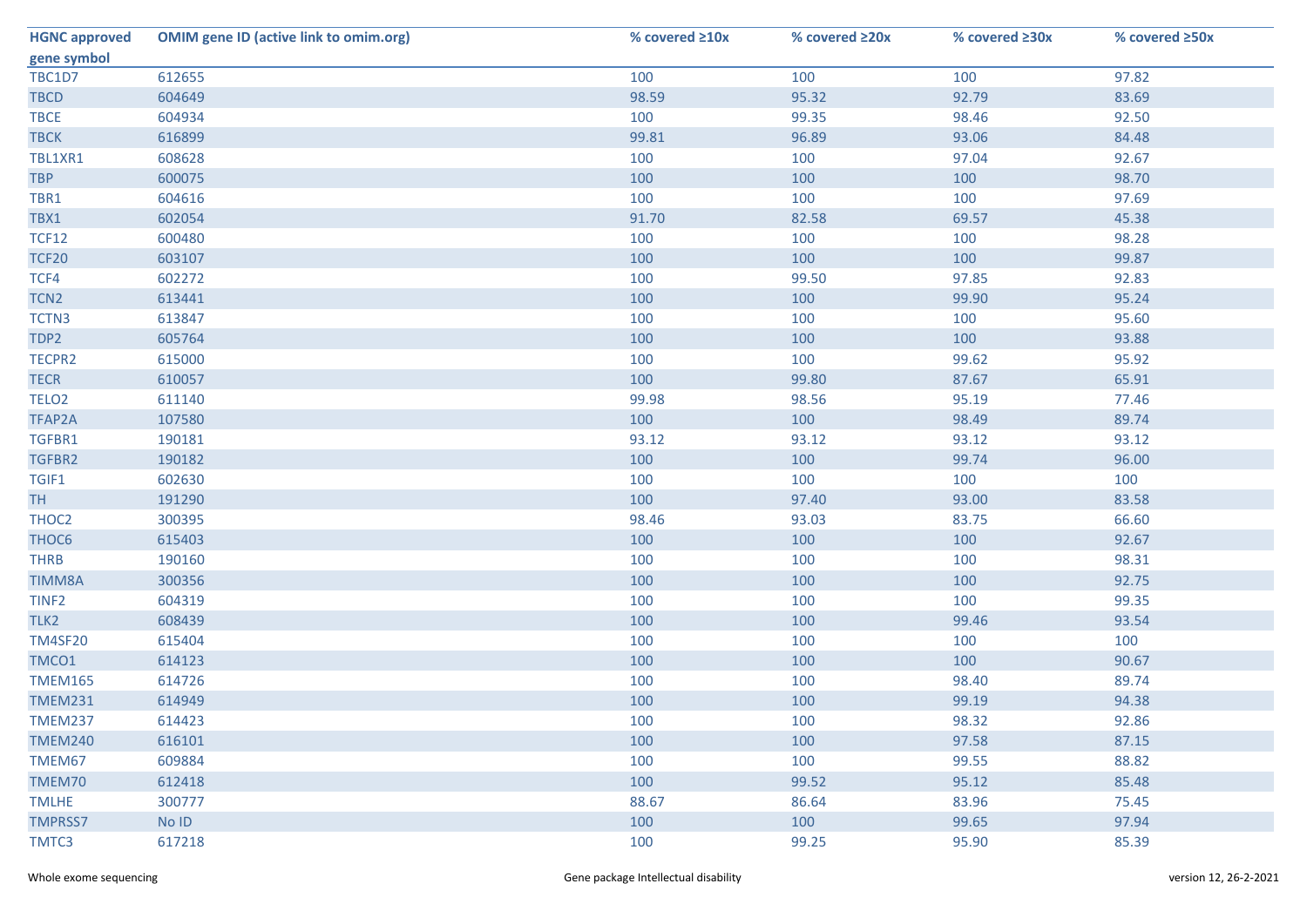| <b>HGNC approved</b> | <b>OMIM gene ID (active link to omim.org)</b> | % covered ≥10x | % covered ≥20x | % covered ≥30x | % covered ≥50x |
|----------------------|-----------------------------------------------|----------------|----------------|----------------|----------------|
| gene symbol          |                                               |                |                |                |                |
| TBC1D7               | 612655                                        | 100            | 100            | 100            | 97.82          |
| <b>TBCD</b>          | 604649                                        | 98.59          | 95.32          | 92.79          | 83.69          |
| <b>TBCE</b>          | 604934                                        | 100            | 99.35          | 98.46          | 92.50          |
| <b>TBCK</b>          | 616899                                        | 99.81          | 96.89          | 93.06          | 84.48          |
| TBL1XR1              | 608628                                        | 100            | 100            | 97.04          | 92.67          |
| <b>TBP</b>           | 600075                                        | 100            | 100            | 100            | 98.70          |
| TBR1                 | 604616                                        | 100            | 100            | 100            | 97.69          |
| TBX1                 | 602054                                        | 91.70          | 82.58          | 69.57          | 45.38          |
| <b>TCF12</b>         | 600480                                        | 100            | 100            | 100            | 98.28          |
| <b>TCF20</b>         | 603107                                        | 100            | 100            | 100            | 99.87          |
| TCF4                 | 602272                                        | 100            | 99.50          | 97.85          | 92.83          |
| TCN <sub>2</sub>     | 613441                                        | 100            | 100            | 99.90          | 95.24          |
| TCTN3                | 613847                                        | 100            | 100            | 100            | 95.60          |
| TDP2                 | 605764                                        | 100            | 100            | 100            | 93.88          |
| TECPR2               | 615000                                        | 100            | 100            | 99.62          | 95.92          |
| <b>TECR</b>          | 610057                                        | 100            | 99.80          | 87.67          | 65.91          |
| TELO <sub>2</sub>    | 611140                                        | 99.98          | 98.56          | 95.19          | 77.46          |
| TFAP2A               | 107580                                        | 100            | 100            | 98.49          | 89.74          |
| TGFBR1               | 190181                                        | 93.12          | 93.12          | 93.12          | 93.12          |
| TGFBR2               | 190182                                        | 100            | 100            | 99.74          | 96.00          |
| TGIF1                | 602630                                        | 100            | 100            | 100            | 100            |
| <b>TH</b>            | 191290                                        | 100            | 97.40          | 93.00          | 83.58          |
| THOC2                | 300395                                        | 98.46          | 93.03          | 83.75          | 66.60          |
| THOC6                | 615403                                        | 100            | 100            | 100            | 92.67          |
| <b>THRB</b>          | 190160                                        | 100            | 100            | 100            | 98.31          |
| <b>TIMM8A</b>        | 300356                                        | 100            | 100            | 100            | 92.75          |
| TINF <sub>2</sub>    | 604319                                        | 100            | 100            | 100            | 99.35          |
| TLK <sub>2</sub>     | 608439                                        | 100            | 100            | 99.46          | 93.54          |
| <b>TM4SF20</b>       | 615404                                        | 100            | 100            | 100            | 100            |
| TMCO1                | 614123                                        | 100            | 100            | 100            | 90.67          |
| <b>TMEM165</b>       | 614726                                        | 100            | 100            | 98.40          | 89.74          |
| <b>TMEM231</b>       | 614949                                        | 100            | 100            | 99.19          | 94.38          |
| <b>TMEM237</b>       | 614423                                        | 100            | 100            | 98.32          | 92.86          |
| <b>TMEM240</b>       | 616101                                        | 100            | 100            | 97.58          | 87.15          |
| TMEM67               | 609884                                        | 100            | 100            | 99.55          | 88.82          |
| TMEM70               | 612418                                        | 100            | 99.52          | 95.12          | 85.48          |
| <b>TMLHE</b>         | 300777                                        | 88.67          | 86.64          | 83.96          | 75.45          |
| <b>TMPRSS7</b>       | No ID                                         | 100            | 100            | 99.65          | 97.94          |
| TMTC3                | 617218                                        | 100            | 99.25          | 95.90          | 85.39          |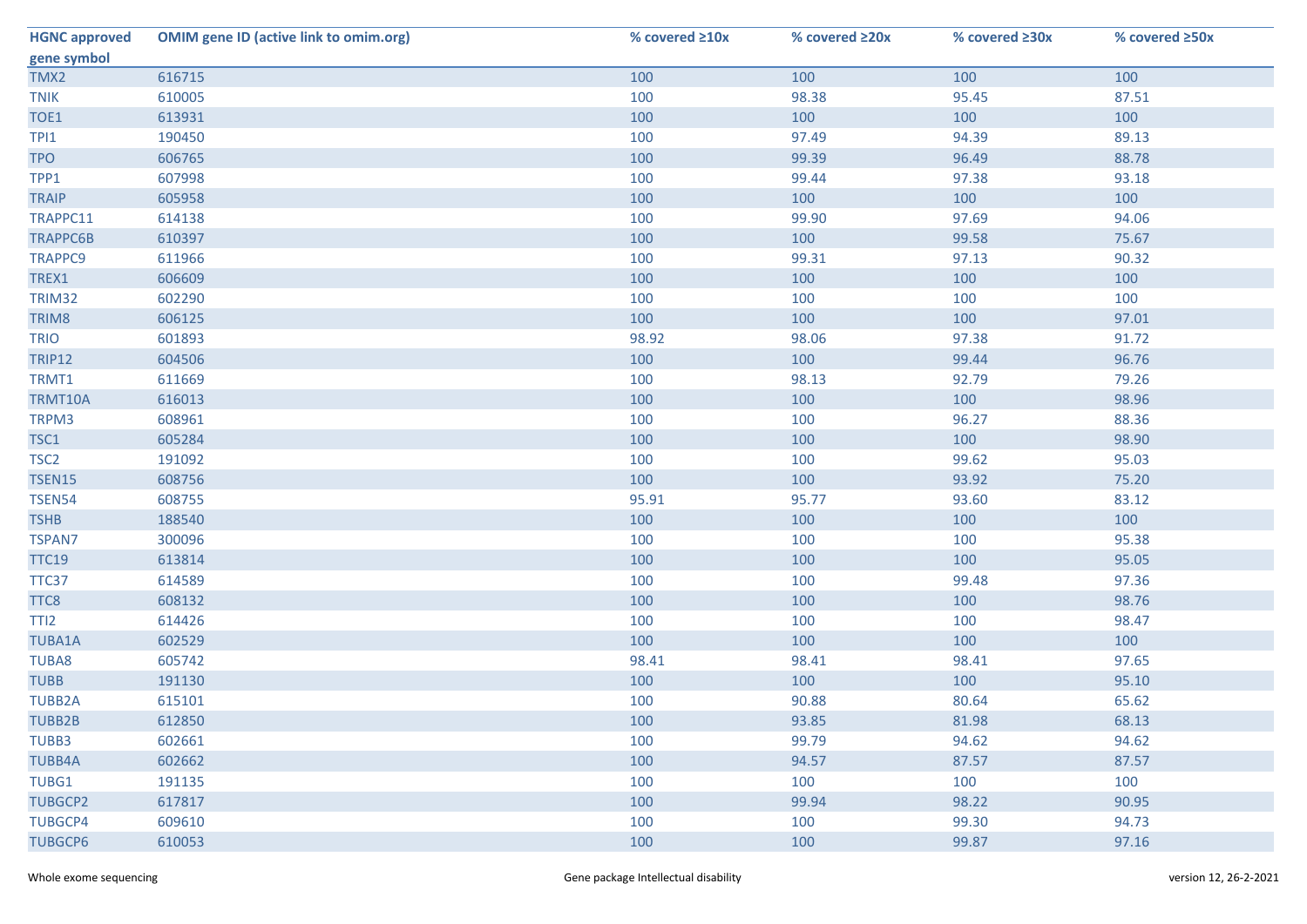| <b>HGNC approved</b> | <b>OMIM gene ID (active link to omim.org)</b> | % covered ≥10x | % covered ≥20x | % covered ≥30x | % covered ≥50x |
|----------------------|-----------------------------------------------|----------------|----------------|----------------|----------------|
| gene symbol          |                                               |                |                |                |                |
| TMX2                 | 616715                                        | 100            | 100            | 100            | 100            |
| <b>TNIK</b>          | 610005                                        | 100            | 98.38          | 95.45          | 87.51          |
| TOE1                 | 613931                                        | 100            | 100            | 100            | 100            |
| TPI1                 | 190450                                        | 100            | 97.49          | 94.39          | 89.13          |
| <b>TPO</b>           | 606765                                        | 100            | 99.39          | 96.49          | 88.78          |
| TPP1                 | 607998                                        | 100            | 99.44          | 97.38          | 93.18          |
| <b>TRAIP</b>         | 605958                                        | 100            | 100            | 100            | 100            |
| TRAPPC11             | 614138                                        | 100            | 99.90          | 97.69          | 94.06          |
| <b>TRAPPC6B</b>      | 610397                                        | 100            | 100            | 99.58          | 75.67          |
| TRAPPC9              | 611966                                        | 100            | 99.31          | 97.13          | 90.32          |
| TREX1                | 606609                                        | 100            | 100            | 100            | 100            |
| TRIM32               | 602290                                        | 100            | 100            | 100            | 100            |
| TRIM8                | 606125                                        | 100            | 100            | 100            | 97.01          |
| <b>TRIO</b>          | 601893                                        | 98.92          | 98.06          | 97.38          | 91.72          |
| <b>TRIP12</b>        | 604506                                        | 100            | 100            | 99.44          | 96.76          |
| TRMT1                | 611669                                        | 100            | 98.13          | 92.79          | 79.26          |
| TRMT10A              | 616013                                        | 100            | 100            | 100            | 98.96          |
| TRPM3                | 608961                                        | 100            | 100            | 96.27          | 88.36          |
| TSC1                 | 605284                                        | 100            | 100            | 100            | 98.90          |
| TSC <sub>2</sub>     | 191092                                        | 100            | 100            | 99.62          | 95.03          |
| <b>TSEN15</b>        | 608756                                        | 100            | 100            | 93.92          | 75.20          |
| <b>TSEN54</b>        | 608755                                        | 95.91          | 95.77          | 93.60          | 83.12          |
| <b>TSHB</b>          | 188540                                        | 100            | 100            | 100            | 100            |
| <b>TSPAN7</b>        | 300096                                        | 100            | 100            | 100            | 95.38          |
| <b>TTC19</b>         | 613814                                        | 100            | 100            | 100            | 95.05          |
| TTC37                | 614589                                        | 100            | 100            | 99.48          | 97.36          |
| TTC8                 | 608132                                        | 100            | 100            | 100            | 98.76          |
| TTI <sub>2</sub>     | 614426                                        | 100            | 100            | 100            | 98.47          |
| <b>TUBA1A</b>        | 602529                                        | 100            | 100            | 100            | 100            |
| <b>TUBA8</b>         | 605742                                        | 98.41          | 98.41          | 98.41          | 97.65          |
| <b>TUBB</b>          | 191130                                        | 100            | 100            | 100            | 95.10          |
| <b>TUBB2A</b>        | 615101                                        | 100            | 90.88          | 80.64          | 65.62          |
| TUBB2B               | 612850                                        | 100            | 93.85          | 81.98          | 68.13          |
| TUBB3                | 602661                                        | 100            | 99.79          | 94.62          | 94.62          |
| <b>TUBB4A</b>        | 602662                                        | 100            | 94.57          | 87.57          | 87.57          |
| TUBG1                | 191135                                        | 100            | 100            | 100            | 100            |
| <b>TUBGCP2</b>       | 617817                                        | 100            | 99.94          | 98.22          | 90.95          |
| <b>TUBGCP4</b>       | 609610                                        | 100            | 100            | 99.30          | 94.73          |
| <b>TUBGCP6</b>       | 610053                                        | 100            | 100            | 99.87          | 97.16          |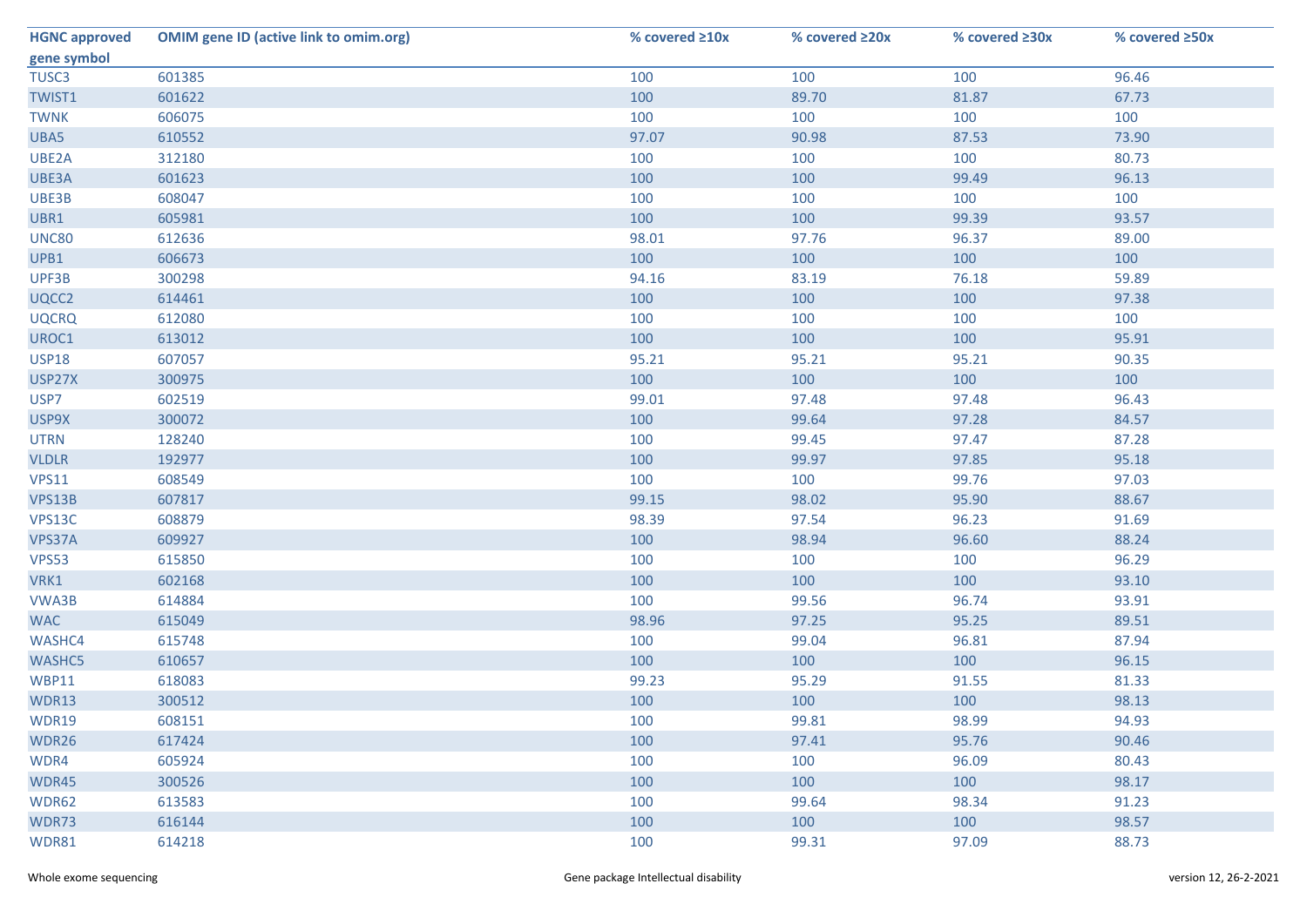| <b>HGNC approved</b> | <b>OMIM gene ID (active link to omim.org)</b> | % covered ≥10x | % covered ≥20x | % covered ≥30x | % covered ≥50x |
|----------------------|-----------------------------------------------|----------------|----------------|----------------|----------------|
| gene symbol          |                                               |                |                |                |                |
| TUSC <sub>3</sub>    | 601385                                        | 100            | 100            | 100            | 96.46          |
| TWIST1               | 601622                                        | 100            | 89.70          | 81.87          | 67.73          |
| <b>TWNK</b>          | 606075                                        | 100            | 100            | 100            | 100            |
| UBA5                 | 610552                                        | 97.07          | 90.98          | 87.53          | 73.90          |
| UBE2A                | 312180                                        | 100            | 100            | 100            | 80.73          |
| UBE3A                | 601623                                        | 100            | 100            | 99.49          | 96.13          |
| UBE3B                | 608047                                        | 100            | 100            | 100            | 100            |
| UBR1                 | 605981                                        | 100            | 100            | 99.39          | 93.57          |
| <b>UNC80</b>         | 612636                                        | 98.01          | 97.76          | 96.37          | 89.00          |
| UPB1                 | 606673                                        | 100            | 100            | 100            | 100            |
| UPF3B                | 300298                                        | 94.16          | 83.19          | 76.18          | 59.89          |
| UQCC2                | 614461                                        | 100            | 100            | 100            | 97.38          |
| <b>UQCRQ</b>         | 612080                                        | 100            | 100            | 100            | 100            |
| UROC1                | 613012                                        | 100            | 100            | 100            | 95.91          |
| <b>USP18</b>         | 607057                                        | 95.21          | 95.21          | 95.21          | 90.35          |
| USP27X               | 300975                                        | 100            | 100            | 100            | 100            |
| USP7                 | 602519                                        | 99.01          | 97.48          | 97.48          | 96.43          |
| USP9X                | 300072                                        | 100            | 99.64          | 97.28          | 84.57          |
| <b>UTRN</b>          | 128240                                        | 100            | 99.45          | 97.47          | 87.28          |
| <b>VLDLR</b>         | 192977                                        | 100            | 99.97          | 97.85          | 95.18          |
| <b>VPS11</b>         | 608549                                        | 100            | 100            | 99.76          | 97.03          |
| VPS13B               | 607817                                        | 99.15          | 98.02          | 95.90          | 88.67          |
| VPS13C               | 608879                                        | 98.39          | 97.54          | 96.23          | 91.69          |
| VPS37A               | 609927                                        | 100            | 98.94          | 96.60          | 88.24          |
| <b>VPS53</b>         | 615850                                        | 100            | 100            | 100            | 96.29          |
| VRK1                 | 602168                                        | 100            | 100            | 100            | 93.10          |
| VWA3B                | 614884                                        | 100            | 99.56          | 96.74          | 93.91          |
| <b>WAC</b>           | 615049                                        | 98.96          | 97.25          | 95.25          | 89.51          |
| WASHC4               | 615748                                        | 100            | 99.04          | 96.81          | 87.94          |
| <b>WASHC5</b>        | 610657                                        | 100            | 100            | 100            | 96.15          |
| <b>WBP11</b>         | 618083                                        | 99.23          | 95.29          | 91.55          | 81.33          |
| WDR13                | 300512                                        | 100            | 100            | 100            | 98.13          |
| WDR19                | 608151                                        | 100            | 99.81          | 98.99          | 94.93          |
| WDR26                | 617424                                        | 100            | 97.41          | 95.76          | 90.46          |
| WDR4                 | 605924                                        | 100            | 100            | 96.09          | 80.43          |
| WDR45                | 300526                                        | 100            | 100            | 100            | 98.17          |
| WDR62                | 613583                                        | 100            | 99.64          | 98.34          | 91.23          |
| WDR73                | 616144                                        | 100            | 100            | 100            | 98.57          |
| WDR81                | 614218                                        | 100            | 99.31          | 97.09          | 88.73          |